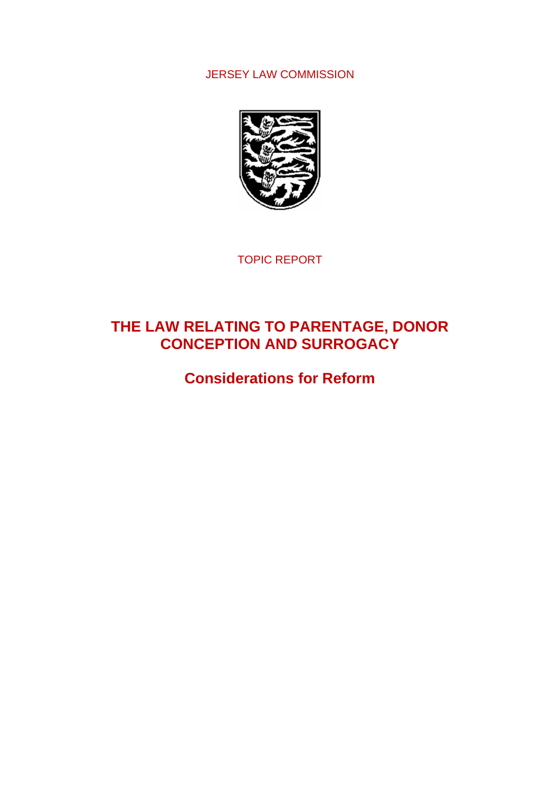# JERSEY LAW COMMISSION



TOPIC REPORT

# **THE LAW RELATING TO PARENTAGE, DONOR CONCEPTION AND SURROGACY**

**Considerations for Reform**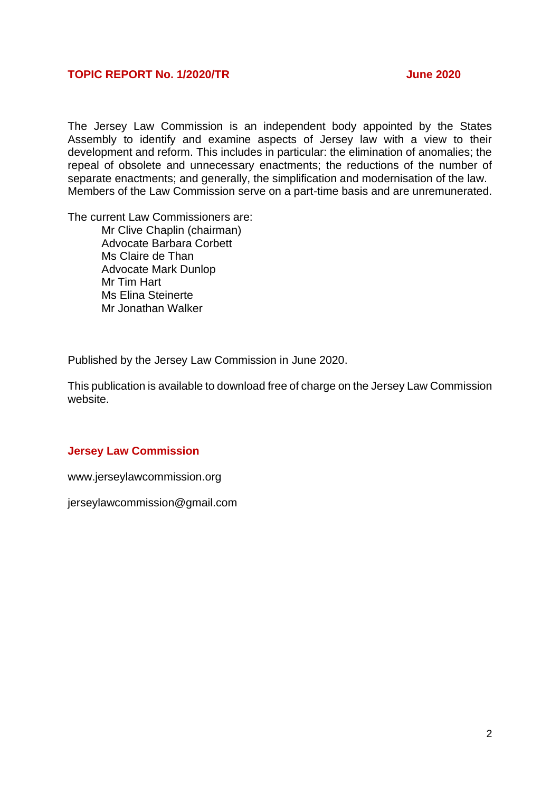# **TOPIC REPORT No. 1/2020/TR June 2020**

The Jersey Law Commission is an independent body appointed by the States Assembly to identify and examine aspects of Jersey law with a view to their development and reform. This includes in particular: the elimination of anomalies; the repeal of obsolete and unnecessary enactments; the reductions of the number of separate enactments; and generally, the simplification and modernisation of the law. Members of the Law Commission serve on a part-time basis and are unremunerated.

The current Law Commissioners are:

Mr Clive Chaplin (chairman) Advocate Barbara Corbett Ms Claire de Than Advocate Mark Dunlop Mr Tim Hart Ms Elina Steinerte Mr Jonathan Walker

Published by the Jersey Law Commission in June 2020.

This publication is available to download free of charge on the Jersey Law Commission website.

#### **Jersey Law Commission**

www.jerseylawcommission.org

jerseylawcommission@gmail.com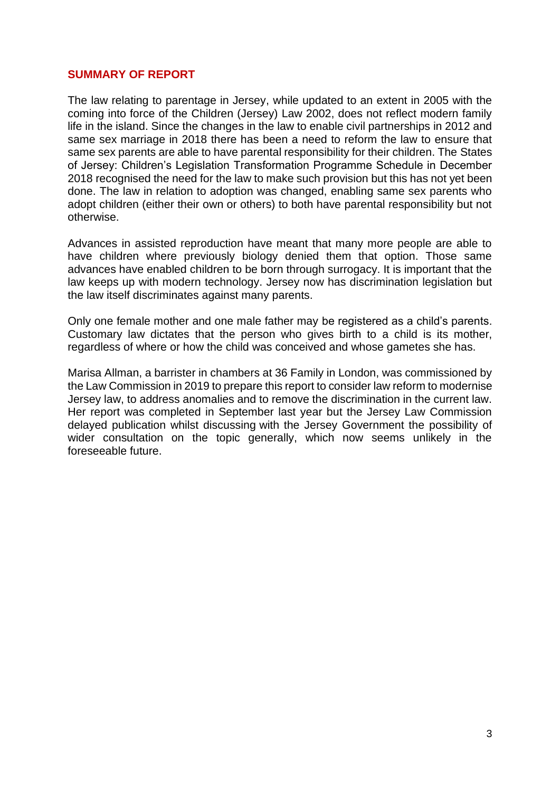## **SUMMARY OF REPORT**

The law relating to parentage in Jersey, while updated to an extent in 2005 with the coming into force of the Children (Jersey) Law 2002, does not reflect modern family life in the island. Since the changes in the law to enable civil partnerships in 2012 and same sex marriage in 2018 there has been a need to reform the law to ensure that same sex parents are able to have parental responsibility for their children. The States of Jersey: Children's Legislation Transformation Programme Schedule in December 2018 recognised the need for the law to make such provision but this has not yet been done. The law in relation to adoption was changed, enabling same sex parents who adopt children (either their own or others) to both have parental responsibility but not otherwise.

Advances in assisted reproduction have meant that many more people are able to have children where previously biology denied them that option. Those same advances have enabled children to be born through surrogacy. It is important that the law keeps up with modern technology. Jersey now has discrimination legislation but the law itself discriminates against many parents.

Only one female mother and one male father may be registered as a child's parents. Customary law dictates that the person who gives birth to a child is its mother, regardless of where or how the child was conceived and whose gametes she has.

Marisa Allman, a barrister in chambers at 36 Family in London, was commissioned by the Law Commission in 2019 to prepare this report to consider law reform to modernise Jersey law, to address anomalies and to remove the discrimination in the current law. Her report was completed in September last year but the Jersey Law Commission delayed publication whilst discussing with the Jersey Government the possibility of wider consultation on the topic generally, which now seems unlikely in the foreseeable future.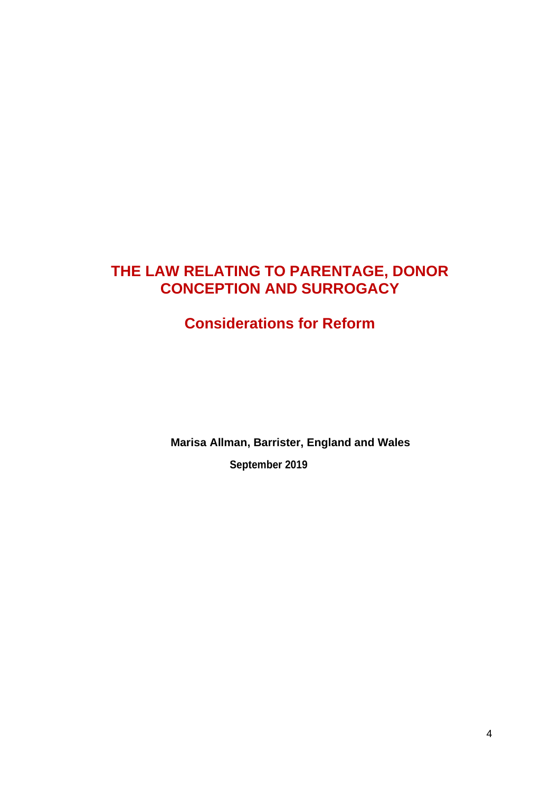# **THE LAW RELATING TO PARENTAGE, DONOR CONCEPTION AND SURROGACY**

# **Considerations for Reform**

**Marisa Allman, Barrister, England and Wales September 2019**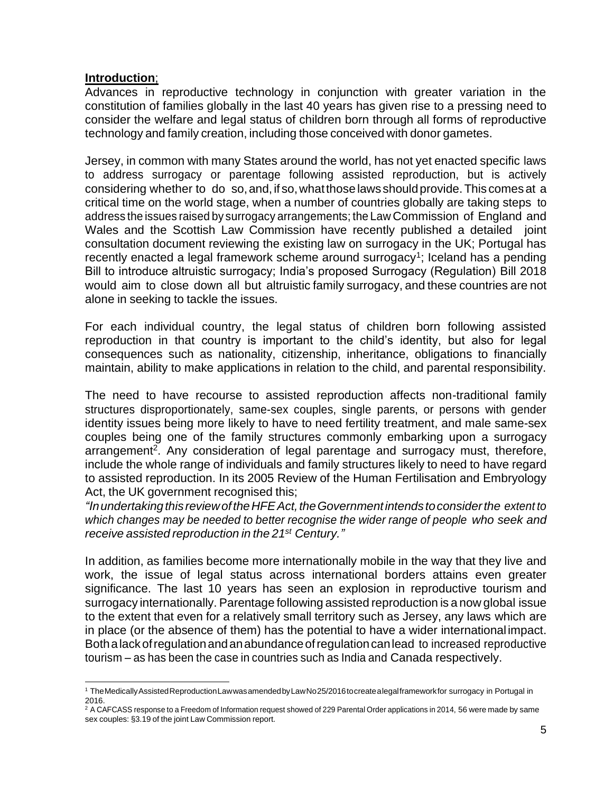# **Introduction**;

Advances in reproductive technology in conjunction with greater variation in the constitution of families globally in the last 40 years has given rise to a pressing need to consider the welfare and legal status of children born through all forms of reproductive technology and family creation, including those conceived with donor gametes.

Jersey, in common with many States around the world, has not yet enacted specific laws to address surrogacy or parentage following assisted reproduction, but is actively considering whether to do so, and, if so, what those laws should provide. This comes at a critical time on the world stage, when a number of countries globally are taking steps to address the issues raised by surrogacy arrangements; the Law Commission of England and Wales and the Scottish Law Commission have recently published a detailed joint consultation document reviewing the existing law on surrogacy in the UK; Portugal has recently enacted a legal framework scheme around surrogacy<sup>1</sup>; Iceland has a pending Bill to introduce altruistic surrogacy; India's proposed Surrogacy (Regulation) Bill 2018 would aim to close down all but altruistic family surrogacy, and these countries are not alone in seeking to tackle the issues.

For each individual country, the legal status of children born following assisted reproduction in that country is important to the child's identity, but also for legal consequences such as nationality, citizenship, inheritance, obligations to financially maintain, ability to make applications in relation to the child, and parental responsibility.

The need to have recourse to assisted reproduction affects non-traditional family structures disproportionately, same-sex couples, single parents, or persons with gender identity issues being more likely to have to need fertility treatment, and male same-sex couples being one of the family structures commonly embarking upon a surrogacy arrangement<sup>2</sup>. Any consideration of legal parentage and surrogacy must, therefore, include the whole range of individuals and family structures likely to need to have regard to assisted reproduction. In its 2005 Review of the Human Fertilisation and Embryology Act, the UK government recognised this;

*"Inundertakingthis reviewoftheHFEAct,theGovernmentintends toconsiderthe extent to which changes may be needed to better recognise the wider range of people who seek and receive assisted reproduction in the 21 st Century."*

In addition, as families become more internationally mobile in the way that they live and work, the issue of legal status across international borders attains even greater significance. The last 10 years has seen an explosion in reproductive tourism and surrogacy internationally. Parentage following assisted reproduction is a now global issue to the extent that even for a relatively small territory such as Jersey, any laws which are in place (or the absence of them) has the potential to have a wider international impact. Bothalackofregulationandanabundanceofregulationcanlead to increased reproductive tourism – as has been the case in countries such as India and Canada respectively.

<sup>1</sup> TheMedicallyAssistedReproductionLawwasamendedbyLawNo25/2016tocreatealegalframeworkfor surrogacy in Portugal in 2016.

<sup>&</sup>lt;sup>2</sup> A CAFCASS response to a Freedom of Information request showed of 229 Parental Order applications in 2014, 56 were made by same sex couples: §3.19 of the joint Law Commission report.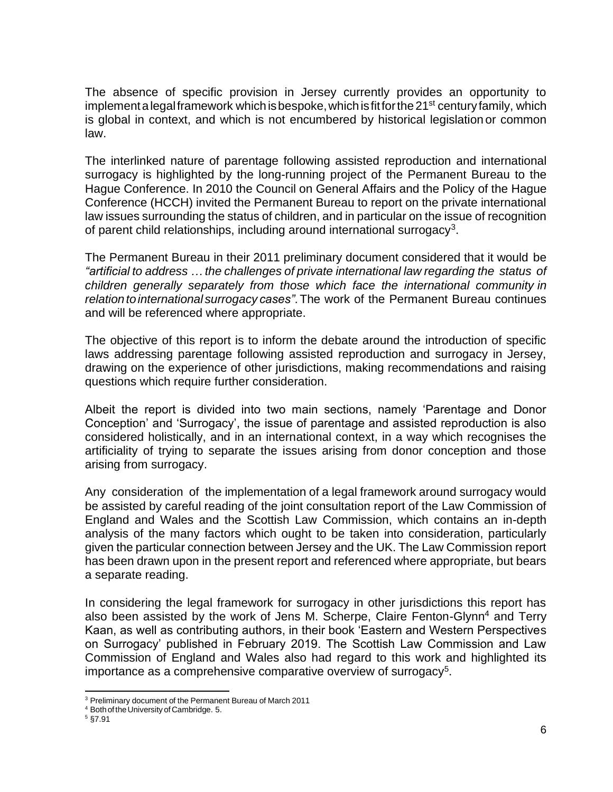The absence of specific provision in Jersey currently provides an opportunity to implement a legal framework which is bespoke, which is fit for the 21<sup>st</sup> century family, which is global in context, and which is not encumbered by historical legislation or common law.

The interlinked nature of parentage following assisted reproduction and international surrogacy is highlighted by the long-running project of the Permanent Bureau to the Hague Conference. In 2010 the Council on General Affairs and the Policy of the Hague Conference (HCCH) invited the Permanent Bureau to report on the private international law issues surrounding the status of children, and in particular on the issue of recognition of parent child relationships, including around international surrogacy<sup>3</sup>.

The Permanent Bureau in their 2011 preliminary document considered that it would be *"artificial to address … the challenges of private international law regarding the status of children generally separately from those which face the international community in relationtointernational surrogacy cases"*.The work of the Permanent Bureau continues and will be referenced where appropriate.

The objective of this report is to inform the debate around the introduction of specific laws addressing parentage following assisted reproduction and surrogacy in Jersey, drawing on the experience of other jurisdictions, making recommendations and raising questions which require further consideration.

Albeit the report is divided into two main sections, namely 'Parentage and Donor Conception' and 'Surrogacy', the issue of parentage and assisted reproduction is also considered holistically, and in an international context, in a way which recognises the artificiality of trying to separate the issues arising from donor conception and those arising from surrogacy.

Any consideration of the implementation of a legal framework around surrogacy would be assisted by careful reading of the joint consultation report of the Law Commission of England and Wales and the Scottish Law Commission, which contains an in-depth analysis of the many factors which ought to be taken into consideration, particularly given the particular connection between Jersey and the UK. The Law Commission report has been drawn upon in the present report and referenced where appropriate, but bears a separate reading.

In considering the legal framework for surrogacy in other jurisdictions this report has also been assisted by the work of Jens M. Scherpe, Claire Fenton-Glynn<sup>4</sup> and Terry Kaan, as well as contributing authors, in their book 'Eastern and Western Perspectives on Surrogacy' published in February 2019. The Scottish Law Commission and Law Commission of England and Wales also had regard to this work and highlighted its importance as a comprehensive comparative overview of surrogacy<sup>5</sup>.

<sup>3</sup> Preliminary document of the Permanent Bureau of March 2011

<sup>&</sup>lt;sup>4</sup> Both of the University of Cambridge. 5.

 $5$  §7.91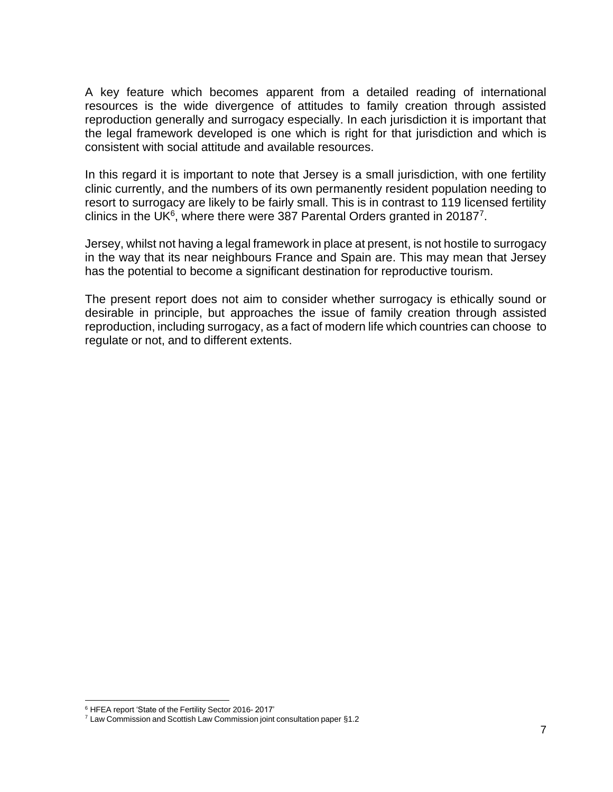A key feature which becomes apparent from a detailed reading of international resources is the wide divergence of attitudes to family creation through assisted reproduction generally and surrogacy especially. In each jurisdiction it is important that the legal framework developed is one which is right for that jurisdiction and which is consistent with social attitude and available resources.

In this regard it is important to note that Jersey is a small jurisdiction, with one fertility clinic currently, and the numbers of its own permanently resident population needing to resort to surrogacy are likely to be fairly small. This is in contrast to 119 licensed fertility clinics in the UK $6$ , where there were 387 Parental Orders granted in 20187<sup>7</sup>.

Jersey, whilst not having a legal framework in place at present, is not hostile to surrogacy in the way that its near neighbours France and Spain are. This may mean that Jersey has the potential to become a significant destination for reproductive tourism.

The present report does not aim to consider whether surrogacy is ethically sound or desirable in principle, but approaches the issue of family creation through assisted reproduction, including surrogacy, as a fact of modern life which countries can choose to regulate or not, and to different extents.

<sup>6</sup> HFEA report 'State of the Fertility Sector 2016- 2017'

<sup>7</sup> Law Commission and Scottish Law Commission joint consultation paper §1.2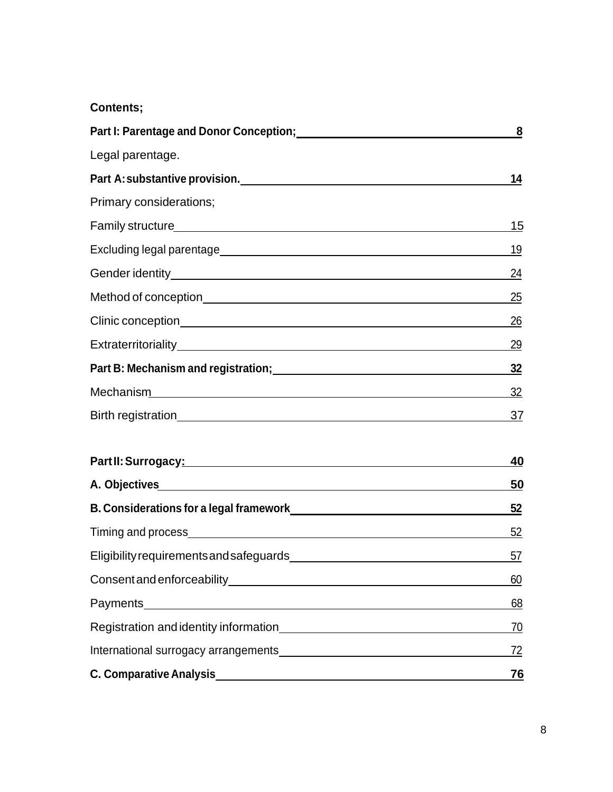# **Contents;**

| Part I: Parentage and Donor Conception; [100] Darram Conception and Donor Conception (100)                                                                                                                                       | $\overline{\mathbf{8}}$ |
|----------------------------------------------------------------------------------------------------------------------------------------------------------------------------------------------------------------------------------|-------------------------|
| Legal parentage.                                                                                                                                                                                                                 |                         |
|                                                                                                                                                                                                                                  | 14                      |
| Primary considerations;                                                                                                                                                                                                          |                         |
| Family structure<br>and the contract of the contract of the contract of the contract of the contract of the contract of the contract of the contract of the contract of the contract of the contract of the contract of the cont | 15                      |
|                                                                                                                                                                                                                                  | 19                      |
|                                                                                                                                                                                                                                  | <u>24</u>               |
|                                                                                                                                                                                                                                  | 25                      |
|                                                                                                                                                                                                                                  | 26                      |
|                                                                                                                                                                                                                                  | 29                      |
| Part B: Mechanism and registration; Manual Community of Bissue Community Part B: Mechanism and registration;                                                                                                                     | 32                      |
|                                                                                                                                                                                                                                  | 32                      |
|                                                                                                                                                                                                                                  | 37                      |
|                                                                                                                                                                                                                                  | <u>40</u>               |
|                                                                                                                                                                                                                                  | <u>50</u>               |
|                                                                                                                                                                                                                                  | $\frac{52}{ }$          |
|                                                                                                                                                                                                                                  | 52                      |
|                                                                                                                                                                                                                                  | 57                      |
|                                                                                                                                                                                                                                  | 60                      |
|                                                                                                                                                                                                                                  | 68                      |
|                                                                                                                                                                                                                                  | <u>70</u>               |
| and the contract of the contract of the contract of the                                                                                                                                                                          |                         |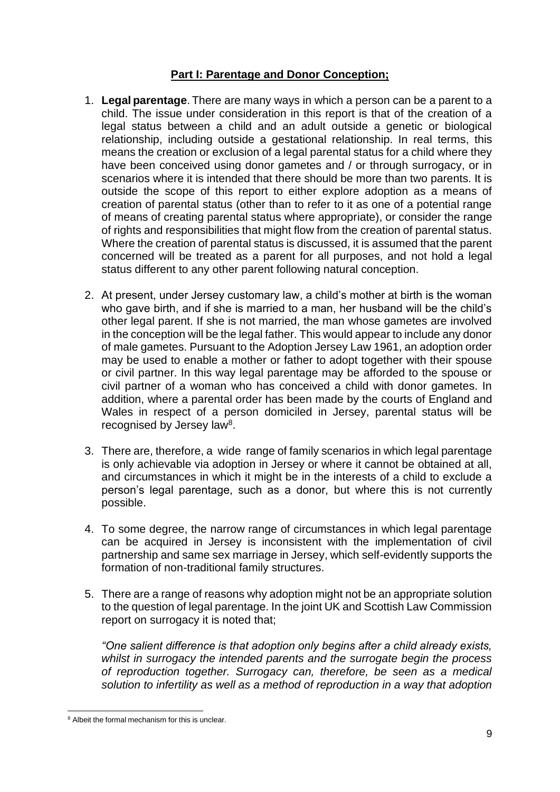# **Part I: Parentage and Donor Conception;**

- 1. **Legal parentage**. There are many ways in which a person can be a parent to a child. The issue under consideration in this report is that of the creation of a legal status between a child and an adult outside a genetic or biological relationship, including outside a gestational relationship. In real terms, this means the creation or exclusion of a legal parental status for a child where they have been conceived using donor gametes and / or through surrogacy, or in scenarios where it is intended that there should be more than two parents. It is outside the scope of this report to either explore adoption as a means of creation of parental status (other than to refer to it as one of a potential range of means of creating parental status where appropriate), or consider the range of rights and responsibilities that might flow from the creation of parental status. Where the creation of parental status is discussed, it is assumed that the parent concerned will be treated as a parent for all purposes, and not hold a legal status different to any other parent following natural conception.
- 2. At present, under Jersey customary law, a child's mother at birth is the woman who gave birth, and if she is married to a man, her husband will be the child's other legal parent. If she is not married, the man whose gametes are involved in the conception will be the legal father. This would appear to include any donor of male gametes. Pursuant to the Adoption Jersey Law 1961, an adoption order may be used to enable a mother or father to adopt together with their spouse or civil partner. In this way legal parentage may be afforded to the spouse or civil partner of a woman who has conceived a child with donor gametes. In addition, where a parental order has been made by the courts of England and Wales in respect of a person domiciled in Jersey, parental status will be recognised by Jersey law<sup>8</sup>.
- 3. There are, therefore, a wide range of family scenarios in which legal parentage is only achievable via adoption in Jersey or where it cannot be obtained at all, and circumstances in which it might be in the interests of a child to exclude a person's legal parentage, such as a donor, but where this is not currently possible.
- 4. To some degree, the narrow range of circumstances in which legal parentage can be acquired in Jersey is inconsistent with the implementation of civil partnership and same sex marriage in Jersey, which self-evidently supports the formation of non-traditional family structures.
- 5. There are a range of reasons why adoption might not be an appropriate solution to the question of legal parentage. In the joint UK and Scottish Law Commission report on surrogacy it is noted that;

*"One salient difference is that adoption only begins after a child already exists, whilst in surrogacy the intended parents and the surrogate begin the process of reproduction together. Surrogacy can, therefore, be seen as a medical solution to infertility as well as a method of reproduction in a way that adoption* 

<sup>&</sup>lt;sup>8</sup> Albeit the formal mechanism for this is unclear.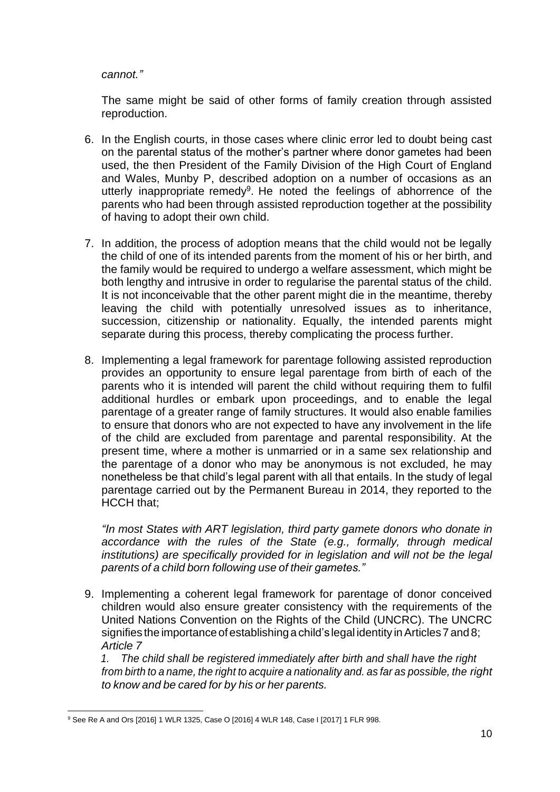## *cannot."*

The same might be said of other forms of family creation through assisted reproduction.

- 6. In the English courts, in those cases where clinic error led to doubt being cast on the parental status of the mother's partner where donor gametes had been used, the then President of the Family Division of the High Court of England and Wales, Munby P, described adoption on a number of occasions as an utterly inappropriate remedy<sup>9</sup>. He noted the feelings of abhorrence of the parents who had been through assisted reproduction together at the possibility of having to adopt their own child.
- 7. In addition, the process of adoption means that the child would not be legally the child of one of its intended parents from the moment of his or her birth, and the family would be required to undergo a welfare assessment, which might be both lengthy and intrusive in order to regularise the parental status of the child. It is not inconceivable that the other parent might die in the meantime, thereby leaving the child with potentially unresolved issues as to inheritance, succession, citizenship or nationality. Equally, the intended parents might separate during this process, thereby complicating the process further.
- 8. Implementing a legal framework for parentage following assisted reproduction provides an opportunity to ensure legal parentage from birth of each of the parents who it is intended will parent the child without requiring them to fulfil additional hurdles or embark upon proceedings, and to enable the legal parentage of a greater range of family structures. It would also enable families to ensure that donors who are not expected to have any involvement in the life of the child are excluded from parentage and parental responsibility. At the present time, where a mother is unmarried or in a same sex relationship and the parentage of a donor who may be anonymous is not excluded, he may nonetheless be that child's legal parent with all that entails. In the study of legal parentage carried out by the Permanent Bureau in 2014, they reported to the HCCH that;

*"In most States with ART legislation, third party gamete donors who donate in accordance with the rules of the State (e.g., formally, through medical institutions) are specifically provided for in legislation and will not be the legal parents of a child born following use of their gametes."*

9. Implementing a coherent legal framework for parentage of donor conceived children would also ensure greater consistency with the requirements of the United Nations Convention on the Rights of the Child (UNCRC). The UNCRC signifies the importance of establishing a child's legal identity in Articles 7 and 8; *Article 7*

*1. The child shall be registered immediately after birth and shall have the right from birth to a name, the right to acquire a nationality and. as far as possible, the right to know and be cared for by his or her parents.*

<sup>9</sup> See Re A and Ors [2016] 1 WLR 1325, Case O [2016] 4 WLR 148, Case I [2017] 1 FLR 998.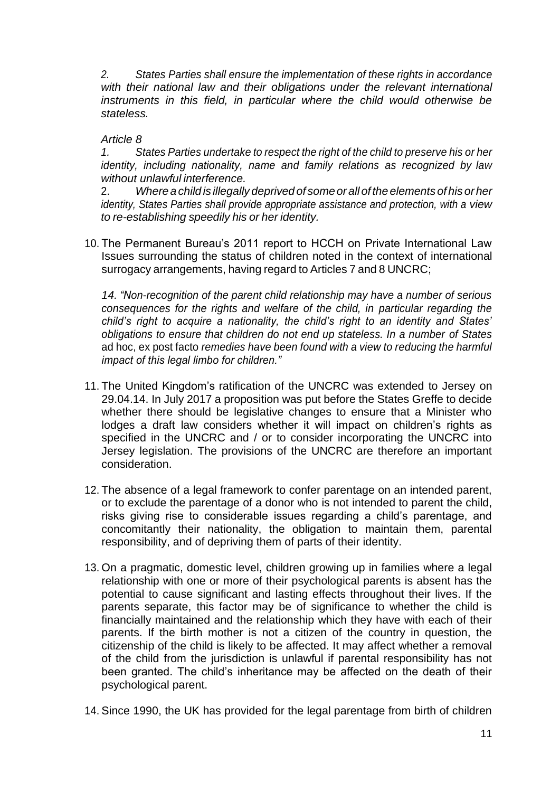*2. States Parties shall ensure the implementation of these rights in accordance with their national law and their obligations under the relevant international instruments in this field, in particular where the child would otherwise be stateless.*

# *Article 8*

*1. States Parties undertake to respect the right of the child to preserve his or her identity, including nationality, name and family relations as recognized by law without unlawful interference.*

2. *Where a child is illegally deprived of someor all of the elements of his orher identity, States Parties shall provide appropriate assistance and protection, with a view to re-establishing speedily his or her identity.*

10. The Permanent Bureau's 2011 report to HCCH on Private International Law Issues surrounding the status of children noted in the context of international surrogacy arrangements, having regard to Articles 7 and 8 UNCRC;

*14. "Non-recognition of the parent child relationship may have a number of serious consequences for the rights and welfare of the child, in particular regarding the child's right to acquire a nationality, the child's right to an identity and States' obligations to ensure that children do not end up stateless. In a number of States*  ad hoc, ex post facto *remedies have been found with a view to reducing the harmful impact of this legal limbo for children."*

- 11. The United Kingdom's ratification of the UNCRC was extended to Jersey on 29.04.14. In July 2017 a proposition was put before the States Greffe to decide whether there should be legislative changes to ensure that a Minister who lodges a draft law considers whether it will impact on children's rights as specified in the UNCRC and / or to consider incorporating the UNCRC into Jersey legislation. The provisions of the UNCRC are therefore an important consideration.
- 12. The absence of a legal framework to confer parentage on an intended parent, or to exclude the parentage of a donor who is not intended to parent the child, risks giving rise to considerable issues regarding a child's parentage, and concomitantly their nationality, the obligation to maintain them, parental responsibility, and of depriving them of parts of their identity.
- 13. On a pragmatic, domestic level, children growing up in families where a legal relationship with one or more of their psychological parents is absent has the potential to cause significant and lasting effects throughout their lives. If the parents separate, this factor may be of significance to whether the child is financially maintained and the relationship which they have with each of their parents. If the birth mother is not a citizen of the country in question, the citizenship of the child is likely to be affected. It may affect whether a removal of the child from the jurisdiction is unlawful if parental responsibility has not been granted. The child's inheritance may be affected on the death of their psychological parent.
- 14. Since 1990, the UK has provided for the legal parentage from birth of children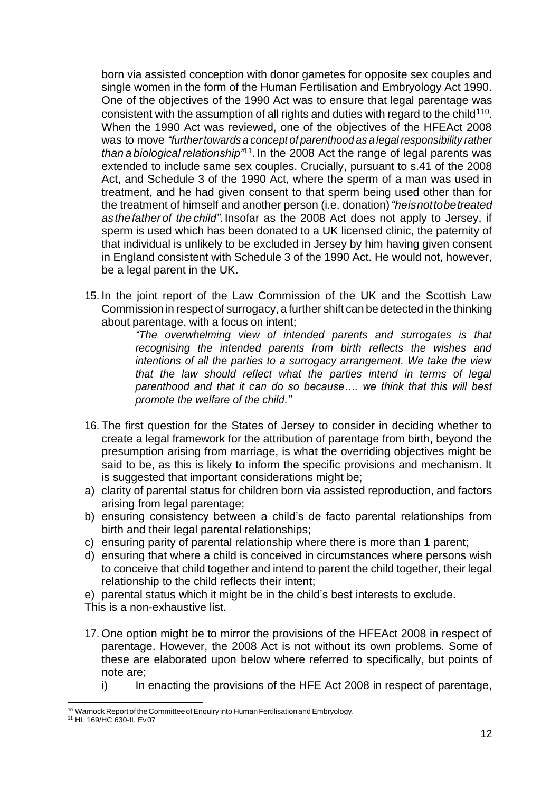born via assisted conception with donor gametes for opposite sex couples and single women in the form of the Human Fertilisation and Embryology Act 1990. One of the objectives of the 1990 Act was to ensure that legal parentage was consistent with the assumption of all rights and duties with regard to the child $110$ . When the 1990 Act was reviewed, one of the objectives of the HFEAct 2008 was to move *"further towards a concept of parenthood as a legal responsibility rather* than a biological relationship<sup>71</sup>. In the 2008 Act the range of legal parents was extended to include same sex couples. Crucially, pursuant to s.41 of the 2008 Act, and Schedule 3 of the 1990 Act, where the sperm of a man was used in treatment, and he had given consent to that sperm being used other than for the treatment of himself and another person (i.e. donation)*"heisnottobetreated asthefatherof thechild"*. Insofar as the 2008 Act does not apply to Jersey, if sperm is used which has been donated to a UK licensed clinic, the paternity of that individual is unlikely to be excluded in Jersey by him having given consent in England consistent with Schedule 3 of the 1990 Act. He would not, however, be a legal parent in the UK.

15. In the joint report of the Law Commission of the UK and the Scottish Law Commission in respect of surrogacy, a further shift can be detected in the thinking about parentage, with a focus on intent;

*"The overwhelming view of intended parents and surrogates is that recognising the intended parents from birth reflects the wishes and intentions of all the parties to a surrogacy arrangement. We take the view that the law should reflect what the parties intend in terms of legal parenthood and that it can do so because…. we think that this will best promote the welfare of the child."*

- 16. The first question for the States of Jersey to consider in deciding whether to create a legal framework for the attribution of parentage from birth, beyond the presumption arising from marriage, is what the overriding objectives might be said to be, as this is likely to inform the specific provisions and mechanism. It is suggested that important considerations might be;
- a) clarity of parental status for children born via assisted reproduction, and factors arising from legal parentage;
- b) ensuring consistency between a child's de facto parental relationships from birth and their legal parental relationships;
- c) ensuring parity of parental relationship where there is more than 1 parent;
- d) ensuring that where a child is conceived in circumstances where persons wish to conceive that child together and intend to parent the child together, their legal relationship to the child reflects their intent;

e) parental status which it might be in the child's best interests to exclude.

This is a non-exhaustive list.

- 17. One option might be to mirror the provisions of the HFEAct 2008 in respect of parentage. However, the 2008 Act is not without its own problems. Some of these are elaborated upon below where referred to specifically, but points of note are;
	- i) In enacting the provisions of the HFE Act 2008 in respect of parentage,

<sup>&</sup>lt;sup>10</sup> Warnock Report of the Committee of Enquiry into Human Fertilisation and Embryology.

<sup>11</sup> HL 169/HC 630-II, Ev07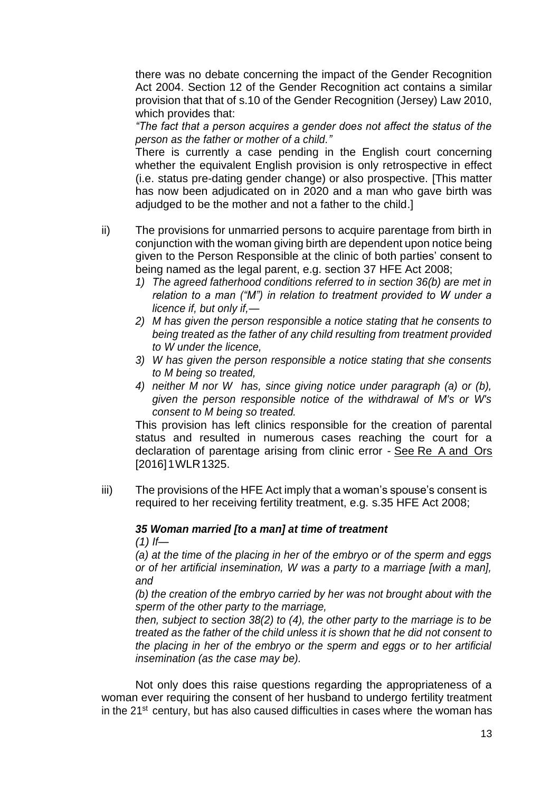there was no debate concerning the impact of the Gender Recognition Act 2004. Section 12 of the Gender Recognition act contains a similar provision that that of s.10 of the Gender Recognition (Jersey) Law 2010, which provides that:

*"The fact that a person acquires a gender does not affect the status of the person as the father or mother of a child."*

There is currently a case pending in the English court concerning whether the equivalent English provision is only retrospective in effect (i.e. status pre-dating gender change) or also prospective. [This matter has now been adjudicated on in 2020 and a man who gave birth was adjudged to be the mother and not a father to the child.]

- ii) The provisions for unmarried persons to acquire parentage from birth in conjunction with the woman giving birth are dependent upon notice being given to the Person Responsible at the clinic of both parties' consent to being named as the legal parent, e.g. section 37 HFE Act 2008;
	- *1) The agreed fatherhood conditions referred to in section 36(b) are met in relation to a man ("M") in relation to treatment provided to W under a licence if, but only if,—*
	- *2) M has given the person responsible a notice stating that he consents to being treated as the father of any child resulting from treatment provided to W under the licence,*
	- *3) W has given the person responsible a notice stating that she consents to M being so treated,*
	- *4) neither M nor W has, since giving notice under paragraph (a) or (b), given the person responsible notice of the withdrawal of M's or W's consent to M being so treated.*

This provision has left clinics responsible for the creation of parental status and resulted in numerous cases reaching the court for a declaration of parentage arising from clinic error - See Re A and Ors [2016]1WLR1325.

iii) The provisions of the HFE Act imply that a woman's spouse's consent is required to her receiving fertility treatment, e.g. s.35 HFE Act 2008;

#### *35 Woman married [to a man] at time of treatment*

*(1) If—*

*(a) at the time of the placing in her of the embryo or of the sperm and eggs or of her artificial insemination, W was a party to a marriage [with a man], and*

*(b) the creation of the embryo carried by her was not brought about with the sperm of the other party to the marriage,*

*then, subject to section 38(2) to (4), the other party to the marriage is to be treated as the father of the child unless it is shown that he did not consent to the placing in her of the embryo or the sperm and eggs or to her artificial insemination (as the case may be).*

Not only does this raise questions regarding the appropriateness of a woman ever requiring the consent of her husband to undergo fertility treatment in the  $21^{st}$  century, but has also caused difficulties in cases where the woman has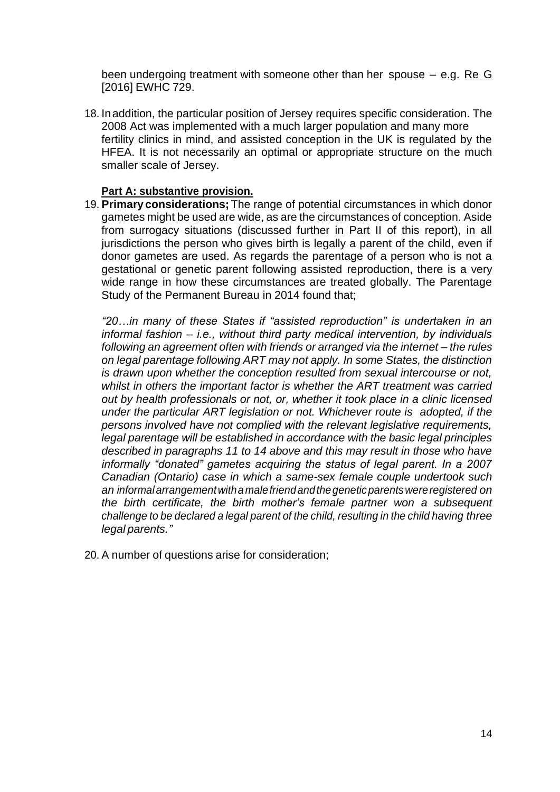been undergoing treatment with someone other than her spouse – e.g. Re G [2016] EWHC 729.

18. Inaddition, the particular position of Jersey requires specific consideration. The 2008 Act was implemented with a much larger population and many more fertility clinics in mind, and assisted conception in the UK is regulated by the HFEA. It is not necessarily an optimal or appropriate structure on the much smaller scale of Jersey.

# **Part A: substantive provision.**

19. **Primary considerations;** The range of potential circumstances in which donor gametes might be used are wide, as are the circumstances of conception. Aside from surrogacy situations (discussed further in Part II of this report), in all jurisdictions the person who gives birth is legally a parent of the child, even if donor gametes are used. As regards the parentage of a person who is not a gestational or genetic parent following assisted reproduction, there is a very wide range in how these circumstances are treated globally. The Parentage Study of the Permanent Bureau in 2014 found that;

*"20…in many of these States if "assisted reproduction" is undertaken in an informal fashion – i.e., without third party medical intervention, by individuals following an agreement often with friends or arranged via the internet – the rules on legal parentage following ART may not apply. In some States, the distinction is drawn upon whether the conception resulted from sexual intercourse or not, whilst in others the important factor is whether the ART treatment was carried out by health professionals or not, or, whether it took place in a clinic licensed under the particular ART legislation or not. Whichever route is adopted, if the persons involved have not complied with the relevant legislative requirements, legal parentage will be established in accordance with the basic legal principles described in paragraphs 11 to 14 above and this may result in those who have informally "donated" gametes acquiring the status of legal parent. In a 2007 Canadian (Ontario) case in which a same-sex female couple undertook such an informalarrangementwithamalefriendandthegeneticparentswereregistered on the birth certificate, the birth mother's female partner won a subsequent challenge to be declared a legal parent of the child, resulting in the child having three legal parents."*

20. A number of questions arise for consideration;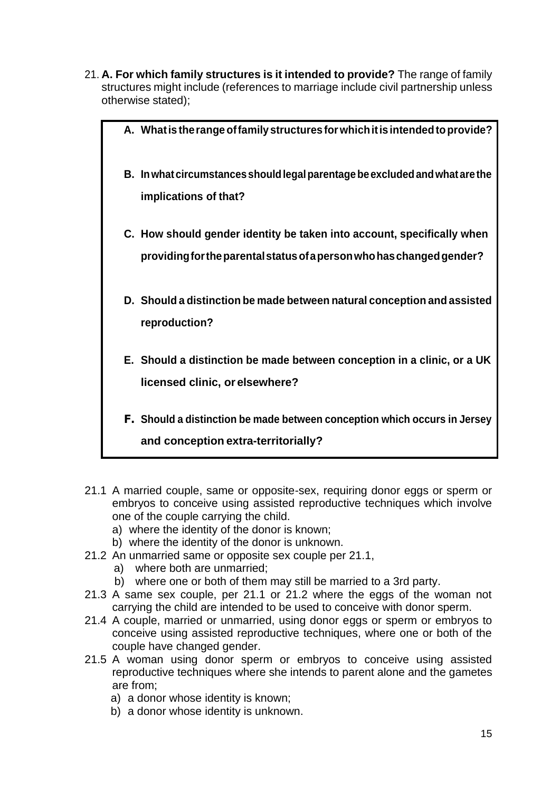21. **A. For which family structures is it intended to provide?** The range of family structures might include (references to marriage include civil partnership unless otherwise stated);

| A. What is the range of family structures for which it is intended to provide?                                                                  |
|-------------------------------------------------------------------------------------------------------------------------------------------------|
| B. In what circumstances should legal parentage be excluded and what are the<br>implications of that?                                           |
| C. How should gender identity be taken into account, specifically when<br>providing for the parental status of a person who has changed gender? |
| D. Should a distinction be made between natural conception and assisted<br>reproduction?                                                        |
| E. Should a distinction be made between conception in a clinic, or a UK<br>licensed clinic, or elsewhere?                                       |
| F. Should a distinction be made between conception which occurs in Jersey<br>and conception extra-territorially?                                |

- 21.1 A married couple, same or opposite-sex, requiring donor eggs or sperm or embryos to conceive using assisted reproductive techniques which involve one of the couple carrying the child.
	- a) where the identity of the donor is known;
	- b) where the identity of the donor is unknown.
- 21.2 An unmarried same or opposite sex couple per 21.1,
	- a) where both are unmarried;
	- b) where one or both of them may still be married to a 3rd party.
- 21.3 A same sex couple, per 21.1 or 21.2 where the eggs of the woman not carrying the child are intended to be used to conceive with donor sperm.
- 21.4 A couple, married or unmarried, using donor eggs or sperm or embryos to conceive using assisted reproductive techniques, where one or both of the couple have changed gender.
- 21.5 A woman using donor sperm or embryos to conceive using assisted reproductive techniques where she intends to parent alone and the gametes are from;
	- a) a donor whose identity is known;
	- b) a donor whose identity is unknown.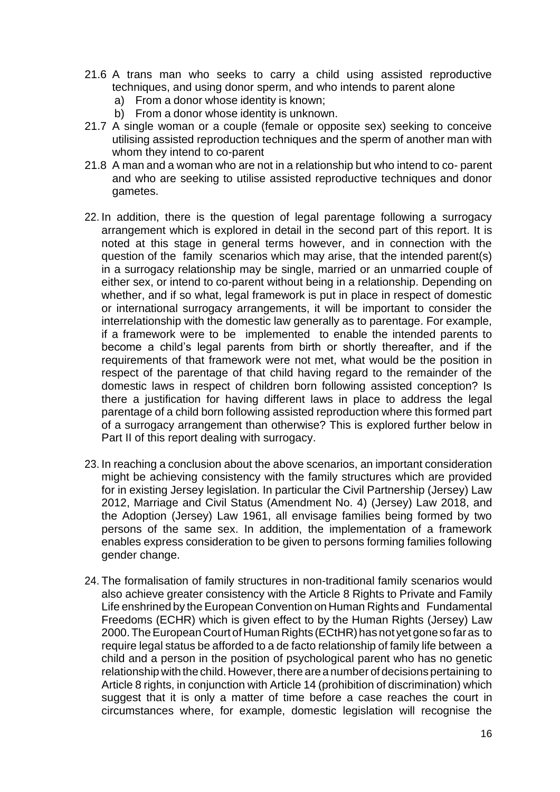- 21.6 A trans man who seeks to carry a child using assisted reproductive techniques, and using donor sperm, and who intends to parent alone
	- a) From a donor whose identity is known;
	- b) From a donor whose identity is unknown.
- 21.7 A single woman or a couple (female or opposite sex) seeking to conceive utilising assisted reproduction techniques and the sperm of another man with whom they intend to co-parent
- 21.8 A man and a woman who are not in a relationship but who intend to co- parent and who are seeking to utilise assisted reproductive techniques and donor gametes.
- 22. In addition, there is the question of legal parentage following a surrogacy arrangement which is explored in detail in the second part of this report. It is noted at this stage in general terms however, and in connection with the question of the family scenarios which may arise, that the intended parent(s) in a surrogacy relationship may be single, married or an unmarried couple of either sex, or intend to co-parent without being in a relationship. Depending on whether, and if so what, legal framework is put in place in respect of domestic or international surrogacy arrangements, it will be important to consider the interrelationship with the domestic law generally as to parentage. For example, if a framework were to be implemented to enable the intended parents to become a child's legal parents from birth or shortly thereafter, and if the requirements of that framework were not met, what would be the position in respect of the parentage of that child having regard to the remainder of the domestic laws in respect of children born following assisted conception? Is there a justification for having different laws in place to address the legal parentage of a child born following assisted reproduction where this formed part of a surrogacy arrangement than otherwise? This is explored further below in Part II of this report dealing with surrogacy.
- 23. In reaching a conclusion about the above scenarios, an important consideration might be achieving consistency with the family structures which are provided for in existing Jersey legislation. In particular the Civil Partnership (Jersey) Law 2012, Marriage and Civil Status (Amendment No. 4) (Jersey) Law 2018, and the Adoption (Jersey) Law 1961, all envisage families being formed by two persons of the same sex. In addition, the implementation of a framework enables express consideration to be given to persons forming families following gender change.
- 24. The formalisation of family structures in non-traditional family scenarios would also achieve greater consistency with the Article 8 Rights to Private and Family Life enshrined by the European Convention on Human Rights and Fundamental Freedoms (ECHR) which is given effect to by the Human Rights (Jersey) Law 2000. The European Court of Human Rights (ECtHR) has not yet gone so far as to require legal status be afforded to a de facto relationship of family life between a child and a person in the position of psychological parent who has no genetic relationship with the child. However, there are a number of decisions pertaining to Article 8 rights, in conjunction with Article 14 (prohibition of discrimination) which suggest that it is only a matter of time before a case reaches the court in circumstances where, for example, domestic legislation will recognise the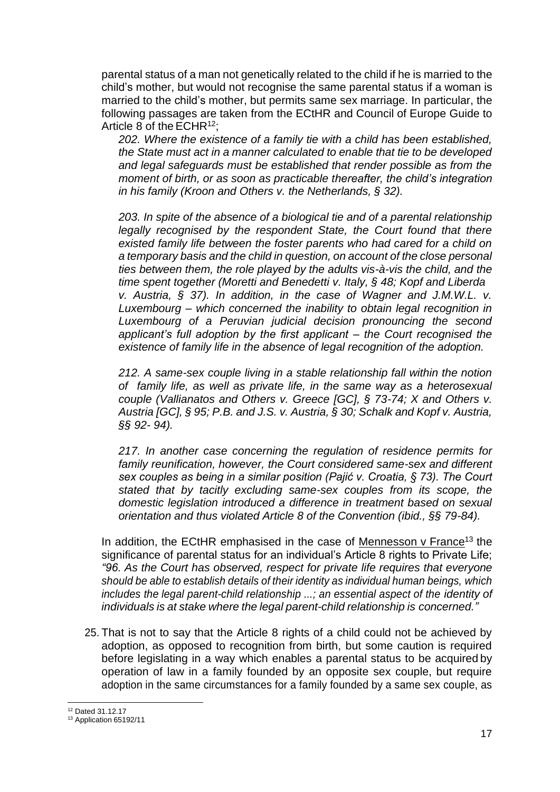parental status of a man not genetically related to the child if he is married to the child's mother, but would not recognise the same parental status if a woman is married to the child's mother, but permits same sex marriage. In particular, the following passages are taken from the ECtHR and Council of Europe Guide to Article 8 of the  $ECHR<sup>12</sup>$ :

*202. Where the existence of a family tie with a child has been established, the State must act in a manner calculated to enable that tie to be developed and legal safeguards must be established that render possible as from the moment of birth, or as soon as practicable thereafter, the child's integration in his family (Kroon and Others v. the Netherlands, § 32).*

*203. In spite of the absence of a biological tie and of a parental relationship*  legally recognised by the respondent State, the Court found that there *existed family life between the foster parents who had cared for a child on a temporary basis and the child in question, on account of the close personal ties between them, the role played by the adults vis-à-vis the child, and the time spent together (Moretti and Benedetti v. Italy, § 48; Kopf and Liberda v. Austria, § 37). In addition, in the case of Wagner and J.M.W.L. v. Luxembourg – which concerned the inability to obtain legal recognition in Luxembourg of a Peruvian judicial decision pronouncing the second applicant's full adoption by the first applicant – the Court recognised the existence of family life in the absence of legal recognition of the adoption.*

*212. A same-sex couple living in a stable relationship fall within the notion of family life, as well as private life, in the same way as a heterosexual couple (Vallianatos and Others v. Greece [GC], § 73-74; X and Others v. Austria [GC], § 95; P.B. and J.S. v. Austria, § 30; Schalk and Kopf v. Austria, §§ 92- 94).*

*217. In another case concerning the regulation of residence permits for family reunification, however, the Court considered same-sex and different sex couples as being in a similar position (Pajić v. Croatia, § 73). The Court stated that by tacitly excluding same-sex couples from its scope, the domestic legislation introduced a difference in treatment based on sexual orientation and thus violated Article 8 of the Convention (ibid., §§ 79-84).*

In addition, the ECtHR emphasised in the case of Mennesson  $v$  France<sup>13</sup> the significance of parental status for an individual's Article 8 rights to Private Life; *"96. As the Court has observed, respect for private life requires that everyone should be able to establish details of their identity as individual human beings, which includes the legal parent-child relationship ...; an essential aspect of the identity of individuals is at stake where the legal parent-child relationship is concerned."*

25. That is not to say that the Article 8 rights of a child could not be achieved by adoption, as opposed to recognition from birth, but some caution is required before legislating in a way which enables a parental status to be acquired by operation of law in a family founded by an opposite sex couple, but require adoption in the same circumstances for a family founded by a same sex couple, as

<sup>12</sup> Dated 31.12.17

<sup>&</sup>lt;sup>13</sup> Application 65192/11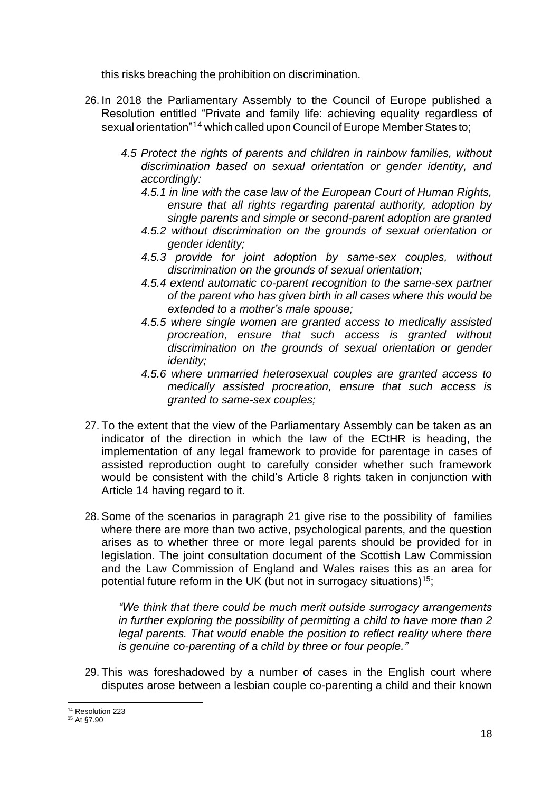this risks breaching the prohibition on discrimination.

- 26. In 2018 the Parliamentary Assembly to the Council of Europe published a Resolution entitled "Private and family life: achieving equality regardless of sexual orientation"<sup>14</sup> which called upon Council of Europe Member States to;
	- *4.5 Protect the rights of parents and children in rainbow families, without discrimination based on sexual orientation or gender identity, and accordingly:*
		- *4.5.1 in line with the case law of the European Court of Human Rights, ensure that all rights regarding parental authority, adoption by single parents and simple or second-parent adoption are granted*
		- *4.5.2 without discrimination on the grounds of sexual orientation or gender identity;*
		- *4.5.3 provide for joint adoption by same-sex couples, without discrimination on the grounds of sexual orientation;*
		- *4.5.4 extend automatic co-parent recognition to the same-sex partner of the parent who has given birth in all cases where this would be extended to a mother's male spouse;*
		- *4.5.5 where single women are granted access to medically assisted procreation, ensure that such access is granted without discrimination on the grounds of sexual orientation or gender identity;*
		- *4.5.6 where unmarried heterosexual couples are granted access to medically assisted procreation, ensure that such access is granted to same-sex couples;*
- 27. To the extent that the view of the Parliamentary Assembly can be taken as an indicator of the direction in which the law of the ECtHR is heading, the implementation of any legal framework to provide for parentage in cases of assisted reproduction ought to carefully consider whether such framework would be consistent with the child's Article 8 rights taken in conjunction with Article 14 having regard to it.
- 28. Some of the scenarios in paragraph 21 give rise to the possibility of families where there are more than two active, psychological parents, and the question arises as to whether three or more legal parents should be provided for in legislation. The joint consultation document of the Scottish Law Commission and the Law Commission of England and Wales raises this as an area for potential future reform in the UK (but not in surrogacy situations)<sup>15</sup>;

*"We think that there could be much merit outside surrogacy arrangements in further exploring the possibility of permitting a child to have more than 2 legal parents. That would enable the position to reflect reality where there is genuine co-parenting of a child by three or four people."*

29. This was foreshadowed by a number of cases in the English court where disputes arose between a lesbian couple co-parenting a child and their known

<sup>&</sup>lt;sup>14</sup> Resolution 223

<sup>15</sup> At §7.90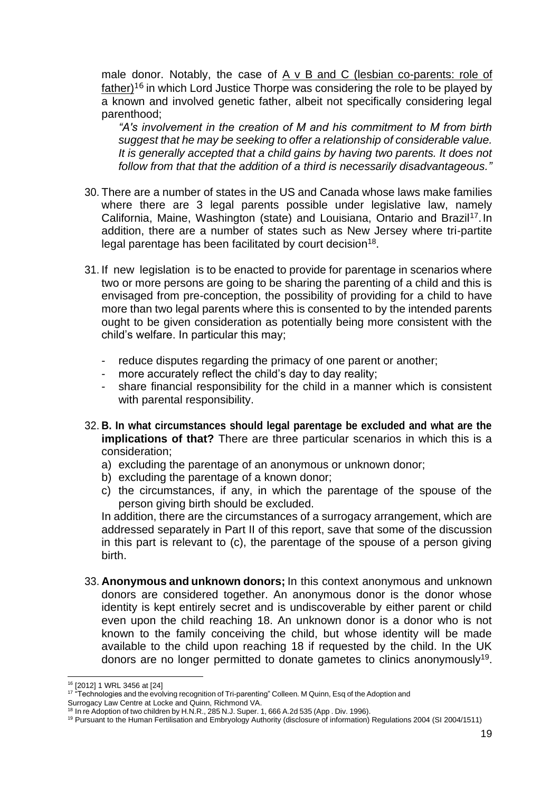male donor. Notably, the case of A v B and C (lesbian co-parents: role of  $father)$ <sup>16</sup> in which Lord Justice Thorpe was considering the role to be played by a known and involved genetic father, albeit not specifically considering legal parenthood;

*"A's involvement in the creation of M and his commitment to M from birth suggest that he may be seeking to offer a relationship of considerable value. It is generally accepted that a child gains by having two parents. It does not follow from that that the addition of a third is necessarily disadvantageous."*

- 30. There are a number of states in the US and Canada whose laws make families where there are 3 legal parents possible under legislative law, namely California, Maine, Washington (state) and Louisiana, Ontario and Brazil<sup>17</sup>. In addition, there are a number of states such as New Jersey where tri-partite legal parentage has been facilitated by court decision<sup>18</sup>.
- 31. If new legislation is to be enacted to provide for parentage in scenarios where two or more persons are going to be sharing the parenting of a child and this is envisaged from pre-conception, the possibility of providing for a child to have more than two legal parents where this is consented to by the intended parents ought to be given consideration as potentially being more consistent with the child's welfare. In particular this may;
	- reduce disputes regarding the primacy of one parent or another;
	- more accurately reflect the child's day to day reality;
	- share financial responsibility for the child in a manner which is consistent with parental responsibility.
- 32. **B. In what circumstances should legal parentage be excluded and what are the implications of that?** There are three particular scenarios in which this is a consideration;
	- a) excluding the parentage of an anonymous or unknown donor;
	- b) excluding the parentage of a known donor;
	- c) the circumstances, if any, in which the parentage of the spouse of the person giving birth should be excluded.

In addition, there are the circumstances of a surrogacy arrangement, which are addressed separately in Part II of this report, save that some of the discussion in this part is relevant to (c), the parentage of the spouse of a person giving birth.

33. **Anonymous and unknown donors;** In this context anonymous and unknown donors are considered together. An anonymous donor is the donor whose identity is kept entirely secret and is undiscoverable by either parent or child even upon the child reaching 18. An unknown donor is a donor who is not known to the family conceiving the child, but whose identity will be made available to the child upon reaching 18 if requested by the child. In the UK donors are no longer permitted to donate gametes to clinics anonymously<sup>19</sup>.

<sup>16</sup> [2012] 1 WRL 3456 at [24]

<sup>&</sup>lt;sup>1</sup><sup>1</sup> "Technologies and the evolving recognition of Tri-parenting" Colleen. M Quinn, Esq of the Adoption and Surrogacy Law Centre at Locke and Quinn, Richmond VA.

<sup>&</sup>lt;sup>18</sup> In re Adoption of two children by H.N.R., 285 N.J. Super. 1, 666 A.2d 535 (App . Div. 1996).

<sup>19</sup> Pursuant to the Human Fertilisation and Embryology Authority (disclosure of information) Regulations 2004 (SI 2004/1511)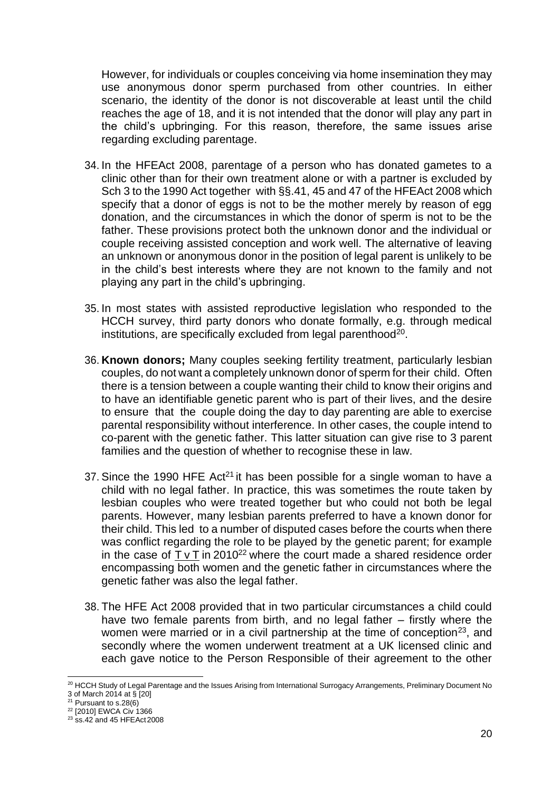However, for individuals or couples conceiving via home insemination they may use anonymous donor sperm purchased from other countries. In either scenario, the identity of the donor is not discoverable at least until the child reaches the age of 18, and it is not intended that the donor will play any part in the child's upbringing. For this reason, therefore, the same issues arise regarding excluding parentage.

- 34. In the HFEAct 2008, parentage of a person who has donated gametes to a clinic other than for their own treatment alone or with a partner is excluded by Sch 3 to the 1990 Act together with §§.41, 45 and 47 of the HFEAct 2008 which specify that a donor of eggs is not to be the mother merely by reason of egg donation, and the circumstances in which the donor of sperm is not to be the father. These provisions protect both the unknown donor and the individual or couple receiving assisted conception and work well. The alternative of leaving an unknown or anonymous donor in the position of legal parent is unlikely to be in the child's best interests where they are not known to the family and not playing any part in the child's upbringing.
- 35. In most states with assisted reproductive legislation who responded to the HCCH survey, third party donors who donate formally, e.g. through medical institutions, are specifically excluded from legal parenthood $20$ .
- 36. **Known donors;** Many couples seeking fertility treatment, particularly lesbian couples, do not want a completely unknown donor of sperm for their child. Often there is a tension between a couple wanting their child to know their origins and to have an identifiable genetic parent who is part of their lives, and the desire to ensure that the couple doing the day to day parenting are able to exercise parental responsibility without interference. In other cases, the couple intend to co-parent with the genetic father. This latter situation can give rise to 3 parent families and the question of whether to recognise these in law.
- 37. Since the 1990 HFE Act<sup>21</sup> it has been possible for a single woman to have a child with no legal father. In practice, this was sometimes the route taken by lesbian couples who were treated together but who could not both be legal parents. However, many lesbian parents preferred to have a known donor for their child. This led to a number of disputed cases before the courts when there was conflict regarding the role to be played by the genetic parent; for example in the case of  $\overline{T}$  v  $\overline{T}$  in 2010<sup>22</sup> where the court made a shared residence order encompassing both women and the genetic father in circumstances where the genetic father was also the legal father.
- 38. The HFE Act 2008 provided that in two particular circumstances a child could have two female parents from birth, and no legal father – firstly where the women were married or in a civil partnership at the time of conception<sup>23</sup>, and secondly where the women underwent treatment at a UK licensed clinic and each gave notice to the Person Responsible of their agreement to the other

<sup>&</sup>lt;sup>20</sup> HCCH Study of Legal Parentage and the Issues Arising from International Surrogacy Arrangements, Preliminary Document No 3 of March 2014 at § [20]

 $21$  Pursuant to s. 28(6)

<sup>&</sup>lt;sup>22</sup> [2010] EWCA Civ 1366

 $23$  ss.42 and 45 HFEAct 2008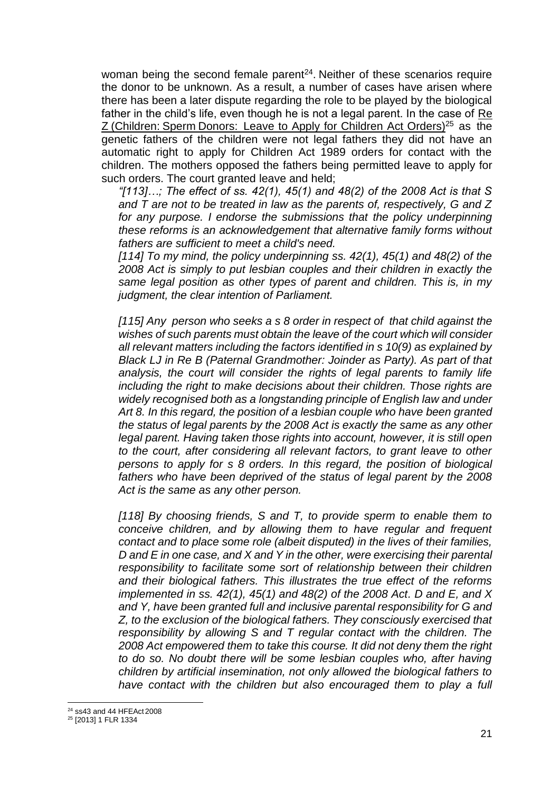woman being the second female parent<sup>24</sup>. Neither of these scenarios require the donor to be unknown. As a result, a number of cases have arisen where there has been a later dispute regarding the role to be played by the biological father in the child's life, even though he is not a legal parent. In the case of Re Z (Children: Sperm Donors: Leave to Apply for Children Act Orders)<sup>25</sup> as the genetic fathers of the children were not legal fathers they did not have an automatic right to apply for Children Act 1989 orders for contact with the children. The mothers opposed the fathers being permitted leave to apply for such orders. The court granted leave and held;

*"[113]…; The effect of ss. 42(1), 45(1) and 48(2) of the 2008 Act is that S and T are not to be treated in law as the parents of, respectively, G and Z for any purpose. I endorse the submissions that the policy underpinning these reforms is an acknowledgement that alternative family forms without fathers are sufficient to meet a child's need.*

*[114] To my mind, the policy underpinning ss. 42(1), 45(1) and 48(2) of the 2008 Act is simply to put lesbian couples and their children in exactly the same legal position as other types of parent and children. This is, in my judgment, the clear intention of Parliament.*

*[115] Any person who seeks a s 8 order in respect of that child against the wishes of such parents must obtain the leave of the court which will consider all relevant matters including the factors identified in s 10(9) as explained by Black LJ in Re B (Paternal Grandmother: Joinder as Party). As part of that analysis, the court will consider the rights of legal parents to family life including the right to make decisions about their children. Those rights are widely recognised both as a longstanding principle of English law and under Art 8. In this regard, the position of a lesbian couple who have been granted the status of legal parents by the 2008 Act is exactly the same as any other legal parent. Having taken those rights into account, however, it is still open to the court, after considering all relevant factors, to grant leave to other persons to apply for s 8 orders. In this regard, the position of biological fathers who have been deprived of the status of legal parent by the 2008 Act is the same as any other person.*

*[118] By choosing friends, S and T, to provide sperm to enable them to conceive children, and by allowing them to have regular and frequent contact and to place some role (albeit disputed) in the lives of their families, D and E in one case, and X and Y in the other, were exercising their parental responsibility to facilitate some sort of relationship between their children and their biological fathers. This illustrates the true effect of the reforms implemented in ss. 42(1), 45(1) and 48(2) of the 2008 Act. D and E, and X and Y, have been granted full and inclusive parental responsibility for G and Z, to the exclusion of the biological fathers. They consciously exercised that responsibility by allowing S and T regular contact with the children. The 2008 Act empowered them to take this course. It did not deny them the right to do so. No doubt there will be some lesbian couples who, after having children by artificial insemination, not only allowed the biological fathers to have contact with the children but also encouraged them to play a full* 

<sup>24</sup> ss43 and 44 HFEAct 2008

<sup>25</sup> [2013] 1 FLR 1334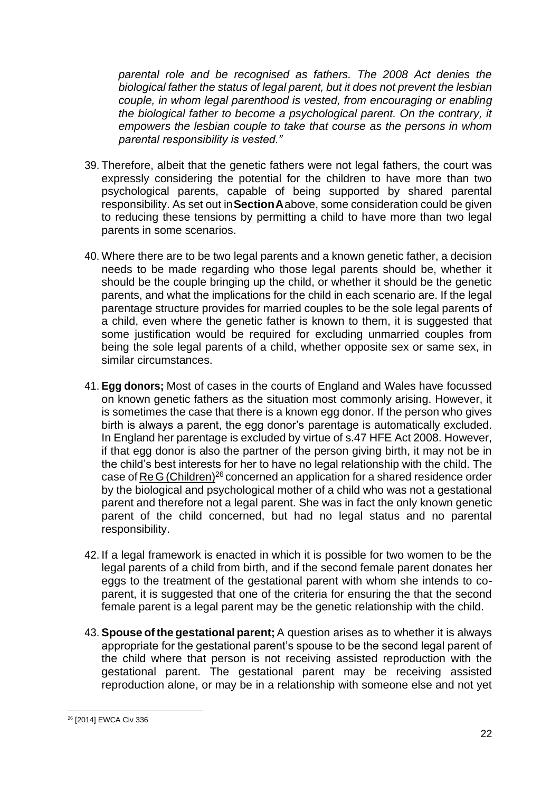*parental role and be recognised as fathers. The 2008 Act denies the biological father the status of legal parent, but it does not prevent the lesbian couple, in whom legal parenthood is vested, from encouraging or enabling the biological father to become a psychological parent. On the contrary, it empowers the lesbian couple to take that course as the persons in whom parental responsibility is vested."*

- 39. Therefore, albeit that the genetic fathers were not legal fathers, the court was expressly considering the potential for the children to have more than two psychological parents, capable of being supported by shared parental responsibility. As set out in**SectionA**above, some consideration could be given to reducing these tensions by permitting a child to have more than two legal parents in some scenarios.
- 40. Where there are to be two legal parents and a known genetic father, a decision needs to be made regarding who those legal parents should be, whether it should be the couple bringing up the child, or whether it should be the genetic parents, and what the implications for the child in each scenario are. If the legal parentage structure provides for married couples to be the sole legal parents of a child, even where the genetic father is known to them, it is suggested that some justification would be required for excluding unmarried couples from being the sole legal parents of a child, whether opposite sex or same sex, in similar circumstances.
- 41. **Egg donors;** Most of cases in the courts of England and Wales have focussed on known genetic fathers as the situation most commonly arising. However, it is sometimes the case that there is a known egg donor. If the person who gives birth is always a parent, the egg donor's parentage is automatically excluded. In England her parentage is excluded by virtue of s.47 HFE Act 2008. However, if that egg donor is also the partner of the person giving birth, it may not be in the child's best interests for her to have no legal relationship with the child. The case of ReG(Children)<sup>26</sup> concerned an application for a shared residence order by the biological and psychological mother of a child who was not a gestational parent and therefore not a legal parent. She was in fact the only known genetic parent of the child concerned, but had no legal status and no parental responsibility.
- 42. If a legal framework is enacted in which it is possible for two women to be the legal parents of a child from birth, and if the second female parent donates her eggs to the treatment of the gestational parent with whom she intends to coparent, it is suggested that one of the criteria for ensuring the that the second female parent is a legal parent may be the genetic relationship with the child.
- 43. **Spouse ofthe gestational parent;** A question arises as to whether it is always appropriate for the gestational parent's spouse to be the second legal parent of the child where that person is not receiving assisted reproduction with the gestational parent. The gestational parent may be receiving assisted reproduction alone, or may be in a relationship with someone else and not yet

<sup>26</sup> [2014] EWCA Civ 336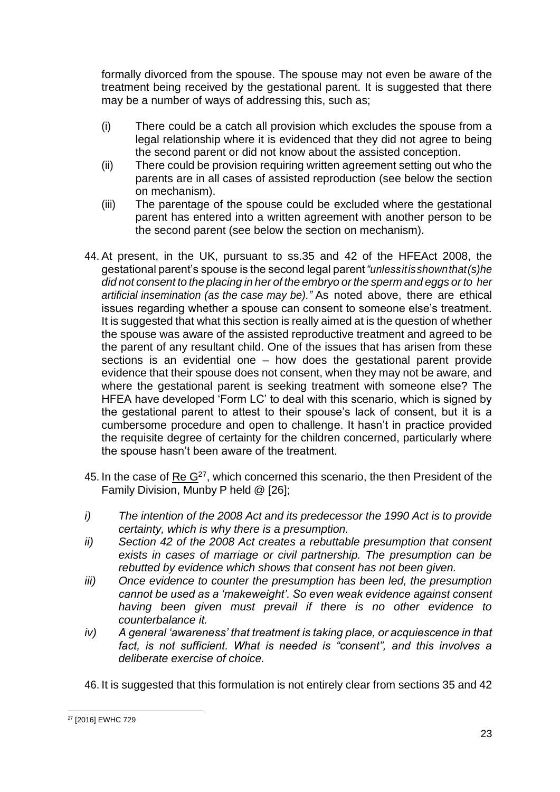formally divorced from the spouse. The spouse may not even be aware of the treatment being received by the gestational parent. It is suggested that there may be a number of ways of addressing this, such as;

- (i) There could be a catch all provision which excludes the spouse from a legal relationship where it is evidenced that they did not agree to being the second parent or did not know about the assisted conception.
- (ii) There could be provision requiring written agreement setting out who the parents are in all cases of assisted reproduction (see below the section on mechanism).
- (iii) The parentage of the spouse could be excluded where the gestational parent has entered into a written agreement with another person to be the second parent (see below the section on mechanism).
- 44. At present, in the UK, pursuant to ss.35 and 42 of the HFEAct 2008, the gestational parent's spouse is the second legal parent*"unlessitisshownthat(s)he did not consent to the placing in her of the embryo or the sperm and eggs or to her artificial insemination (as the case may be)."* As noted above, there are ethical issues regarding whether a spouse can consent to someone else's treatment. It is suggested that what this section is really aimed at is the question of whether the spouse was aware of the assisted reproductive treatment and agreed to be the parent of any resultant child. One of the issues that has arisen from these sections is an evidential one – how does the gestational parent provide evidence that their spouse does not consent, when they may not be aware, and where the gestational parent is seeking treatment with someone else? The HFEA have developed 'Form LC' to deal with this scenario, which is signed by the gestational parent to attest to their spouse's lack of consent, but it is a cumbersome procedure and open to challenge. It hasn't in practice provided the requisite degree of certainty for the children concerned, particularly where the spouse hasn't been aware of the treatment.
- 45. In the case of  $\text{Re } G^{27}$ , which concerned this scenario, the then President of the Family Division, Munby P held @ [26];
- *i) The intention of the 2008 Act and its predecessor the 1990 Act is to provide certainty, which is why there is a presumption.*
- *ii) Section 42 of the 2008 Act creates a rebuttable presumption that consent exists in cases of marriage or civil partnership. The presumption can be rebutted by evidence which shows that consent has not been given.*
- *iii) Once evidence to counter the presumption has been led, the presumption cannot be used as a 'makeweight'. So even weak evidence against consent having been given must prevail if there is no other evidence to counterbalance it.*
- *iv) A general 'awareness' that treatment is taking place, or acquiescence in that*  fact, is not sufficient. What is needed is "consent", and this involves a *deliberate exercise of choice.*

46. It is suggested that this formulation is not entirely clear from sections 35 and 42

<sup>27</sup> [2016] EWHC 729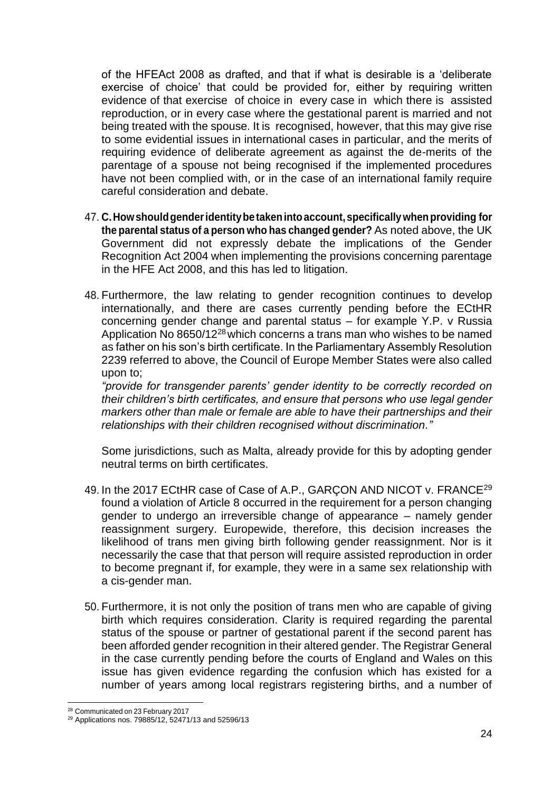of the HFEAct 2008 as drafted, and that if what is desirable is a 'deliberate exercise of choice' that could be provided for, either by requiring written evidence of that exercise of choice in every case in which there is assisted reproduction, or in every case where the gestational parent is married and not being treated with the spouse. It is recognised, however, that this may give rise to some evidential issues in international cases in particular, and the merits of requiring evidence of deliberate agreement as against the de-merits of the parentage of a spouse not being recognised if the implemented procedures have not been complied with, or in the case of an international family require careful consideration and debate.

- 47. **C.Howshouldgenderidentitybetakenintoaccount,specificallywhenproviding for the parental status of a person who has changed gender?** As noted above, the UK Government did not expressly debate the implications of the Gender Recognition Act 2004 when implementing the provisions concerning parentage in the HFE Act 2008, and this has led to litigation.
- 48. Furthermore, the law relating to gender recognition continues to develop internationally, and there are cases currently pending before the ECtHR concerning gender change and parental status – for example Y.P. v Russia Application No  $8650/12^{28}$  which concerns a trans man who wishes to be named as father on his son's birth certificate. In the Parliamentary Assembly Resolution 2239 referred to above, the Council of Europe Member States were also called upon to;

*"provide for transgender parents' gender identity to be correctly recorded on their children's birth certificates, and ensure that persons who use legal gender markers other than male or female are able to have their partnerships and their relationships with their children recognised without discrimination."*

Some jurisdictions, such as Malta, already provide for this by adopting gender neutral terms on birth certificates.

- 49. In the 2017 ECtHR case of Case of A.P., GARÇON AND NICOT v. FRANCE<sup>29</sup> found a violation of Article 8 occurred in the requirement for a person changing gender to undergo an irreversible change of appearance – namely gender reassignment surgery. Europewide, therefore, this decision increases the likelihood of trans men giving birth following gender reassignment. Nor is it necessarily the case that that person will require assisted reproduction in order to become pregnant if, for example, they were in a same sex relationship with a cis-gender man.
- 50. Furthermore, it is not only the position of trans men who are capable of giving birth which requires consideration. Clarity is required regarding the parental status of the spouse or partner of gestational parent if the second parent has been afforded gender recognition in their altered gender. The Registrar General in the case currently pending before the courts of England and Wales on this issue has given evidence regarding the confusion which has existed for a number of years among local registrars registering births, and a number of

<sup>28</sup> Communicated on 23 February 2017

<sup>29</sup> Applications nos. 79885/12, 52471/13 and 52596/13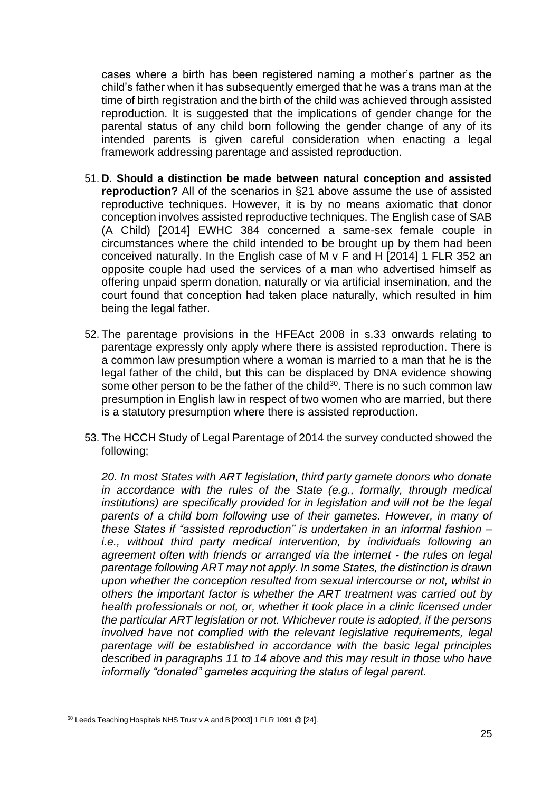cases where a birth has been registered naming a mother's partner as the child's father when it has subsequently emerged that he was a trans man at the time of birth registration and the birth of the child was achieved through assisted reproduction. It is suggested that the implications of gender change for the parental status of any child born following the gender change of any of its intended parents is given careful consideration when enacting a legal framework addressing parentage and assisted reproduction.

- 51. **D. Should a distinction be made between natural conception and assisted reproduction?** All of the scenarios in §21 above assume the use of assisted reproductive techniques. However, it is by no means axiomatic that donor conception involves assisted reproductive techniques. The English case of SAB (A Child) [2014] EWHC 384 concerned a same-sex female couple in circumstances where the child intended to be brought up by them had been conceived naturally. In the English case of M v F and H [2014] 1 FLR 352 an opposite couple had used the services of a man who advertised himself as offering unpaid sperm donation, naturally or via artificial insemination, and the court found that conception had taken place naturally, which resulted in him being the legal father.
- 52. The parentage provisions in the HFEAct 2008 in s.33 onwards relating to parentage expressly only apply where there is assisted reproduction. There is a common law presumption where a woman is married to a man that he is the legal father of the child, but this can be displaced by DNA evidence showing some other person to be the father of the child<sup>30</sup>. There is no such common law presumption in English law in respect of two women who are married, but there is a statutory presumption where there is assisted reproduction.
- 53. The HCCH Study of Legal Parentage of 2014 the survey conducted showed the following;

*20. In most States with ART legislation, third party gamete donors who donate in accordance with the rules of the State (e.g., formally, through medical institutions) are specifically provided for in legislation and will not be the legal parents of a child born following use of their gametes. However, in many of these States if "assisted reproduction" is undertaken in an informal fashion – i.e., without third party medical intervention, by individuals following an agreement often with friends or arranged via the internet - the rules on legal parentage following ART may not apply. In some States, the distinction is drawn upon whether the conception resulted from sexual intercourse or not, whilst in others the important factor is whether the ART treatment was carried out by health professionals or not, or, whether it took place in a clinic licensed under the particular ART legislation or not. Whichever route is adopted, if the persons involved have not complied with the relevant legislative requirements, legal parentage will be established in accordance with the basic legal principles described in paragraphs 11 to 14 above and this may result in those who have informally "donated" gametes acquiring the status of legal parent.*

<sup>&</sup>lt;sup>30</sup> Leeds Teaching Hospitals NHS Trust v A and B [2003] 1 FLR 1091 @ [24].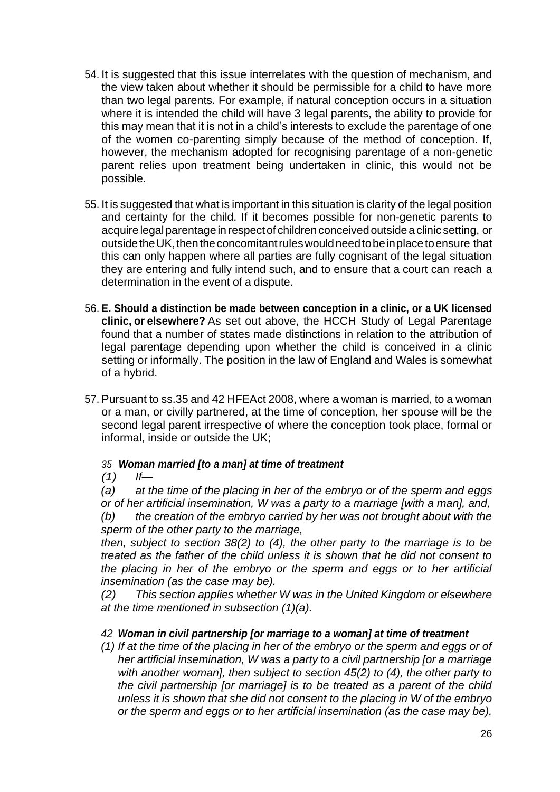- 54. It is suggested that this issue interrelates with the question of mechanism, and the view taken about whether it should be permissible for a child to have more than two legal parents. For example, if natural conception occurs in a situation where it is intended the child will have 3 legal parents, the ability to provide for this may mean that it is not in a child's interests to exclude the parentage of one of the women co-parenting simply because of the method of conception. If, however, the mechanism adopted for recognising parentage of a non-genetic parent relies upon treatment being undertaken in clinic, this would not be possible.
- 55. It is suggested that what is important in this situation is clarity of the legal position and certainty for the child. If it becomes possible for non-genetic parents to acquire legal parentage in respect of children conceived outside a clinic setting, or outside the UK, then the concomitant rules would need to be in place to ensure that this can only happen where all parties are fully cognisant of the legal situation they are entering and fully intend such, and to ensure that a court can reach a determination in the event of a dispute.
- 56. **E. Should a distinction be made between conception in a clinic, or a UK licensed clinic, or elsewhere?** As set out above, the HCCH Study of Legal Parentage found that a number of states made distinctions in relation to the attribution of legal parentage depending upon whether the child is conceived in a clinic setting or informally. The position in the law of England and Wales is somewhat of a hybrid.
- 57. Pursuant to ss.35 and 42 HFEAct 2008, where a woman is married, to a woman or a man, or civilly partnered, at the time of conception, her spouse will be the second legal parent irrespective of where the conception took place, formal or informal, inside or outside the UK;

# *35 Woman married [to a man] at time of treatment*

*(1) If—*

*(a) at the time of the placing in her of the embryo or of the sperm and eggs or of her artificial insemination, W was a party to a marriage [with a man], and,*

*(b) the creation of the embryo carried by her was not brought about with the sperm of the other party to the marriage,*

*then, subject to section 38(2) to (4), the other party to the marriage is to be treated as the father of the child unless it is shown that he did not consent to the placing in her of the embryo or the sperm and eggs or to her artificial insemination (as the case may be).*

*(2) This section applies whether W was in the United Kingdom or elsewhere at the time mentioned in subsection (1)(a).*

# *42 Woman in civil partnership [or marriage to a woman] at time of treatment*

*(1) If at the time of the placing in her of the embryo or the sperm and eggs or of her artificial insemination, W was a party to a civil partnership [or a marriage with another woman], then subject to section 45(2) to (4), the other party to the civil partnership [or marriage] is to be treated as a parent of the child unless it is shown that she did not consent to the placing in W of the embryo or the sperm and eggs or to her artificial insemination (as the case may be).*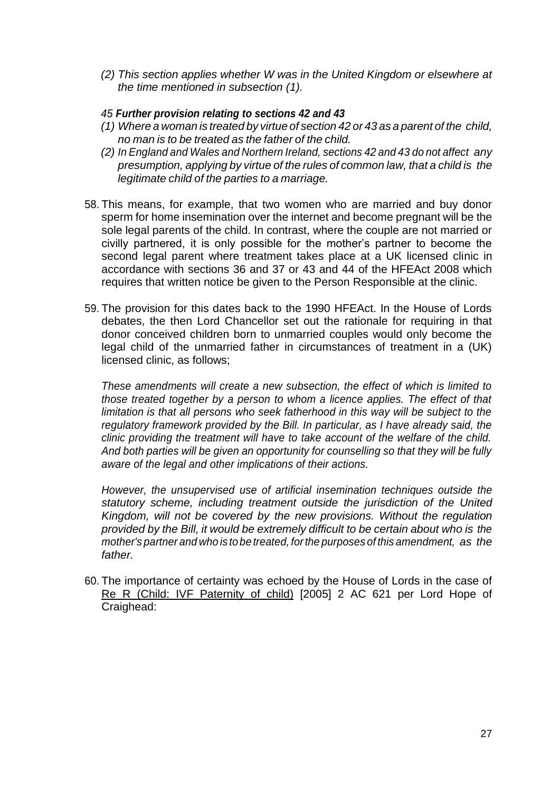*(2) This section applies whether W was in the United Kingdom or elsewhere at the time mentioned in subsection (1).*

# *45 Further provision relating to sections 42 and 43*

- *(1) Where a woman is treated by virtue of section 42 or 43 as a parent of the child, no man is to be treated as the father of the child.*
- *(2) In England and Wales and Northern Ireland, sections 42 and 43 do not affect any presumption, applying by virtue of the rules of common law, that a child is the legitimate child of the parties to a marriage.*
- 58. This means, for example, that two women who are married and buy donor sperm for home insemination over the internet and become pregnant will be the sole legal parents of the child. In contrast, where the couple are not married or civilly partnered, it is only possible for the mother's partner to become the second legal parent where treatment takes place at a UK licensed clinic in accordance with sections 36 and 37 or 43 and 44 of the HFEAct 2008 which requires that written notice be given to the Person Responsible at the clinic.
- 59. The provision for this dates back to the 1990 HFEAct. In the House of Lords debates, the then Lord Chancellor set out the rationale for requiring in that donor conceived children born to unmarried couples would only become the legal child of the unmarried father in circumstances of treatment in a (UK) licensed clinic, as follows;

*These amendments will create a new subsection, the effect of which is limited to those treated together by a person to whom a licence applies. The effect of that limitation is that all persons who seek fatherhood in this way will be subject to the regulatory framework provided by the Bill. In particular, as I have already said, the clinic providing the treatment will have to take account of the welfare of the child. And both parties will be given an opportunity for counselling so that they will be fully aware of the legal and other implications of their actions.*

*However, the unsupervised use of artificial insemination techniques outside the statutory scheme, including treatment outside the jurisdiction of the United Kingdom, will not be covered by the new provisions. Without the regulation provided by the Bill, it would be extremely difficult to be certain about who is the mother's partner and who is to be treated, forthe purposes of this amendment, as the father.*

60. The importance of certainty was echoed by the House of Lords in the case of Re R (Child: IVF Paternity of child) [2005] 2 AC 621 per Lord Hope of Craighead: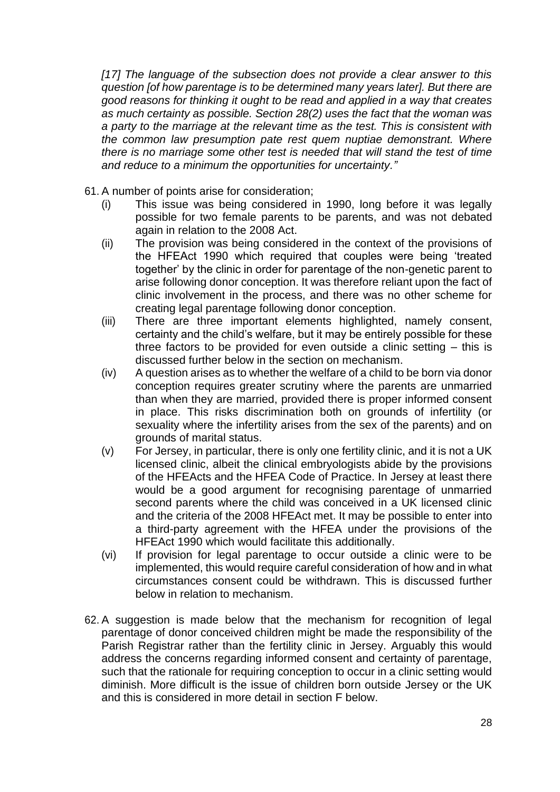*[17] The language of the subsection does not provide a clear answer to this question [of how parentage is to be determined many years later]. But there are good reasons for thinking it ought to be read and applied in a way that creates as much certainty as possible. Section 28(2) uses the fact that the woman was a party to the marriage at the relevant time as the test. This is consistent with the common law presumption pate rest quem nuptiae demonstrant. Where there is no marriage some other test is needed that will stand the test of time and reduce to a minimum the opportunities for uncertainty."*

- 61. A number of points arise for consideration;
	- (i) This issue was being considered in 1990, long before it was legally possible for two female parents to be parents, and was not debated again in relation to the 2008 Act.
	- (ii) The provision was being considered in the context of the provisions of the HFEAct 1990 which required that couples were being 'treated together' by the clinic in order for parentage of the non-genetic parent to arise following donor conception. It was therefore reliant upon the fact of clinic involvement in the process, and there was no other scheme for creating legal parentage following donor conception.
	- (iii) There are three important elements highlighted, namely consent, certainty and the child's welfare, but it may be entirely possible for these three factors to be provided for even outside a clinic setting – this is discussed further below in the section on mechanism.
	- (iv) A question arises as to whether the welfare of a child to be born via donor conception requires greater scrutiny where the parents are unmarried than when they are married, provided there is proper informed consent in place. This risks discrimination both on grounds of infertility (or sexuality where the infertility arises from the sex of the parents) and on grounds of marital status.
	- (v) For Jersey, in particular, there is only one fertility clinic, and it is not a UK licensed clinic, albeit the clinical embryologists abide by the provisions of the HFEActs and the HFEA Code of Practice. In Jersey at least there would be a good argument for recognising parentage of unmarried second parents where the child was conceived in a UK licensed clinic and the criteria of the 2008 HFEAct met. It may be possible to enter into a third-party agreement with the HFEA under the provisions of the HFEAct 1990 which would facilitate this additionally.
	- (vi) If provision for legal parentage to occur outside a clinic were to be implemented, this would require careful consideration of how and in what circumstances consent could be withdrawn. This is discussed further below in relation to mechanism.
- 62. A suggestion is made below that the mechanism for recognition of legal parentage of donor conceived children might be made the responsibility of the Parish Registrar rather than the fertility clinic in Jersey. Arguably this would address the concerns regarding informed consent and certainty of parentage, such that the rationale for requiring conception to occur in a clinic setting would diminish. More difficult is the issue of children born outside Jersey or the UK and this is considered in more detail in section F below.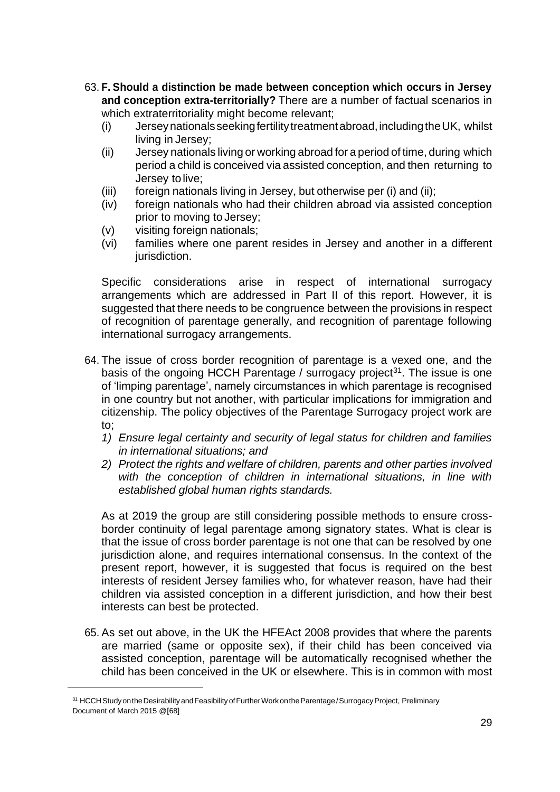- 63. **F. Should a distinction be made between conception which occurs in Jersey and conception extra-territorially?** There are a number of factual scenarios in which extraterritoriality might become relevant;
	- (i) Jerseynationalsseekingfertilitytreatmentabroad,includingtheUK, whilst living in Jersey;
	- (ii) Jersey nationals living or working abroad for a period of time, during which period a child is conceived via assisted conception, and then returning to Jersey to live;
	- (iii) foreign nationals living in Jersey, but otherwise per (i) and (ii);
	- (iv) foreign nationals who had their children abroad via assisted conception prior to moving to Jersey;
	- (v) visiting foreign nationals;
	- (vi) families where one parent resides in Jersey and another in a different jurisdiction.

Specific considerations arise in respect of international surrogacy arrangements which are addressed in Part II of this report. However, it is suggested that there needs to be congruence between the provisions in respect of recognition of parentage generally, and recognition of parentage following international surrogacy arrangements.

- 64. The issue of cross border recognition of parentage is a vexed one, and the basis of the ongoing HCCH Parentage / surrogacy project<sup>31</sup>. The issue is one of 'limping parentage', namely circumstances in which parentage is recognised in one country but not another, with particular implications for immigration and citizenship. The policy objectives of the Parentage Surrogacy project work are to;
	- *1) Ensure legal certainty and security of legal status for children and families in international situations; and*
	- *2) Protect the rights and welfare of children, parents and other parties involved with the conception of children in international situations, in line with established global human rights standards.*

As at 2019 the group are still considering possible methods to ensure crossborder continuity of legal parentage among signatory states. What is clear is that the issue of cross border parentage is not one that can be resolved by one jurisdiction alone, and requires international consensus. In the context of the present report, however, it is suggested that focus is required on the best interests of resident Jersey families who, for whatever reason, have had their children via assisted conception in a different jurisdiction, and how their best interests can best be protected.

65. As set out above, in the UK the HFEAct 2008 provides that where the parents are married (same or opposite sex), if their child has been conceived via assisted conception, parentage will be automatically recognised whether the child has been conceived in the UK or elsewhere. This is in common with most

<sup>&</sup>lt;sup>31</sup> HCCH Study on the Desirability and Feasibility of Further Work on the Parentage / Surrogacy Project, Preliminary Document of March 2015 @[68]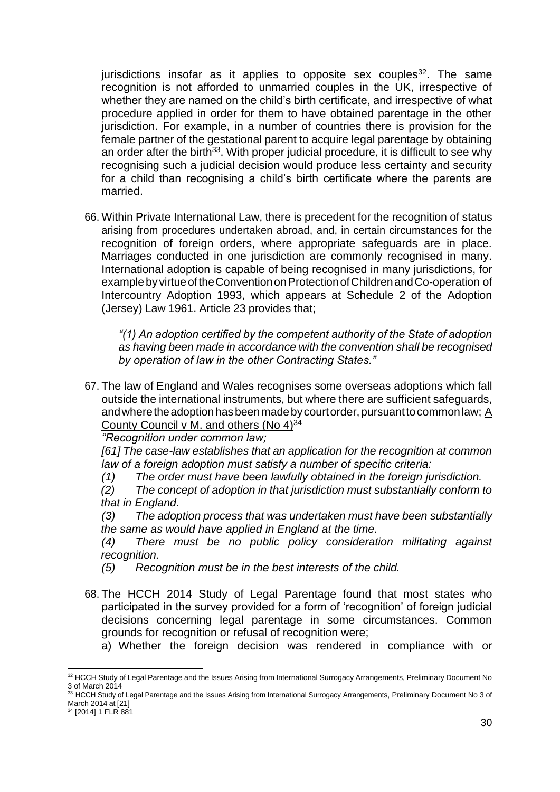jurisdictions insofar as it applies to opposite sex couples  $32$ . The same recognition is not afforded to unmarried couples in the UK, irrespective of whether they are named on the child's birth certificate, and irrespective of what procedure applied in order for them to have obtained parentage in the other jurisdiction. For example, in a number of countries there is provision for the female partner of the gestational parent to acquire legal parentage by obtaining an order after the birth $33$ . With proper judicial procedure, it is difficult to see why recognising such a judicial decision would produce less certainty and security for a child than recognising a child's birth certificate where the parents are married.

66. Within Private International Law, there is precedent for the recognition of status arising from procedures undertaken abroad, and, in certain circumstances for the recognition of foreign orders, where appropriate safeguards are in place. Marriages conducted in one jurisdiction are commonly recognised in many. International adoption is capable of being recognised in many jurisdictions, for examplebyvirtueoftheConventiononProtectionofChildrenandCo-operation of Intercountry Adoption 1993, which appears at Schedule 2 of the Adoption (Jersey) Law 1961. Article 23 provides that;

*"(1) An adoption certified by the competent authority of the State of adoption as having been made in accordance with the convention shall be recognised by operation of law in the other Contracting States."*

67. The law of England and Wales recognises some overseas adoptions which fall outside the international instruments, but where there are sufficient safeguards, and where the adoption has been made by court order, pursuant to common law;  $\underline{A}$ County Council v M. and others (No 4)<sup>34</sup>

*"Recognition under common law;*

*[61] The case-law establishes that an application for the recognition at common law of a foreign adoption must satisfy a number of specific criteria:*

*(1) The order must have been lawfully obtained in the foreign jurisdiction.*

*(2) The concept of adoption in that jurisdiction must substantially conform to that in England.*

*(3) The adoption process that was undertaken must have been substantially the same as would have applied in England at the time.*

*(4) There must be no public policy consideration militating against recognition.*

- *(5) Recognition must be in the best interests of the child.*
- 68. The HCCH 2014 Study of Legal Parentage found that most states who participated in the survey provided for a form of 'recognition' of foreign judicial decisions concerning legal parentage in some circumstances. Common grounds for recognition or refusal of recognition were;
	- a) Whether the foreign decision was rendered in compliance with or

<sup>32</sup> HCCH Study of Legal Parentage and the Issues Arising from International Surrogacy Arrangements, Preliminary Document No 3 of March 2014

<sup>33</sup> HCCH Study of Legal Parentage and the Issues Arising from International Surrogacy Arrangements, Preliminary Document No 3 of March 2014 at [21]

<sup>34</sup> [2014] 1 FLR 881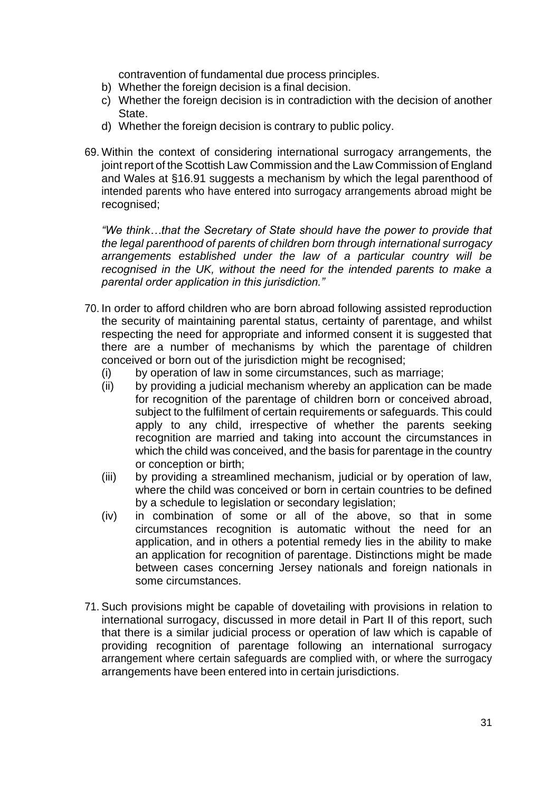contravention of fundamental due process principles.

- b) Whether the foreign decision is a final decision.
- c) Whether the foreign decision is in contradiction with the decision of another State.
- d) Whether the foreign decision is contrary to public policy.
- 69. Within the context of considering international surrogacy arrangements, the joint report of the Scottish Law Commission and the Law Commission of England and Wales at §16.91 suggests a mechanism by which the legal parenthood of intended parents who have entered into surrogacy arrangements abroad might be recognised;

*"We think…that the Secretary of State should have the power to provide that the legal parenthood of parents of children born through international surrogacy arrangements established under the law of a particular country will be recognised in the UK, without the need for the intended parents to make a parental order application in this jurisdiction."*

- 70. In order to afford children who are born abroad following assisted reproduction the security of maintaining parental status, certainty of parentage, and whilst respecting the need for appropriate and informed consent it is suggested that there are a number of mechanisms by which the parentage of children conceived or born out of the jurisdiction might be recognised;
	- (i) by operation of law in some circumstances, such as marriage;
	- (ii) by providing a judicial mechanism whereby an application can be made for recognition of the parentage of children born or conceived abroad, subject to the fulfilment of certain requirements or safeguards. This could apply to any child, irrespective of whether the parents seeking recognition are married and taking into account the circumstances in which the child was conceived, and the basis for parentage in the country or conception or birth;
	- (iii) by providing a streamlined mechanism, judicial or by operation of law, where the child was conceived or born in certain countries to be defined by a schedule to legislation or secondary legislation;
	- (iv) in combination of some or all of the above, so that in some circumstances recognition is automatic without the need for an application, and in others a potential remedy lies in the ability to make an application for recognition of parentage. Distinctions might be made between cases concerning Jersey nationals and foreign nationals in some circumstances.
- 71. Such provisions might be capable of dovetailing with provisions in relation to international surrogacy, discussed in more detail in Part II of this report, such that there is a similar judicial process or operation of law which is capable of providing recognition of parentage following an international surrogacy arrangement where certain safeguards are complied with, or where the surrogacy arrangements have been entered into in certain jurisdictions.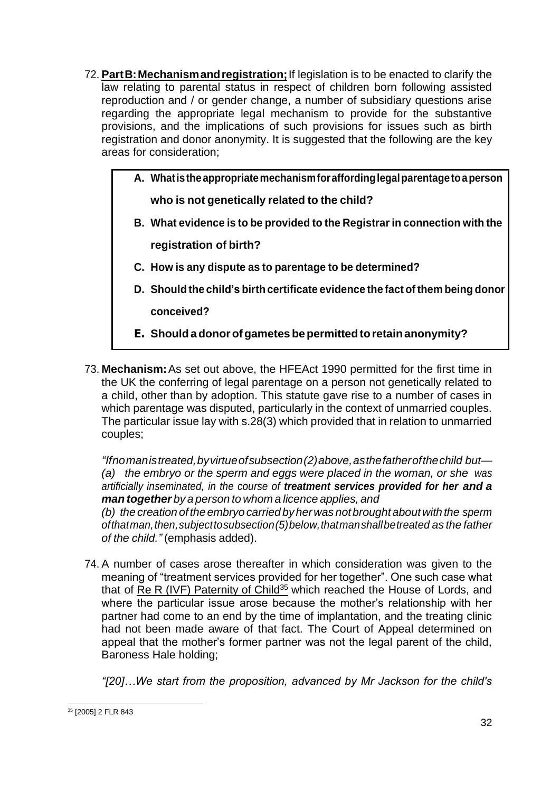- 72. **PartB:Mechanismandregistration;**If legislation is to be enacted to clarify the law relating to parental status in respect of children born following assisted reproduction and / or gender change, a number of subsidiary questions arise regarding the appropriate legal mechanism to provide for the substantive provisions, and the implications of such provisions for issues such as birth registration and donor anonymity. It is suggested that the following are the key areas for consideration;
	- **A. Whatistheappropriatemechanismforaffordinglegalparentagetoaperson who is not genetically related to the child?**
	- **B. What evidence is to be provided to the Registrar in connection with the**

**registration of birth?**

- **C. How is any dispute as to parentage to be determined?**
- **D. Should the child's birthcertificate evidence the fact ofthem being donor conceived?**
- **E. Shouldadonorofgametes be permittedtoretainanonymity?**
- 73. **Mechanism:**As set out above, the HFEAct 1990 permitted for the first time in the UK the conferring of legal parentage on a person not genetically related to a child, other than by adoption. This statute gave rise to a number of cases in which parentage was disputed, particularly in the context of unmarried couples. The particular issue lay with s.28(3) which provided that in relation to unmarried couples;

*"Ifnomanistreated,byvirtueofsubsection(2)above,asthefatherofthechild but— (a) the embryo or the sperm and eggs were placed in the woman, or she was artificially inseminated, in the course of treatment services provided for her and a man together by a person to whom a licence applies, and*

*(b) the creation oftheembryo carried byherwas notbroughtaboutwiththe sperm ofthatman,then,subjecttosubsection(5)below,thatmanshallbetreated as the father of the child."* (emphasis added).

74. A number of cases arose thereafter in which consideration was given to the meaning of "treatment services provided for her together". One such case what that of Re R (IVF) Paternity of Child<sup>35</sup> which reached the House of Lords, and where the particular issue arose because the mother's relationship with her partner had come to an end by the time of implantation, and the treating clinic had not been made aware of that fact. The Court of Appeal determined on appeal that the mother's former partner was not the legal parent of the child, Baroness Hale holding;

*"[20]…We start from the proposition, advanced by Mr Jackson for the child's* 

<sup>35</sup> [2005] 2 FLR 843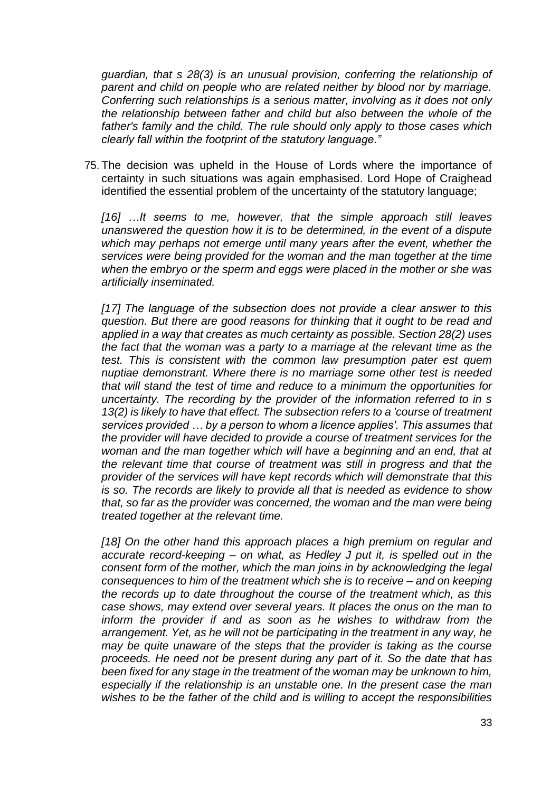*guardian, that s 28(3) is an unusual provision, conferring the relationship of parent and child on people who are related neither by blood nor by marriage. Conferring such relationships is a serious matter, involving as it does not only the relationship between father and child but also between the whole of the father's family and the child. The rule should only apply to those cases which clearly fall within the footprint of the statutory language."*

75. The decision was upheld in the House of Lords where the importance of certainty in such situations was again emphasised. Lord Hope of Craighead identified the essential problem of the uncertainty of the statutory language;

*[16] …It seems to me, however, that the simple approach still leaves unanswered the question how it is to be determined, in the event of a dispute which may perhaps not emerge until many years after the event, whether the services were being provided for the woman and the man together at the time when the embryo or the sperm and eggs were placed in the mother or she was artificially inseminated.*

*[17] The language of the subsection does not provide a clear answer to this question. But there are good reasons for thinking that it ought to be read and applied in a way that creates as much certainty as possible. Section 28(2) uses the fact that the woman was a party to a marriage at the relevant time as the test. This is consistent with the common law presumption pater est quem nuptiae demonstrant. Where there is no marriage some other test is needed that will stand the test of time and reduce to a minimum the opportunities for uncertainty. The recording by the provider of the information referred to in s 13(2) is likely to have that effect. The subsection refers to a 'course of treatment services provided … by a person to whom a licence applies'. This assumes that the provider will have decided to provide a course of treatment services for the*  woman and the man together which will have a beginning and an end, that at *the relevant time that course of treatment was still in progress and that the provider of the services will have kept records which will demonstrate that this is so. The records are likely to provide all that is needed as evidence to show that, so far as the provider was concerned, the woman and the man were being treated together at the relevant time.*

[18] On the other hand this approach places a high premium on regular and *accurate record-keeping – on what, as Hedley J put it, is spelled out in the consent form of the mother, which the man joins in by acknowledging the legal consequences to him of the treatment which she is to receive – and on keeping the records up to date throughout the course of the treatment which, as this case shows, may extend over several years. It places the onus on the man to inform the provider if and as soon as he wishes to withdraw from the arrangement. Yet, as he will not be participating in the treatment in any way, he may be quite unaware of the steps that the provider is taking as the course proceeds. He need not be present during any part of it. So the date that has been fixed for any stage in the treatment of the woman may be unknown to him, especially if the relationship is an unstable one. In the present case the man wishes to be the father of the child and is willing to accept the responsibilities*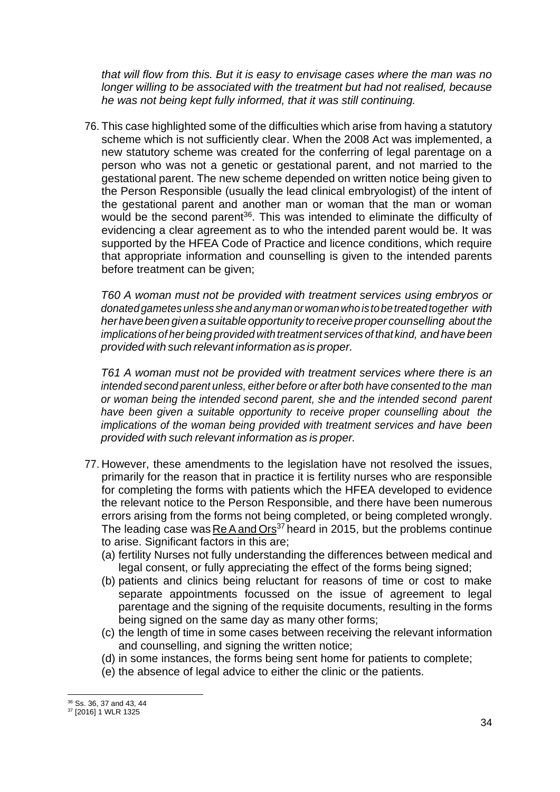*that will flow from this. But it is easy to envisage cases where the man was no longer willing to be associated with the treatment but had not realised, because he was not being kept fully informed, that it was still continuing.*

76. This case highlighted some of the difficulties which arise from having a statutory scheme which is not sufficiently clear. When the 2008 Act was implemented, a new statutory scheme was created for the conferring of legal parentage on a person who was not a genetic or gestational parent, and not married to the gestational parent. The new scheme depended on written notice being given to the Person Responsible (usually the lead clinical embryologist) of the intent of the gestational parent and another man or woman that the man or woman would be the second parent<sup>36</sup>. This was intended to eliminate the difficulty of evidencing a clear agreement as to who the intended parent would be. It was supported by the HFEA Code of Practice and licence conditions, which require that appropriate information and counselling is given to the intended parents before treatment can be given;

*T60 A woman must not be provided with treatment services using embryos or donatedgametes unless she and anyman orwomanwhoistobetreated together with herhavebeengiven asuitableopportunity to receiveproper counselling about the implications of her being provided with treatment services of that kind, and have been provided with such relevant information as is proper.*

*T61 A woman must not be provided with treatment services where there is an intended second parent unless, either before or after both have consented to the man or woman being the intended second parent, she and the intended second parent have been given a suitable opportunity to receive proper counselling about the implications of the woman being provided with treatment services and have been provided with such relevant information as is proper.*

- 77. However, these amendments to the legislation have not resolved the issues, primarily for the reason that in practice it is fertility nurses who are responsible for completing the forms with patients which the HFEA developed to evidence the relevant notice to the Person Responsible, and there have been numerous errors arising from the forms not being completed, or being completed wrongly. The leading case was Re A and Ors<sup>37</sup> heard in 2015, but the problems continue to arise. Significant factors in this are;
	- (a) fertility Nurses not fully understanding the differences between medical and legal consent, or fully appreciating the effect of the forms being signed;
	- (b) patients and clinics being reluctant for reasons of time or cost to make separate appointments focussed on the issue of agreement to legal parentage and the signing of the requisite documents, resulting in the forms being signed on the same day as many other forms;
	- (c) the length of time in some cases between receiving the relevant information and counselling, and signing the written notice;
	- (d) in some instances, the forms being sent home for patients to complete;
	- (e) the absence of legal advice to either the clinic or the patients.

<sup>36</sup> Ss. 36, 37 and 43, 44

<sup>37</sup> [2016] 1 WLR 1325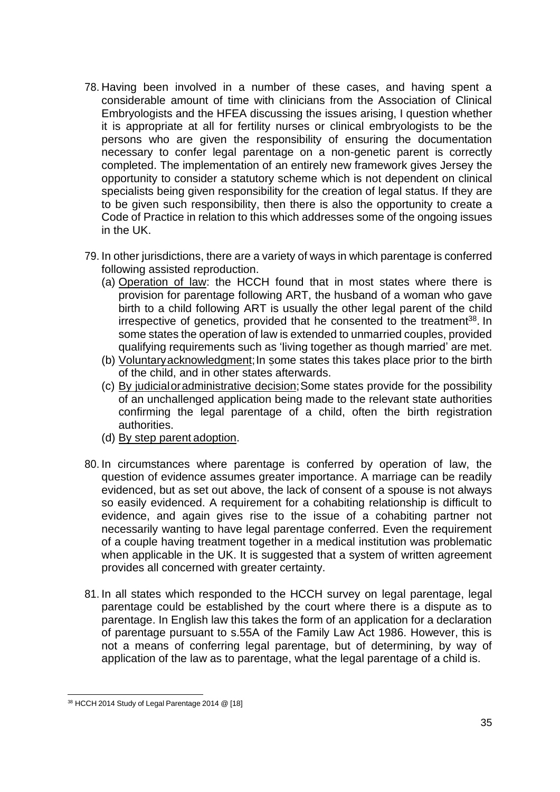- 78. Having been involved in a number of these cases, and having spent a considerable amount of time with clinicians from the Association of Clinical Embryologists and the HFEA discussing the issues arising, I question whether it is appropriate at all for fertility nurses or clinical embryologists to be the persons who are given the responsibility of ensuring the documentation necessary to confer legal parentage on a non-genetic parent is correctly completed. The implementation of an entirely new framework gives Jersey the opportunity to consider a statutory scheme which is not dependent on clinical specialists being given responsibility for the creation of legal status. If they are to be given such responsibility, then there is also the opportunity to create a Code of Practice in relation to this which addresses some of the ongoing issues in the UK.
- 79. In other jurisdictions, there are a variety of ways in which parentage is conferred following assisted reproduction.
	- (a) Operation of law: the HCCH found that in most states where there is provision for parentage following ART, the husband of a woman who gave birth to a child following ART is usually the other legal parent of the child irrespective of genetics, provided that he consented to the treatment<sup>38</sup>. In some states the operation of law is extended to unmarried couples, provided qualifying requirements such as 'living together as though married' are met.
	- (b) Voluntary acknowledgment; In some states this takes place prior to the birth of the child, and in other states afterwards.
	- (c) By judicialoradministrative decision;Some states provide for the possibility of an unchallenged application being made to the relevant state authorities confirming the legal parentage of a child, often the birth registration authorities.
	- (d) By step parent adoption.
- 80. In circumstances where parentage is conferred by operation of law, the question of evidence assumes greater importance. A marriage can be readily evidenced, but as set out above, the lack of consent of a spouse is not always so easily evidenced. A requirement for a cohabiting relationship is difficult to evidence, and again gives rise to the issue of a cohabiting partner not necessarily wanting to have legal parentage conferred. Even the requirement of a couple having treatment together in a medical institution was problematic when applicable in the UK. It is suggested that a system of written agreement provides all concerned with greater certainty.
- 81. In all states which responded to the HCCH survey on legal parentage, legal parentage could be established by the court where there is a dispute as to parentage. In English law this takes the form of an application for a declaration of parentage pursuant to s.55A of the Family Law Act 1986. However, this is not a means of conferring legal parentage, but of determining, by way of application of the law as to parentage, what the legal parentage of a child is.

<sup>38</sup> HCCH 2014 Study of Legal Parentage 2014 @ [18]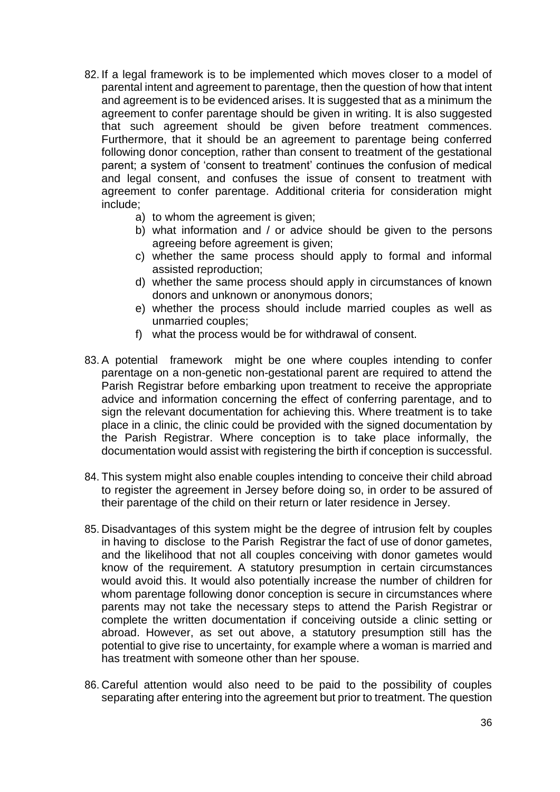- 82. If a legal framework is to be implemented which moves closer to a model of parental intent and agreement to parentage, then the question of how that intent and agreement is to be evidenced arises. It is suggested that as a minimum the agreement to confer parentage should be given in writing. It is also suggested that such agreement should be given before treatment commences. Furthermore, that it should be an agreement to parentage being conferred following donor conception, rather than consent to treatment of the gestational parent; a system of 'consent to treatment' continues the confusion of medical and legal consent, and confuses the issue of consent to treatment with agreement to confer parentage. Additional criteria for consideration might include;
	- a) to whom the agreement is given;
	- b) what information and / or advice should be given to the persons agreeing before agreement is given;
	- c) whether the same process should apply to formal and informal assisted reproduction;
	- d) whether the same process should apply in circumstances of known donors and unknown or anonymous donors;
	- e) whether the process should include married couples as well as unmarried couples;
	- f) what the process would be for withdrawal of consent.
- 83. A potential framework might be one where couples intending to confer parentage on a non-genetic non-gestational parent are required to attend the Parish Registrar before embarking upon treatment to receive the appropriate advice and information concerning the effect of conferring parentage, and to sign the relevant documentation for achieving this. Where treatment is to take place in a clinic, the clinic could be provided with the signed documentation by the Parish Registrar. Where conception is to take place informally, the documentation would assist with registering the birth if conception is successful.
- 84. This system might also enable couples intending to conceive their child abroad to register the agreement in Jersey before doing so, in order to be assured of their parentage of the child on their return or later residence in Jersey.
- 85. Disadvantages of this system might be the degree of intrusion felt by couples in having to disclose to the Parish Registrar the fact of use of donor gametes, and the likelihood that not all couples conceiving with donor gametes would know of the requirement. A statutory presumption in certain circumstances would avoid this. It would also potentially increase the number of children for whom parentage following donor conception is secure in circumstances where parents may not take the necessary steps to attend the Parish Registrar or complete the written documentation if conceiving outside a clinic setting or abroad. However, as set out above, a statutory presumption still has the potential to give rise to uncertainty, for example where a woman is married and has treatment with someone other than her spouse.
- 86. Careful attention would also need to be paid to the possibility of couples separating after entering into the agreement but prior to treatment. The question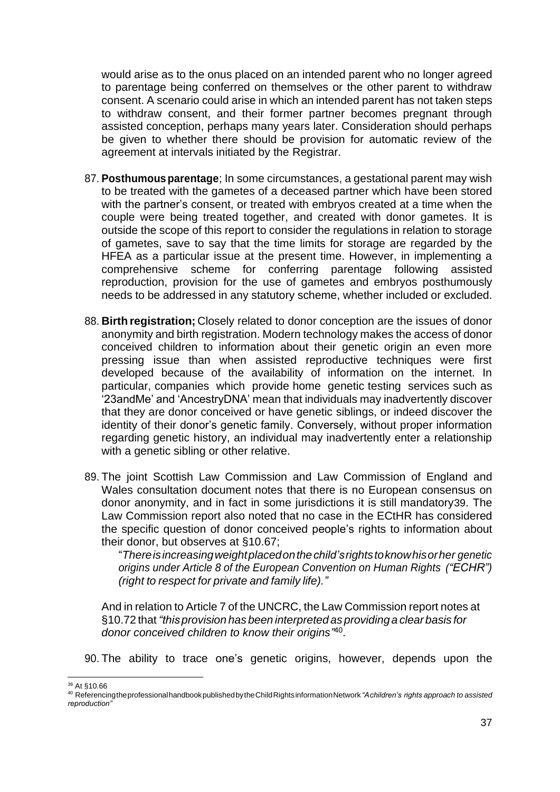would arise as to the onus placed on an intended parent who no longer agreed to parentage being conferred on themselves or the other parent to withdraw consent. A scenario could arise in which an intended parent has not taken steps to withdraw consent, and their former partner becomes pregnant through assisted conception, perhaps many years later. Consideration should perhaps be given to whether there should be provision for automatic review of the agreement at intervals initiated by the Registrar.

- 87. **Posthumousparentage**; In some circumstances, a gestational parent may wish to be treated with the gametes of a deceased partner which have been stored with the partner's consent, or treated with embryos created at a time when the couple were being treated together, and created with donor gametes. It is outside the scope of this report to consider the regulations in relation to storage of gametes, save to say that the time limits for storage are regarded by the HFEA as a particular issue at the present time. However, in implementing a comprehensive scheme for conferring parentage following assisted reproduction, provision for the use of gametes and embryos posthumously needs to be addressed in any statutory scheme, whether included or excluded.
- 88. **Birth registration;** Closely related to donor conception are the issues of donor anonymity and birth registration. Modern technology makes the access of donor conceived children to information about their genetic origin an even more pressing issue than when assisted reproductive techniques were first developed because of the availability of information on the internet. In particular, companies which provide home genetic testing services such as '23andMe' and 'AncestryDNA' mean that individuals may inadvertently discover that they are donor conceived or have genetic siblings, or indeed discover the identity of their donor's genetic family. Conversely, without proper information regarding genetic history, an individual may inadvertently enter a relationship with a genetic sibling or other relative.
- 89. The joint Scottish Law Commission and Law Commission of England and Wales consultation document notes that there is no European consensus on donor anonymity, and in fact in some jurisdictions it is still mandatory39. The Law Commission report also noted that no case in the ECtHR has considered the specific question of donor conceived people's rights to information about their donor, but observes at §10.67;

"*Thereisincreasingweightplacedonthechild'srightstoknowhisorher genetic origins under Article 8 of the European Convention on Human Rights ("ECHR") (right to respect for private and family life)."*

And in relation to Article 7 of the UNCRC, the Law Commission report notes at §10.72 that*"this provision has been interpreted as providinga clear basis for donor conceived children to know their origins"* 40 .

90. The ability to trace one's genetic origins, however, depends upon the

<sup>39</sup> At §10.66

<sup>40</sup> ReferencingtheprofessionalhandbookpublishedbytheChildRightsinformationNetwork *"Achildren's rights approach to assisted reproduction"*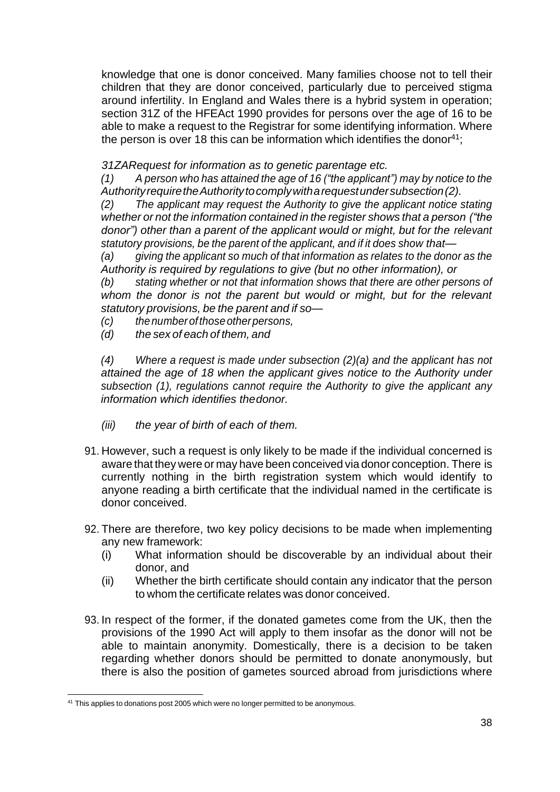knowledge that one is donor conceived. Many families choose not to tell their children that they are donor conceived, particularly due to perceived stigma around infertility. In England and Wales there is a hybrid system in operation; section 31Z of the HFEAct 1990 provides for persons over the age of 16 to be able to make a request to the Registrar for some identifying information. Where the person is over 18 this can be information which identifies the donor<sup>41</sup>;

*31ZARequest for information as to genetic parentage etc.*

*(1) A person who has attained the age of 16 ("the applicant") may by notice to the AuthorityrequiretheAuthoritytocomplywitharequestundersubsection(2).* 

*(2) The applicant may request the Authority to give the applicant notice stating whether or not the information contained in the register shows that a person ("the donor") other than a parent of the applicant would or might, but for the relevant statutory provisions, be the parent of the applicant, and if it does show that—*

*(a) giving the applicant so much of that information as relates to the donor as the Authority is required by regulations to give (but no other information), or* 

*(b) stating whether or not that information shows that there are other persons of*  whom the donor is not the parent but would or might, but for the relevant *statutory provisions, be the parent and if so—*

- *(c) thenumberofthoseotherpersons,*
- *(d) the sex of each of them, and*

*(4) Where a request is made under subsection (2)(a) and the applicant has not attained the age of 18 when the applicant gives notice to the Authority under subsection (1), regulations cannot require the Authority to give the applicant any information which identifies thedonor.*

- *(iii) the year of birth of each of them.*
- 91. However, such a request is only likely to be made if the individual concerned is aware that they were or may have been conceived via donor conception. There is currently nothing in the birth registration system which would identify to anyone reading a birth certificate that the individual named in the certificate is donor conceived.
- 92. There are therefore, two key policy decisions to be made when implementing any new framework:
	- (i) What information should be discoverable by an individual about their donor, and
	- (ii) Whether the birth certificate should contain any indicator that the person to whom the certificate relates was donor conceived.
- 93. In respect of the former, if the donated gametes come from the UK, then the provisions of the 1990 Act will apply to them insofar as the donor will not be able to maintain anonymity. Domestically, there is a decision to be taken regarding whether donors should be permitted to donate anonymously, but there is also the position of gametes sourced abroad from jurisdictions where

<sup>&</sup>lt;sup>41</sup> This applies to donations post 2005 which were no longer permitted to be anonymous.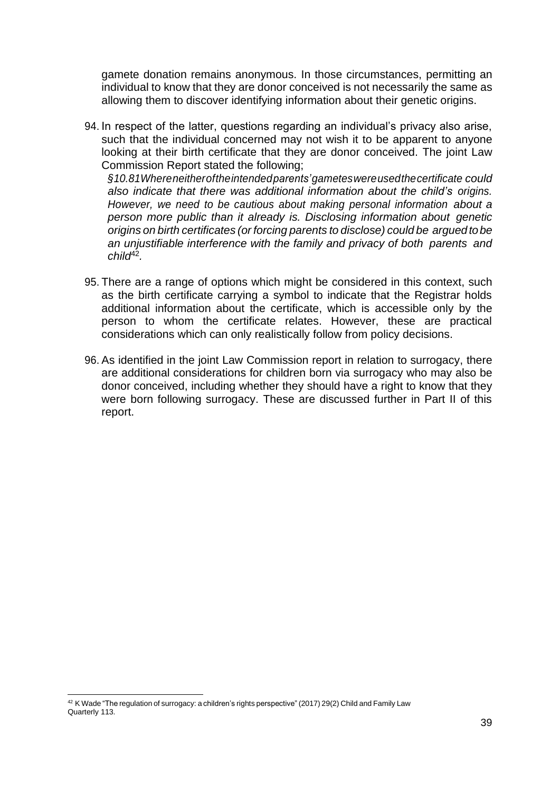gamete donation remains anonymous. In those circumstances, permitting an individual to know that they are donor conceived is not necessarily the same as allowing them to discover identifying information about their genetic origins.

94. In respect of the latter, questions regarding an individual's privacy also arise, such that the individual concerned may not wish it to be apparent to anyone looking at their birth certificate that they are donor conceived. The joint Law Commission Report stated the following;

*§10.81Whereneitheroftheintendedparents'gameteswereusedthecertificate could also indicate that there was additional information about the child's origins. However, we need to be cautious about making personal information about a person more public than it already is. Disclosing information about genetic origins on birth certificates (or forcing parents to disclose) could be arguedtobe an unjustifiable interference with the family and privacy of both parents and child*<sup>42</sup> *.*

- 95. There are a range of options which might be considered in this context, such as the birth certificate carrying a symbol to indicate that the Registrar holds additional information about the certificate, which is accessible only by the person to whom the certificate relates. However, these are practical considerations which can only realistically follow from policy decisions.
- 96. As identified in the joint Law Commission report in relation to surrogacy, there are additional considerations for children born via surrogacy who may also be donor conceived, including whether they should have a right to know that they were born following surrogacy. These are discussed further in Part II of this report.

 $42$  K Wade "The regulation of surrogacy: a children's rights perspective" (2017) 29(2) Child and Family Law Quarterly 113.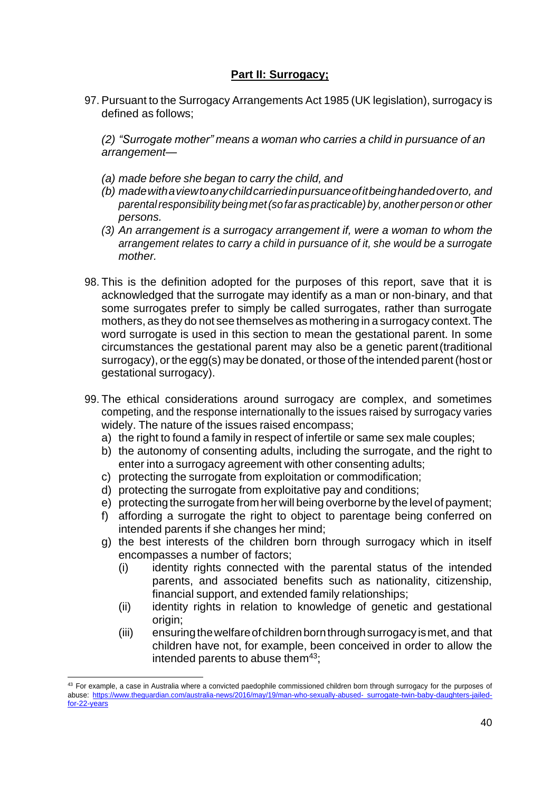## **Part II: Surrogacy;**

97. Pursuant to the Surrogacy Arrangements Act 1985 (UK legislation), surrogacy is defined as follows;

*(2) "Surrogate mother" means a woman who carries a child in pursuance of an arrangement—*

- *(a) made before she began to carry the child, and*
- *(b) madewithaviewtoanychildcarriedinpursuanceofitbeinghandedoverto, and parentalresponsibility beingmet(sofaraspracticable)by,anotherpersonor other persons.*
- *(3) An arrangement is a surrogacy arrangement if, were a woman to whom the arrangement relates to carry a child in pursuance of it, she would be a surrogate mother.*
- 98. This is the definition adopted for the purposes of this report, save that it is acknowledged that the surrogate may identify as a man or non-binary, and that some surrogates prefer to simply be called surrogates, rather than surrogate mothers, as they do not see themselves as mothering in a surrogacy context. The word surrogate is used in this section to mean the gestational parent. In some circumstances the gestational parent may also be a genetic parent(traditional surrogacy), or the egg(s) may be donated, or those of the intended parent (host or gestational surrogacy).
- 99. The ethical considerations around surrogacy are complex, and sometimes competing, and the response internationally to the issues raised by surrogacy varies widely. The nature of the issues raised encompass;
	- a) the right to found a family in respect of infertile or same sex male couples;
	- b) the autonomy of consenting adults, including the surrogate, and the right to enter into a surrogacy agreement with other consenting adults;
	- c) protecting the surrogate from exploitation or commodification;
	- d) protecting the surrogate from exploitative pay and conditions;
	- e) protecting the surrogate from her will being overborne by the level of payment;
	- f) affording a surrogate the right to object to parentage being conferred on intended parents if she changes her mind;
	- g) the best interests of the children born through surrogacy which in itself encompasses a number of factors;
		- (i) identity rights connected with the parental status of the intended parents, and associated benefits such as nationality, citizenship, financial support, and extended family relationships;
		- (ii) identity rights in relation to knowledge of genetic and gestational origin:
		- (iii) ensuring the welfare of children born through surrogacy is met, and that children have not, for example, been conceived in order to allow the intended parents to abuse them $43$ ;

<sup>&</sup>lt;sup>43</sup> For example, a case in Australia where a convicted paedophile commissioned children born through surrogacy for the purposes of abuse: [https://www.theguardian.com/australia-news/2016/may/19/man-who-sexually-abused-](https://www.theguardian.com/australia-news/2016/may/19/man-who-sexually-abused-surrogate-twin-baby-daughters-jailed-for-22-years) [surrogate-twin-baby-daughters-jailed](https://www.theguardian.com/australia-news/2016/may/19/man-who-sexually-abused-surrogate-twin-baby-daughters-jailed-for-22-years)for-22-years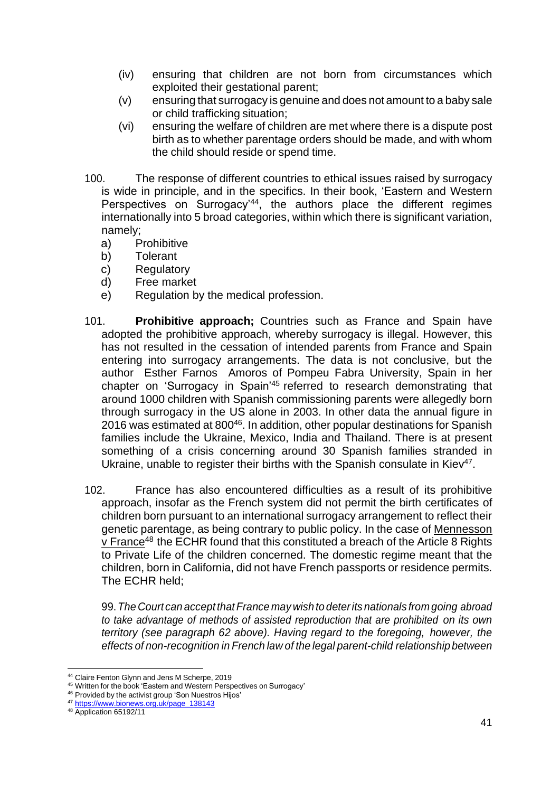- (iv) ensuring that children are not born from circumstances which exploited their gestational parent;
- (v) ensuring that surrogacy is genuine and does not amount to a baby sale or child trafficking situation;
- (vi) ensuring the welfare of children are met where there is a dispute post birth as to whether parentage orders should be made, and with whom the child should reside or spend time.
- 100. The response of different countries to ethical issues raised by surrogacy is wide in principle, and in the specifics. In their book, 'Eastern and Western Perspectives on Surrogacy<sup>'44</sup>, the authors place the different regimes internationally into 5 broad categories, within which there is significant variation, namely;
	- a) Prohibitive
	- b) Tolerant
	- c) Regulatory
	- d) Free market
	- e) Regulation by the medical profession.
- 101. **Prohibitive approach;** Countries such as France and Spain have adopted the prohibitive approach, whereby surrogacy is illegal. However, this has not resulted in the cessation of intended parents from France and Spain entering into surrogacy arrangements. The data is not conclusive, but the author Esther Farnos Amoros of Pompeu Fabra University, Spain in her chapter on 'Surrogacy in Spain'<sup>45</sup> referred to research demonstrating that around 1000 children with Spanish commissioning parents were allegedly born through surrogacy in the US alone in 2003. In other data the annual figure in 2016 was estimated at 800<sup>46</sup>. In addition, other popular destinations for Spanish families include the Ukraine, Mexico, India and Thailand. There is at present something of a crisis concerning around 30 Spanish families stranded in Ukraine, unable to register their births with the Spanish consulate in Kiev<sup>47</sup>.
- 102. France has also encountered difficulties as a result of its prohibitive approach, insofar as the French system did not permit the birth certificates of children born pursuant to an international surrogacy arrangement to reflect their genetic parentage, as being contrary to public policy. In the case of Mennesson v France<sup>48</sup> the ECHR found that this constituted a breach of the Article 8 Rights to Private Life of the children concerned. The domestic regime meant that the children, born in California, did not have French passports or residence permits. The ECHR held;

99.*The Court can accept that France may wish to deterits nationals from going abroad to take advantage of methods of assisted reproduction that are prohibited on its own territory (see paragraph 62 above). Having regard to the foregoing, however, the effects of non-recognition in French law of the legal parent-child relationship between*

<sup>44</sup> Claire Fenton Glynn and Jens M Scherpe, 2019

<sup>45</sup> Written for the book 'Eastern and Western Perspectives on Surrogacy'

<sup>46</sup> Provided by the activist group 'Son Nuestros Hijos'

<sup>47</sup> [https://www.bionews.org.uk/page\\_138143](https://www.bionews.org.uk/page_138143)

<sup>&</sup>lt;sup>48</sup> Application 65192/11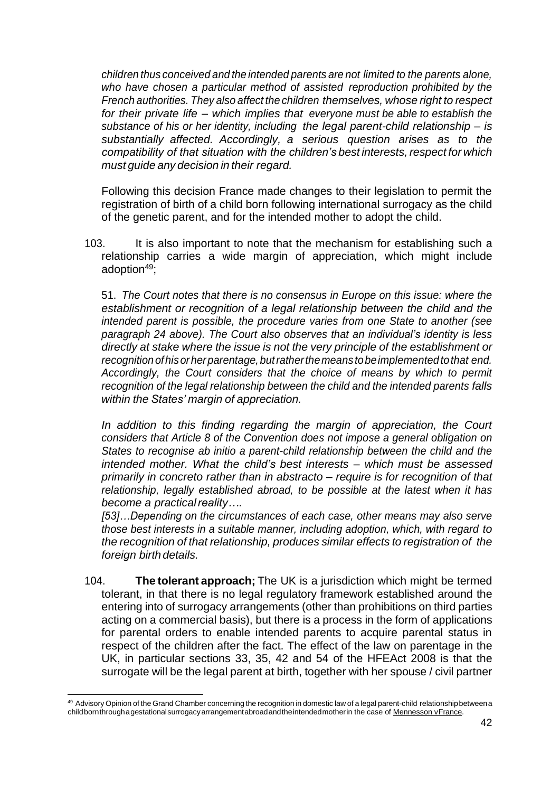*children thus conceived and the intended parents are not limited to the parents alone, who have chosen a particular method of assisted reproduction prohibited by the French authorities. They also affect the children themselves, whose right to respect for their private life – which implies that everyone must be able to establish the substance of his or her identity, including the legal parent-child relationship – is substantially affected. Accordingly, a serious question arises as to the compatibility of that situation with the children's best interests, respect for which must guide any decision in their regard.*

Following this decision France made changes to their legislation to permit the registration of birth of a child born following international surrogacy as the child of the genetic parent, and for the intended mother to adopt the child.

103. It is also important to note that the mechanism for establishing such a relationship carries a wide margin of appreciation, which might include adoption<sup>49</sup>;

51. *The Court notes that there is no consensus in Europe on this issue: where the establishment or recognition of a legal relationship between the child and the intended parent is possible, the procedure varies from one State to another (see paragraph 24 above). The Court also observes that an individual's identity is less directly at stake where the issue is not the very principle of the establishment or recognitionofhisorherparentage,butratherthemeans tobeimplementedtothat end. Accordingly, the Court considers that the choice of means by which to permit recognition of the legal relationship between the child and the intended parents falls within the States' margin of appreciation.*

In addition to this finding regarding the margin of appreciation, the Court *considers that Article 8 of the Convention does not impose a general obligation on States to recognise ab initio a parent-child relationship between the child and the intended mother. What the child's best interests – which must be assessed primarily in concreto rather than in abstracto – require is for recognition of that relationship, legally established abroad, to be possible at the latest when it has become a practicalreality….*

*[53]…Depending on the circumstances of each case, other means may also serve those best interests in a suitable manner, including adoption, which, with regard to the recognition of that relationship, produces similar effects to registration of the foreign birth details.*

104. **The tolerant approach;** The UK is a jurisdiction which might be termed tolerant, in that there is no legal regulatory framework established around the entering into of surrogacy arrangements (other than prohibitions on third parties acting on a commercial basis), but there is a process in the form of applications for parental orders to enable intended parents to acquire parental status in respect of the children after the fact. The effect of the law on parentage in the UK, in particular sections 33, 35, 42 and 54 of the HFEAct 2008 is that the surrogate will be the legal parent at birth, together with her spouse / civil partner

<sup>49</sup> Advisory Opinion of the Grand Chamber concerning the recognition in domestic law of a legal parent-child relationship between a childbornthroughagestationalsurrogacyarrangementabroadandtheintendedmotherin the case of Mennesson vFrance.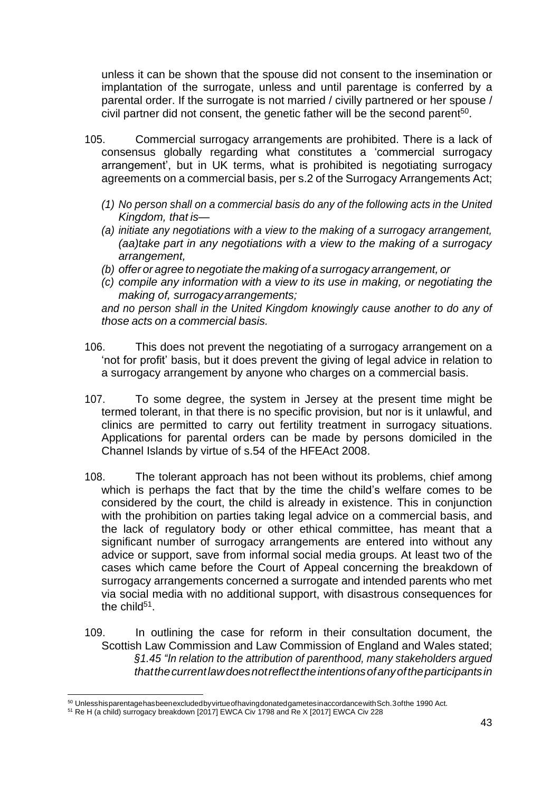unless it can be shown that the spouse did not consent to the insemination or implantation of the surrogate, unless and until parentage is conferred by a parental order. If the surrogate is not married / civilly partnered or her spouse / civil partner did not consent, the genetic father will be the second parent<sup>50</sup>.

- 105. Commercial surrogacy arrangements are prohibited. There is a lack of consensus globally regarding what constitutes a 'commercial surrogacy arrangement', but in UK terms, what is prohibited is negotiating surrogacy agreements on a commercial basis, per s.2 of the Surrogacy Arrangements Act;
	- *(1) No person shall on a commercial basis do any of the following acts in the United Kingdom, that is—*
	- *(a) initiate any negotiations with a view to the making of a surrogacy arrangement, (aa)take part in any negotiations with a view to the making of a surrogacy arrangement,*
	- *(b) offer or agree to negotiate the making of a surrogacy arrangement, or*
	- *(c) compile any information with a view to its use in making, or negotiating the making of, surrogacyarrangements;*

*and no person shall in the United Kingdom knowingly cause another to do any of those acts on a commercial basis.*

- 106. This does not prevent the negotiating of a surrogacy arrangement on a 'not for profit' basis, but it does prevent the giving of legal advice in relation to a surrogacy arrangement by anyone who charges on a commercial basis.
- 107. To some degree, the system in Jersey at the present time might be termed tolerant, in that there is no specific provision, but nor is it unlawful, and clinics are permitted to carry out fertility treatment in surrogacy situations. Applications for parental orders can be made by persons domiciled in the Channel Islands by virtue of s.54 of the HFEAct 2008.
- 108. The tolerant approach has not been without its problems, chief among which is perhaps the fact that by the time the child's welfare comes to be considered by the court, the child is already in existence. This in conjunction with the prohibition on parties taking legal advice on a commercial basis, and the lack of regulatory body or other ethical committee, has meant that a significant number of surrogacy arrangements are entered into without any advice or support, save from informal social media groups. At least two of the cases which came before the Court of Appeal concerning the breakdown of surrogacy arrangements concerned a surrogate and intended parents who met via social media with no additional support, with disastrous consequences for the child<sup>51</sup>.
- 109. In outlining the case for reform in their consultation document, the Scottish Law Commission and Law Commission of England and Wales stated; *§1.45 "In relation to the attribution of parenthood, many stakeholders argued thatthecurrentlawdoesnotreflecttheintentionsofanyoftheparticipantsin*

<sup>50</sup> UnlesshisparentagehasbeenexcludedbyvirtueofhavingdonatedgametesinaccordancewithSch.3ofthe 1990 Act.

<sup>51</sup> Re H (a child) surrogacy breakdown [2017] EWCA Civ 1798 and Re X [2017] EWCA Civ 228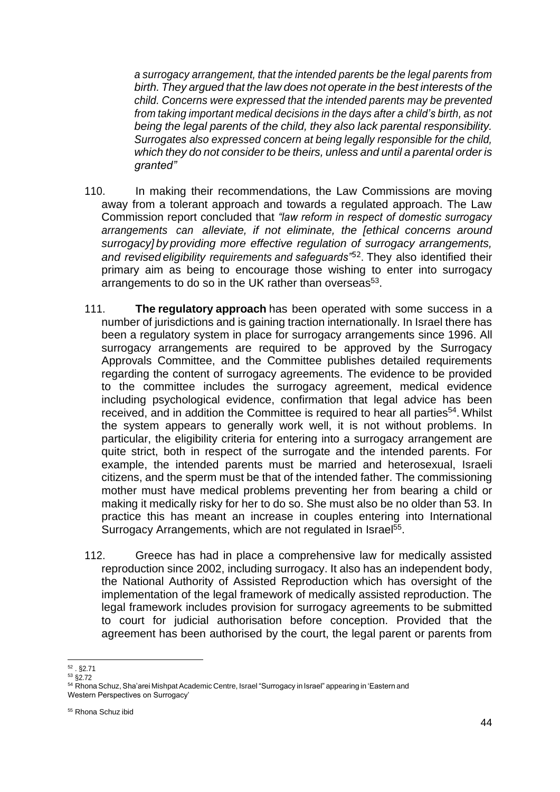*a surrogacy arrangement, that the intended parents be the legal parents from birth. They argued that the law does not operate in the best interests of the child. Concerns were expressed that the intended parents may be prevented from taking important medical decisions in the days after a child's birth, as not being the legal parents of the child, they also lack parental responsibility. Surrogates also expressed concern at being legally responsible for the child, which they do not consider to be theirs, unless and until a parental order is granted"*

- 110. In making their recommendations, the Law Commissions are moving away from a tolerant approach and towards a regulated approach. The Law Commission report concluded that *"law reform in respect of domestic surrogacy arrangements can alleviate, if not eliminate, the [ethical concerns around surrogacy] by providing more effective regulation of surrogacy arrangements, and revised eligibility requirements and safeguards"*<sup>52</sup> . They also identified their primary aim as being to encourage those wishing to enter into surrogacy arrangements to do so in the UK rather than overseas<sup>53</sup>.
- 111. **The regulatory approach** has been operated with some success in a number of jurisdictions and is gaining traction internationally. In Israel there has been a regulatory system in place for surrogacy arrangements since 1996. All surrogacy arrangements are required to be approved by the Surrogacy Approvals Committee, and the Committee publishes detailed requirements regarding the content of surrogacy agreements. The evidence to be provided to the committee includes the surrogacy agreement, medical evidence including psychological evidence, confirmation that legal advice has been received, and in addition the Committee is required to hear all parties<sup>54</sup>. Whilst the system appears to generally work well, it is not without problems. In particular, the eligibility criteria for entering into a surrogacy arrangement are quite strict, both in respect of the surrogate and the intended parents. For example, the intended parents must be married and heterosexual, Israeli citizens, and the sperm must be that of the intended father. The commissioning mother must have medical problems preventing her from bearing a child or making it medically risky for her to do so. She must also be no older than 53. In practice this has meant an increase in couples entering into International Surrogacy Arrangements, which are not regulated in Israel<sup>55</sup>.
- 112. Greece has had in place a comprehensive law for medically assisted reproduction since 2002, including surrogacy. It also has an independent body, the National Authority of Assisted Reproduction which has oversight of the implementation of the legal framework of medically assisted reproduction. The legal framework includes provision for surrogacy agreements to be submitted to court for judicial authorisation before conception. Provided that the agreement has been authorised by the court, the legal parent or parents from

<sup>52</sup> . §2.71

 $53 \overline{\text{S}}2.72$ 

<sup>54</sup> Rhona Schuz, Sha'arei Mishpat Academic Centre, Israel "Surrogacy in Israel" appearing in 'Eastern and Western Perspectives on Surrogacy'

<sup>55</sup> Rhona Schuz ibid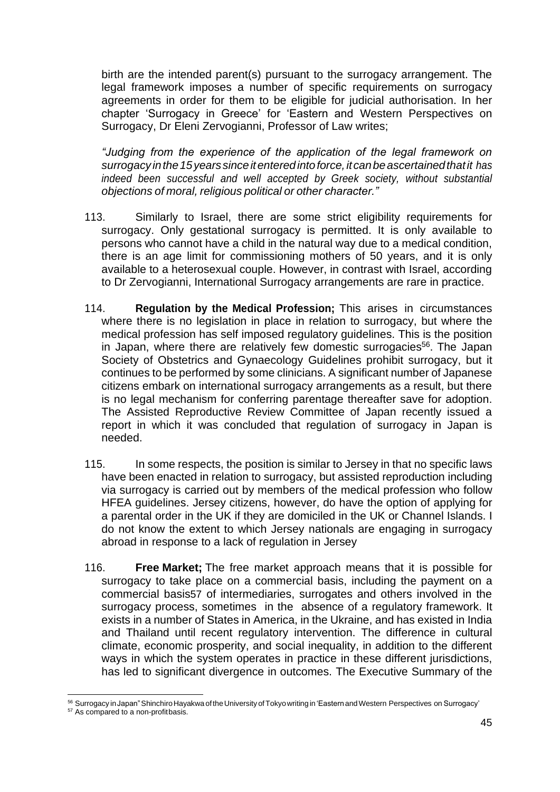birth are the intended parent(s) pursuant to the surrogacy arrangement. The legal framework imposes a number of specific requirements on surrogacy agreements in order for them to be eligible for judicial authorisation. In her chapter 'Surrogacy in Greece' for 'Eastern and Western Perspectives on Surrogacy, Dr Eleni Zervogianni, Professor of Law writes;

*"Judging from the experience of the application of the legal framework on surrogacyinthe15yearssinceitenteredintoforce,itcanbeascertainedthatit has indeed been successful and well accepted by Greek society, without substantial objections of moral, religious political or other character."*

- 113. Similarly to Israel, there are some strict eligibility requirements for surrogacy. Only gestational surrogacy is permitted. It is only available to persons who cannot have a child in the natural way due to a medical condition, there is an age limit for commissioning mothers of 50 years, and it is only available to a heterosexual couple. However, in contrast with Israel, according to Dr Zervogianni, International Surrogacy arrangements are rare in practice.
- 114. **Regulation by the Medical Profession;** This arises in circumstances where there is no legislation in place in relation to surrogacy, but where the medical profession has self imposed regulatory guidelines. This is the position in Japan, where there are relatively few domestic surrogacies<sup>56</sup>. The Japan Society of Obstetrics and Gynaecology Guidelines prohibit surrogacy, but it continues to be performed by some clinicians. A significant number of Japanese citizens embark on international surrogacy arrangements as a result, but there is no legal mechanism for conferring parentage thereafter save for adoption. The Assisted Reproductive Review Committee of Japan recently issued a report in which it was concluded that regulation of surrogacy in Japan is needed.
- 115. In some respects, the position is similar to Jersey in that no specific laws have been enacted in relation to surrogacy, but assisted reproduction including via surrogacy is carried out by members of the medical profession who follow HFEA guidelines. Jersey citizens, however, do have the option of applying for a parental order in the UK if they are domiciled in the UK or Channel Islands. I do not know the extent to which Jersey nationals are engaging in surrogacy abroad in response to a lack of regulation in Jersey
- 116. **Free Market;** The free market approach means that it is possible for surrogacy to take place on a commercial basis, including the payment on a commercial basis57 of intermediaries, surrogates and others involved in the surrogacy process, sometimes in the absence of a regulatory framework. It exists in a number of States in America, in the Ukraine, and has existed in India and Thailand until recent regulatory intervention. The difference in cultural climate, economic prosperity, and social inequality, in addition to the different ways in which the system operates in practice in these different jurisdictions, has led to significant divergence in outcomes. The Executive Summary of the

<sup>56</sup> Surrogacy inJapan"ShinchiroHayakwaoftheUniversityofTokyowritingin'EasternandWestern Perspectives on Surrogacy'

<sup>&</sup>lt;sup>57</sup> As compared to a non-profitbasis.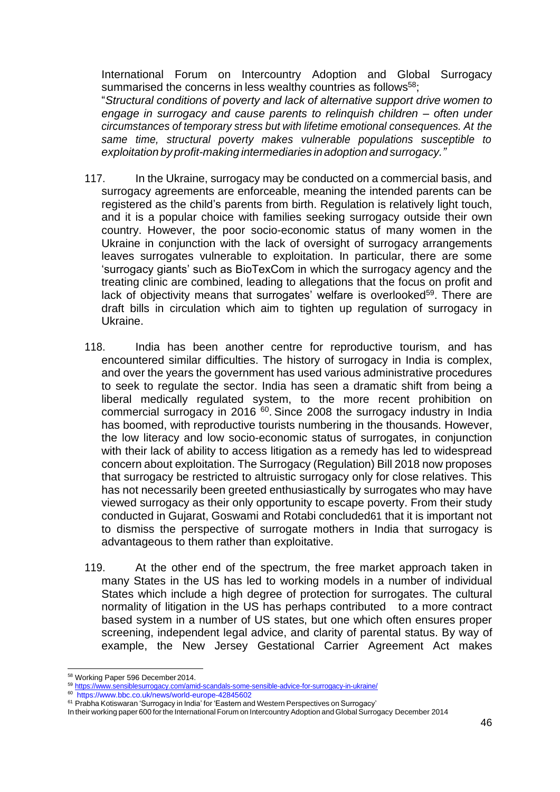International Forum on Intercountry Adoption and Global Surrogacy summarised the concerns in less wealthy countries as follows<sup>58</sup>;

"*Structural conditions of poverty and lack of alternative support drive women to engage in surrogacy and cause parents to relinquish children – often under circumstances of temporary stress but with lifetime emotional consequences. At the same time, structural poverty makes vulnerable populations susceptible to exploitation by profit-making intermediaries inadoption and surrogacy."*

- 117. In the Ukraine, surrogacy may be conducted on a commercial basis, and surrogacy agreements are enforceable, meaning the intended parents can be registered as the child's parents from birth. Regulation is relatively light touch, and it is a popular choice with families seeking surrogacy outside their own country. However, the poor socio-economic status of many women in the Ukraine in conjunction with the lack of oversight of surrogacy arrangements leaves surrogates vulnerable to exploitation. In particular, there are some 'surrogacy giants' such as BioTexCom in which the surrogacy agency and the treating clinic are combined, leading to allegations that the focus on profit and lack of objectivity means that surrogates' welfare is overlooked<sup>59</sup>. There are draft bills in circulation which aim to tighten up regulation of surrogacy in Ukraine.
- 118. India has been another centre for reproductive tourism, and has encountered similar difficulties. The history of surrogacy in India is complex, and over the years the government has used various administrative procedures to seek to regulate the sector. India has seen a dramatic shift from being a liberal medically regulated system, to the more recent prohibition on commercial surrogacy in 2016<sup>60</sup>. Since 2008 the surrogacy industry in India has boomed, with reproductive tourists numbering in the thousands. However, the low literacy and low socio-economic status of surrogates, in conjunction with their lack of ability to access litigation as a remedy has led to widespread concern about exploitation. The Surrogacy (Regulation) Bill 2018 now proposes that surrogacy be restricted to altruistic surrogacy only for close relatives. This has not necessarily been greeted enthusiastically by surrogates who may have viewed surrogacy as their only opportunity to escape poverty. From their study conducted in Gujarat, Goswami and Rotabi concluded61 that it is important not to dismiss the perspective of surrogate mothers in India that surrogacy is advantageous to them rather than exploitative.
- 119. At the other end of the spectrum, the free market approach taken in many States in the US has led to working models in a number of individual States which include a high degree of protection for surrogates. The cultural normality of litigation in the US has perhaps contributed to a more contract based system in a number of US states, but one which often ensures proper screening, independent legal advice, and clarity of parental status. By way of example, the New Jersey Gestational Carrier Agreement Act makes

<sup>58</sup> Working Paper 596 December2014.

<sup>59</sup> <https://www.sensiblesurrogacy.com/amid-scandals-some-sensible-advice-for-surrogacy-in-ukraine/>

<sup>60</sup> <https://www.bbc.co.uk/news/world-europe-42845602>

<sup>&</sup>lt;sup>61</sup> Prabha Kotiswaran 'Surrogacy in India' for 'Eastern and Western Perspectives on Surrogacy'

In their working paper 600 forthe International Forum on Intercountry Adoption and Global Surrogacy December 2014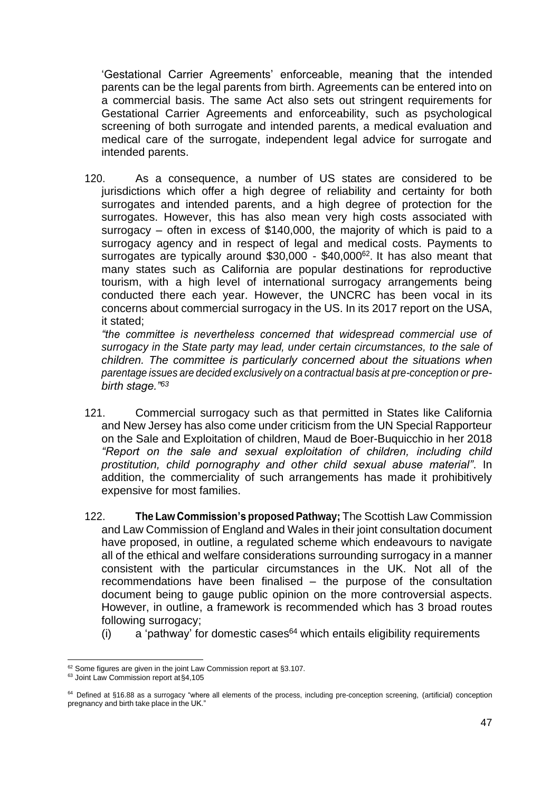'Gestational Carrier Agreements' enforceable, meaning that the intended parents can be the legal parents from birth. Agreements can be entered into on a commercial basis. The same Act also sets out stringent requirements for Gestational Carrier Agreements and enforceability, such as psychological screening of both surrogate and intended parents, a medical evaluation and medical care of the surrogate, independent legal advice for surrogate and intended parents.

120. As a consequence, a number of US states are considered to be jurisdictions which offer a high degree of reliability and certainty for both surrogates and intended parents, and a high degree of protection for the surrogates. However, this has also mean very high costs associated with surrogacy – often in excess of \$140,000, the majority of which is paid to a surrogacy agency and in respect of legal and medical costs. Payments to surrogates are typically around \$30,000 - \$40,000<sup>62</sup>. It has also meant that many states such as California are popular destinations for reproductive tourism, with a high level of international surrogacy arrangements being conducted there each year. However, the UNCRC has been vocal in its concerns about commercial surrogacy in the US. In its 2017 report on the USA, it stated;

*"the committee is nevertheless concerned that widespread commercial use of surrogacy in the State party may lead, under certain circumstances, to the sale of children. The committee is particularly concerned about the situations when parentage issues are decided exclusively on a contractual basis at pre-conception or prebirth stage."<sup>63</sup>*

- 121. Commercial surrogacy such as that permitted in States like California and New Jersey has also come under criticism from the UN Special Rapporteur on the Sale and Exploitation of children, Maud de Boer-Buquicchio in her 2018 *"Report on the sale and sexual exploitation of children, including child prostitution, child pornography and other child sexual abuse material"*. In addition, the commerciality of such arrangements has made it prohibitively expensive for most families.
- 122. **The Law Commission's proposed Pathway;** The Scottish Law Commission and Law Commission of England and Wales in their joint consultation document have proposed, in outline, a regulated scheme which endeavours to navigate all of the ethical and welfare considerations surrounding surrogacy in a manner consistent with the particular circumstances in the UK. Not all of the recommendations have been finalised – the purpose of the consultation document being to gauge public opinion on the more controversial aspects. However, in outline, a framework is recommended which has 3 broad routes following surrogacy;
	- (i)  $\alpha$  'pathway' for domestic cases<sup>64</sup> which entails eligibility requirements

<sup>&</sup>lt;sup>62</sup> Some figures are given in the joint Law Commission report at §3.107.

<sup>63</sup> Joint Law Commission report at§4,105

<sup>64</sup> Defined at §16.88 as a surrogacy "where all elements of the process, including pre-conception screening, (artificial) conception pregnancy and birth take place in the UK."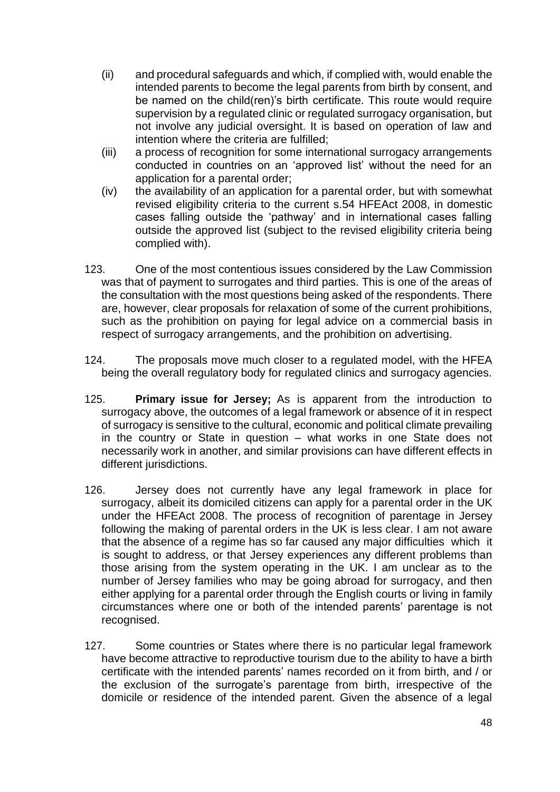- (ii) and procedural safeguards and which, if complied with, would enable the intended parents to become the legal parents from birth by consent, and be named on the child(ren)'s birth certificate. This route would require supervision by a regulated clinic or regulated surrogacy organisation, but not involve any judicial oversight. It is based on operation of law and intention where the criteria are fulfilled;
- (iii) a process of recognition for some international surrogacy arrangements conducted in countries on an 'approved list' without the need for an application for a parental order;
- (iv) the availability of an application for a parental order, but with somewhat revised eligibility criteria to the current s.54 HFEAct 2008, in domestic cases falling outside the 'pathway' and in international cases falling outside the approved list (subject to the revised eligibility criteria being complied with).
- 123. One of the most contentious issues considered by the Law Commission was that of payment to surrogates and third parties. This is one of the areas of the consultation with the most questions being asked of the respondents. There are, however, clear proposals for relaxation of some of the current prohibitions, such as the prohibition on paying for legal advice on a commercial basis in respect of surrogacy arrangements, and the prohibition on advertising.
- 124. The proposals move much closer to a regulated model, with the HFEA being the overall regulatory body for regulated clinics and surrogacy agencies.
- 125. **Primary issue for Jersey;** As is apparent from the introduction to surrogacy above, the outcomes of a legal framework or absence of it in respect of surrogacy is sensitive to the cultural, economic and political climate prevailing in the country or State in question – what works in one State does not necessarily work in another, and similar provisions can have different effects in different jurisdictions.
- 126. Jersey does not currently have any legal framework in place for surrogacy, albeit its domiciled citizens can apply for a parental order in the UK under the HFEAct 2008. The process of recognition of parentage in Jersey following the making of parental orders in the UK is less clear. I am not aware that the absence of a regime has so far caused any major difficulties which it is sought to address, or that Jersey experiences any different problems than those arising from the system operating in the UK. I am unclear as to the number of Jersey families who may be going abroad for surrogacy, and then either applying for a parental order through the English courts or living in family circumstances where one or both of the intended parents' parentage is not recognised.
- 127. Some countries or States where there is no particular legal framework have become attractive to reproductive tourism due to the ability to have a birth certificate with the intended parents' names recorded on it from birth, and / or the exclusion of the surrogate's parentage from birth, irrespective of the domicile or residence of the intended parent. Given the absence of a legal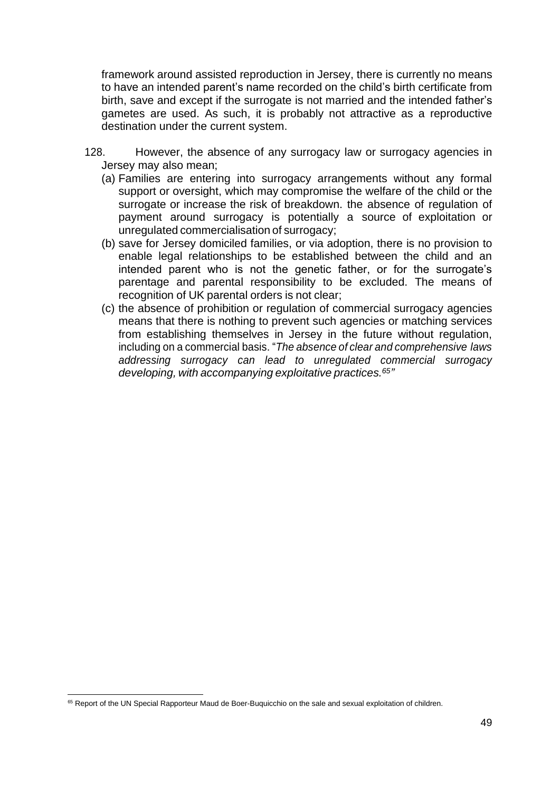framework around assisted reproduction in Jersey, there is currently no means to have an intended parent's name recorded on the child's birth certificate from birth, save and except if the surrogate is not married and the intended father's gametes are used. As such, it is probably not attractive as a reproductive destination under the current system.

- 128. However, the absence of any surrogacy law or surrogacy agencies in Jersey may also mean;
	- (a) Families are entering into surrogacy arrangements without any formal support or oversight, which may compromise the welfare of the child or the surrogate or increase the risk of breakdown. the absence of regulation of payment around surrogacy is potentially a source of exploitation or unregulated commercialisation of surrogacy;
	- (b) save for Jersey domiciled families, or via adoption, there is no provision to enable legal relationships to be established between the child and an intended parent who is not the genetic father, or for the surrogate's parentage and parental responsibility to be excluded. The means of recognition of UK parental orders is not clear;
	- (c) the absence of prohibition or regulation of commercial surrogacy agencies means that there is nothing to prevent such agencies or matching services from establishing themselves in Jersey in the future without regulation, including on a commercial basis. "*The absence of clear and comprehensive laws addressing surrogacy can lead to unregulated commercial surrogacy developing, with accompanying exploitative practices.<sup>65</sup> "*

<sup>&</sup>lt;sup>65</sup> Report of the UN Special Rapporteur Maud de Boer-Buquicchio on the sale and sexual exploitation of children.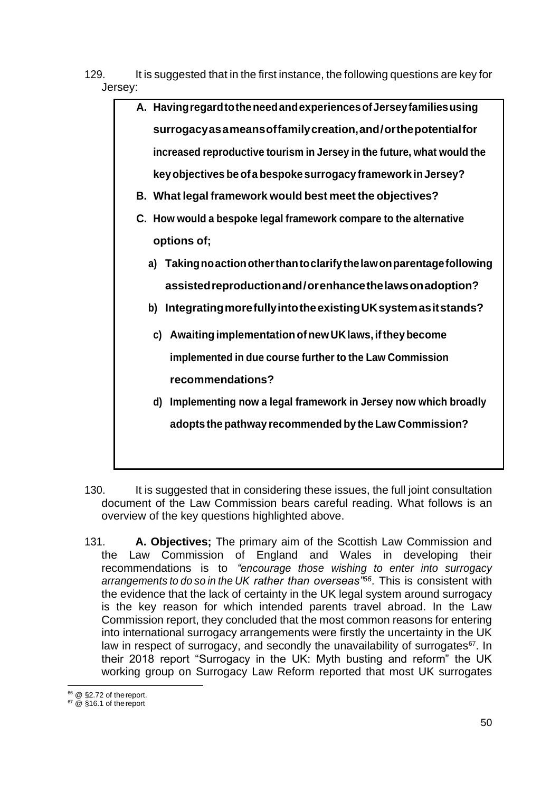- 129. It is suggested that in the first instance, the following questions are key for Jersey:
	- **A. HavingregardtotheneedandexperiencesofJerseyfamiliesusing surrogacyasameansoffamilycreation,and/orthepotentialfor increased reproductive tourism in Jersey in the future, what would the keyobjectives be ofa bespoke surrogacy framework inJersey?**
		- **B. What legal framework would best meet the objectives?**
		- **C. How would a bespoke legal framework compare to the alternative options of;**
			- **a) Takingnoactionotherthantoclarifythelawonparentagefollowing assistedreproductionand/orenhancethelawsonadoption?**
			- **b) IntegratingmorefullyintotheexistingUKsystemasitstands?**
				- **c) AwaitingimplementationofnewUKlaws, iftheybecome implemented in due course further to the Law Commission recommendations?**
				- **d) Implementing now a legal framework in Jersey now which broadly adopts the pathway recommended by the Law Commission?**
- 130. It is suggested that in considering these issues, the full joint consultation document of the Law Commission bears careful reading. What follows is an overview of the key questions highlighted above.
- 131. **A. Objectives;** The primary aim of the Scottish Law Commission and the Law Commission of England and Wales in developing their recommendations is to *"encourage those wishing to enter into surrogacy arrangements to do so in the UK rather than overseas"<sup>66</sup>*. This is consistent with the evidence that the lack of certainty in the UK legal system around surrogacy is the key reason for which intended parents travel abroad. In the Law Commission report, they concluded that the most common reasons for entering into international surrogacy arrangements were firstly the uncertainty in the UK law in respect of surrogacy, and secondly the unavailability of surrogates $67$ . In their 2018 report "Surrogacy in the UK: Myth busting and reform" the UK working group on Surrogacy Law Reform reported that most UK surrogates

 $66$  @ §2.72 of the report.

 $67$  @ §16.1 of the report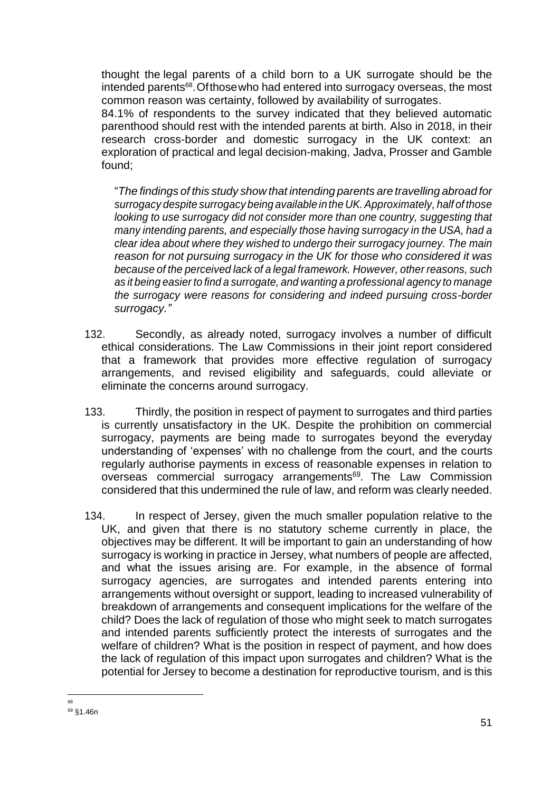thought the legal parents of a child born to a UK surrogate should be the intended parents<sup>68</sup>. Of those who had entered into surrogacy overseas, the most common reason was certainty, followed by availability of surrogates.

84.1% of respondents to the survey indicated that they believed automatic parenthood should rest with the intended parents at birth. Also in 2018, in their research cross-border and domestic surrogacy in the UK context: an exploration of practical and legal decision-making, Jadva, Prosser and Gamble found;

"*The findings of this study show that intending parents are travelling abroad for surrogacy despite surrogacy being available in the UK.Approximately, half of those looking to use surrogacy did not consider more than one country, suggesting that many intending parents, and especially those having surrogacy in the USA, had a clear idea about where they wished to undergo their surrogacy journey. The main reason for not pursuing surrogacy in the UK for those who considered it was because of the perceived lack of a legal framework. However, other reasons, such as it being easier to find a surrogate, and wanting a professional agency to manage the surrogacy were reasons for considering and indeed pursuing cross-border surrogacy."*

- 132. Secondly, as already noted, surrogacy involves a number of difficult ethical considerations. The Law Commissions in their joint report considered that a framework that provides more effective regulation of surrogacy arrangements, and revised eligibility and safeguards, could alleviate or eliminate the concerns around surrogacy.
- 133. Thirdly, the position in respect of payment to surrogates and third parties is currently unsatisfactory in the UK. Despite the prohibition on commercial surrogacy, payments are being made to surrogates beyond the everyday understanding of 'expenses' with no challenge from the court, and the courts regularly authorise payments in excess of reasonable expenses in relation to overseas commercial surrogacy arrangements<sup>69</sup>. The Law Commission considered that this undermined the rule of law, and reform was clearly needed.
- 134. In respect of Jersey, given the much smaller population relative to the UK, and given that there is no statutory scheme currently in place, the objectives may be different. It will be important to gain an understanding of how surrogacy is working in practice in Jersey, what numbers of people are affected, and what the issues arising are. For example, in the absence of formal surrogacy agencies, are surrogates and intended parents entering into arrangements without oversight or support, leading to increased vulnerability of breakdown of arrangements and consequent implications for the welfare of the child? Does the lack of regulation of those who might seek to match surrogates and intended parents sufficiently protect the interests of surrogates and the welfare of children? What is the position in respect of payment, and how does the lack of regulation of this impact upon surrogates and children? What is the potential for Jersey to become a destination for reproductive tourism, and is this

<sup>68</sup>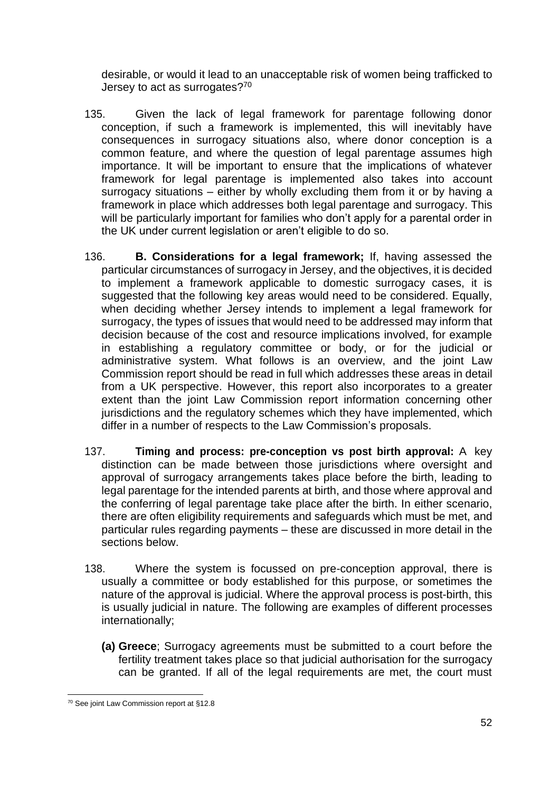desirable, or would it lead to an unacceptable risk of women being trafficked to Jersey to act as surrogates?<sup>70</sup>

- 135. Given the lack of legal framework for parentage following donor conception, if such a framework is implemented, this will inevitably have consequences in surrogacy situations also, where donor conception is a common feature, and where the question of legal parentage assumes high importance. It will be important to ensure that the implications of whatever framework for legal parentage is implemented also takes into account surrogacy situations – either by wholly excluding them from it or by having a framework in place which addresses both legal parentage and surrogacy. This will be particularly important for families who don't apply for a parental order in the UK under current legislation or aren't eligible to do so.
- 136. **B. Considerations for a legal framework;** If, having assessed the particular circumstances of surrogacy in Jersey, and the objectives, it is decided to implement a framework applicable to domestic surrogacy cases, it is suggested that the following key areas would need to be considered. Equally, when deciding whether Jersey intends to implement a legal framework for surrogacy, the types of issues that would need to be addressed may inform that decision because of the cost and resource implications involved, for example in establishing a regulatory committee or body, or for the judicial or administrative system. What follows is an overview, and the joint Law Commission report should be read in full which addresses these areas in detail from a UK perspective. However, this report also incorporates to a greater extent than the joint Law Commission report information concerning other jurisdictions and the regulatory schemes which they have implemented, which differ in a number of respects to the Law Commission's proposals.
- 137. **Timing and process: pre-conception vs post birth approval:** A key distinction can be made between those jurisdictions where oversight and approval of surrogacy arrangements takes place before the birth, leading to legal parentage for the intended parents at birth, and those where approval and the conferring of legal parentage take place after the birth. In either scenario, there are often eligibility requirements and safeguards which must be met, and particular rules regarding payments – these are discussed in more detail in the sections below.
- 138. Where the system is focussed on pre-conception approval, there is usually a committee or body established for this purpose, or sometimes the nature of the approval is judicial. Where the approval process is post-birth, this is usually judicial in nature. The following are examples of different processes internationally;
	- **(a) Greece**; Surrogacy agreements must be submitted to a court before the fertility treatment takes place so that judicial authorisation for the surrogacy can be granted. If all of the legal requirements are met, the court must

<sup>70</sup> See joint Law Commission report at §12.8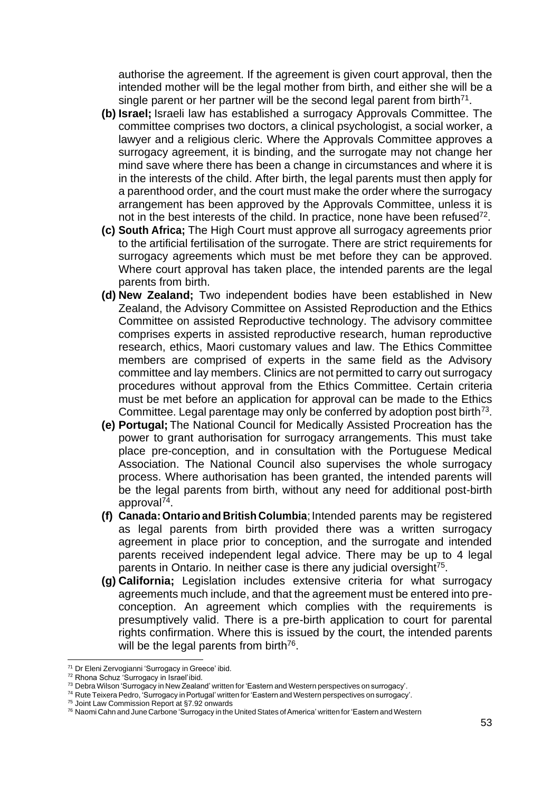authorise the agreement. If the agreement is given court approval, then the intended mother will be the legal mother from birth, and either she will be a single parent or her partner will be the second legal parent from birth<sup>71</sup>.

- **(b) Israel;** Israeli law has established a surrogacy Approvals Committee. The committee comprises two doctors, a clinical psychologist, a social worker, a lawyer and a religious cleric. Where the Approvals Committee approves a surrogacy agreement, it is binding, and the surrogate may not change her mind save where there has been a change in circumstances and where it is in the interests of the child. After birth, the legal parents must then apply for a parenthood order, and the court must make the order where the surrogacy arrangement has been approved by the Approvals Committee, unless it is not in the best interests of the child. In practice, none have been refused<sup>72</sup>.
- **(c) South Africa;** The High Court must approve all surrogacy agreements prior to the artificial fertilisation of the surrogate. There are strict requirements for surrogacy agreements which must be met before they can be approved. Where court approval has taken place, the intended parents are the legal parents from birth.
- **(d) New Zealand;** Two independent bodies have been established in New Zealand, the Advisory Committee on Assisted Reproduction and the Ethics Committee on assisted Reproductive technology. The advisory committee comprises experts in assisted reproductive research, human reproductive research, ethics, Maori customary values and law. The Ethics Committee members are comprised of experts in the same field as the Advisory committee and lay members. Clinics are not permitted to carry out surrogacy procedures without approval from the Ethics Committee. Certain criteria must be met before an application for approval can be made to the Ethics Committee. Legal parentage may only be conferred by adoption post birth<sup>73</sup>.
- **(e) Portugal;** The National Council for Medically Assisted Procreation has the power to grant authorisation for surrogacy arrangements. This must take place pre-conception, and in consultation with the Portuguese Medical Association. The National Council also supervises the whole surrogacy process. Where authorisation has been granted, the intended parents will be the legal parents from birth, without any need for additional post-birth approval<sup>74</sup>.
- **(f) Canada: Ontario and British Columbia**; Intended parents may be registered as legal parents from birth provided there was a written surrogacy agreement in place prior to conception, and the surrogate and intended parents received independent legal advice. There may be up to 4 legal parents in Ontario. In neither case is there any judicial oversight<sup>75</sup>.
- **(g) California;** Legislation includes extensive criteria for what surrogacy agreements much include, and that the agreement must be entered into preconception. An agreement which complies with the requirements is presumptively valid. There is a pre-birth application to court for parental rights confirmation. Where this is issued by the court, the intended parents will be the legal parents from birth<sup>76</sup>.

<sup>75</sup> Joint Law Commission Report at §7.92 onwards

<sup>71</sup> Dr Eleni Zervogianni 'Surrogacy in Greece' ibid.

<sup>72</sup> Rhona Schuz 'Surrogacy in Israel'ibid.

<sup>73</sup> Debra Wilson 'Surrogacy in New Zealand' written for 'Eastern and Western perspectives on surrogacy'.

<sup>74</sup> Rute Teixera Pedro, 'Surrogacy in Portugal' written for 'Eastern and Western perspectives on surrogacy'.

<sup>&</sup>lt;sup>76</sup> Naomi Cahn and June Carbone 'Surrogacy in the United States of America' written for 'Eastern and Western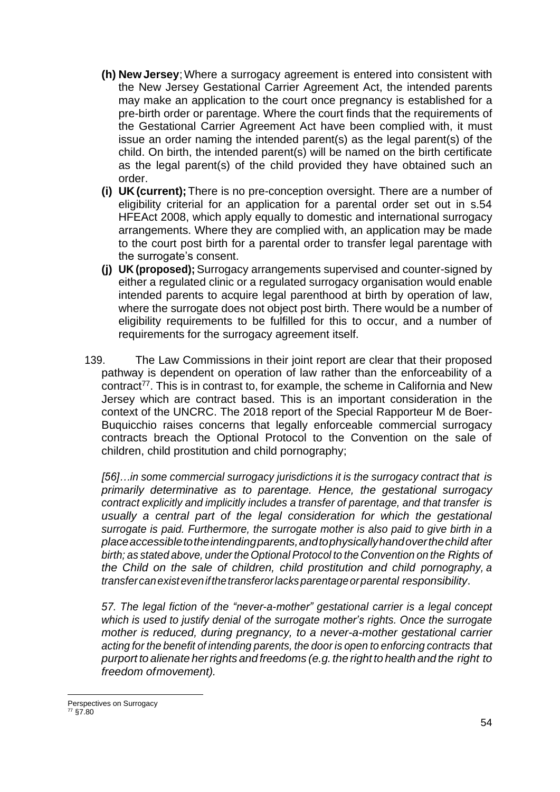- **(h) NewJersey**;Where a surrogacy agreement is entered into consistent with the New Jersey Gestational Carrier Agreement Act, the intended parents may make an application to the court once pregnancy is established for a pre-birth order or parentage. Where the court finds that the requirements of the Gestational Carrier Agreement Act have been complied with, it must issue an order naming the intended parent(s) as the legal parent(s) of the child. On birth, the intended parent(s) will be named on the birth certificate as the legal parent(s) of the child provided they have obtained such an order.
- **(i) UK(current);**There is no pre-conception oversight. There are a number of eligibility criterial for an application for a parental order set out in s.54 HFEAct 2008, which apply equally to domestic and international surrogacy arrangements. Where they are complied with, an application may be made to the court post birth for a parental order to transfer legal parentage with the surrogate's consent.
- **(j) UK (proposed);** Surrogacy arrangements supervised and counter-signed by either a regulated clinic or a regulated surrogacy organisation would enable intended parents to acquire legal parenthood at birth by operation of law, where the surrogate does not object post birth. There would be a number of eligibility requirements to be fulfilled for this to occur, and a number of requirements for the surrogacy agreement itself.
- 139. The Law Commissions in their joint report are clear that their proposed pathway is dependent on operation of law rather than the enforceability of a  $control^{77}$ . This is in contrast to, for example, the scheme in California and New Jersey which are contract based. This is an important consideration in the context of the UNCRC. The 2018 report of the Special Rapporteur M de Boer-Buquicchio raises concerns that legally enforceable commercial surrogacy contracts breach the Optional Protocol to the Convention on the sale of children, child prostitution and child pornography;

*[56]…in some commercial surrogacy jurisdictions it is the surrogacy contract that is primarily determinative as to parentage. Hence, the gestational surrogacy contract explicitly and implicitly includes a transfer of parentage, and that transfer is*  usually a central part of the legal consideration for which the gestational *surrogate is paid. Furthermore, the surrogate mother is also paid to give birth in a placeaccessibletotheintendingparents,andtophysicallyhandoverthechild after birth; as stated above, under the Optional Protocol to the Convention on the Rights of the Child on the sale of children, child prostitution and child pornography, a transfercanexistevenifthetransferorlacksparentageorparental responsibility*.

*57. The legal fiction of the "never-a-mother" gestational carrier is a legal concept which is used to justify denial of the surrogate mother's rights. Once the surrogate mother is reduced, during pregnancy, to a never-a-mother gestational carrier acting for the benefit of intending parents, the door is open to enforcing contracts that purport to alienate herrights and freedoms (e.g. the right to health and the right to freedom ofmovement).*

Perspectives on Surrogacy <sup>77</sup> §7.80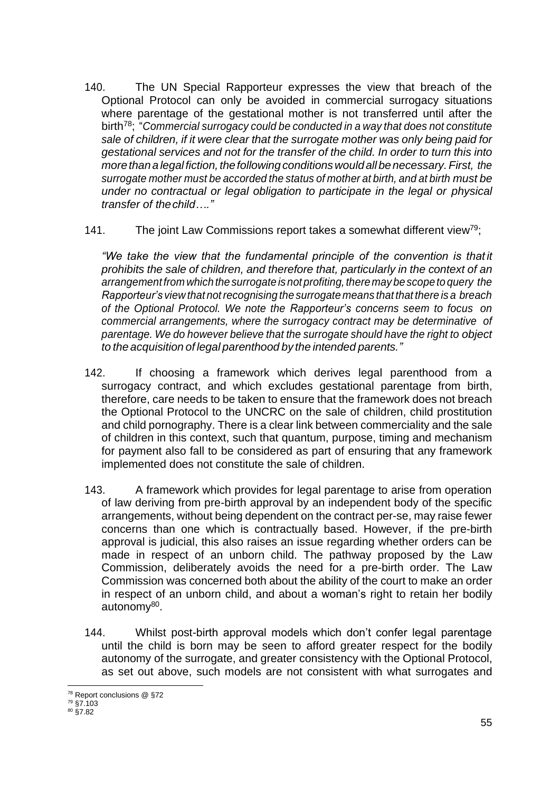- 140. The UN Special Rapporteur expresses the view that breach of the Optional Protocol can only be avoided in commercial surrogacy situations where parentage of the gestational mother is not transferred until after the birth<sup>78</sup>; "*Commercial surrogacy could be conducted in a way that does not constitute sale of children, if it were clear that the surrogate mother was only being paid for gestational services and not for the transfer of the child. In order to turn this into more thana legalfiction, thefollowingconditionswouldallbenecessary.First, the surrogate mother must be accorded the status of mother at birth, and at birth must be under no contractual or legal obligation to participate in the legal or physical transfer of thechild…."*
- 141. The joint Law Commissions report takes a somewhat different view<sup>79</sup>;

*"We take the view that the fundamental principle of the convention is that it prohibits the sale of children, and therefore that, particularly in the context of an arrangementfrom which the surrogate is not profiting, theremay be scopeto query the Rapporteur's view that notrecognising the surrogate means that that there is a breach of the Optional Protocol. We note the Rapporteur's concerns seem to focus on commercial arrangements, where the surrogacy contract may be determinative of parentage. We do however believe that the surrogate should have the right to object to the acquisition of legal parenthood by the intended parents."*

- 142. If choosing a framework which derives legal parenthood from a surrogacy contract, and which excludes gestational parentage from birth, therefore, care needs to be taken to ensure that the framework does not breach the Optional Protocol to the UNCRC on the sale of children, child prostitution and child pornography. There is a clear link between commerciality and the sale of children in this context, such that quantum, purpose, timing and mechanism for payment also fall to be considered as part of ensuring that any framework implemented does not constitute the sale of children.
- 143. A framework which provides for legal parentage to arise from operation of law deriving from pre-birth approval by an independent body of the specific arrangements, without being dependent on the contract per-se, may raise fewer concerns than one which is contractually based. However, if the pre-birth approval is judicial, this also raises an issue regarding whether orders can be made in respect of an unborn child. The pathway proposed by the Law Commission, deliberately avoids the need for a pre-birth order. The Law Commission was concerned both about the ability of the court to make an order in respect of an unborn child, and about a woman's right to retain her bodily autonomy<sup>80</sup>.
- 144. Whilst post-birth approval models which don't confer legal parentage until the child is born may be seen to afford greater respect for the bodily autonomy of the surrogate, and greater consistency with the Optional Protocol, as set out above, such models are not consistent with what surrogates and

<sup>78</sup> Report conclusions @ §72

<sup>79</sup> §7.103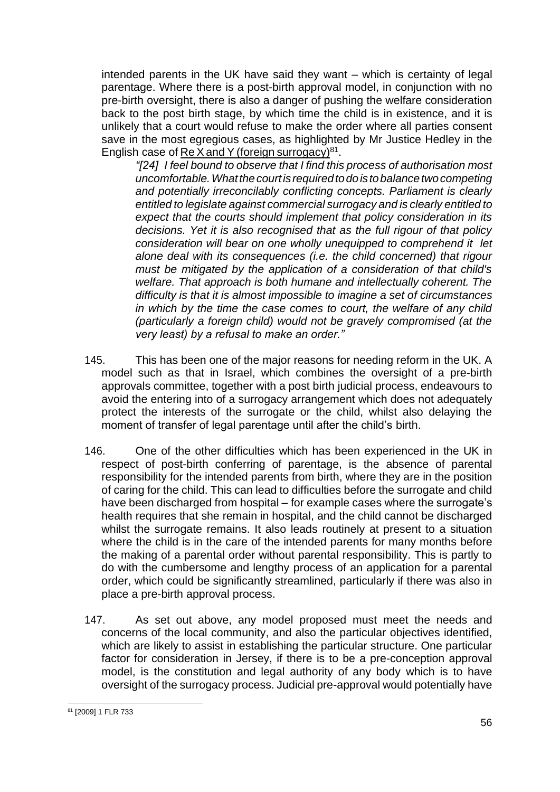intended parents in the UK have said they want – which is certainty of legal parentage. Where there is a post-birth approval model, in conjunction with no pre-birth oversight, there is also a danger of pushing the welfare consideration back to the post birth stage, by which time the child is in existence, and it is unlikely that a court would refuse to make the order where all parties consent save in the most egregious cases, as highlighted by Mr Justice Hedley in the English case of Re X and Y (foreign surrogacy) $81$ .

*"[24] I feel bound to observe that I find this process of authorisation most uncomfortable.Whatthecourtisrequiredtodoistobalancetwocompeting and potentially irreconcilably conflicting concepts. Parliament is clearly entitled to legislate against commercial surrogacy and is clearly entitled to expect that the courts should implement that policy consideration in its decisions. Yet it is also recognised that as the full rigour of that policy consideration will bear on one wholly unequipped to comprehend it let alone deal with its consequences (i.e. the child concerned) that rigour must be mitigated by the application of a consideration of that child's welfare. That approach is both humane and intellectually coherent. The difficulty is that it is almost impossible to imagine a set of circumstances in which by the time the case comes to court, the welfare of any child (particularly a foreign child) would not be gravely compromised (at the very least) by a refusal to make an order."*

- 145. This has been one of the major reasons for needing reform in the UK. A model such as that in Israel, which combines the oversight of a pre-birth approvals committee, together with a post birth judicial process, endeavours to avoid the entering into of a surrogacy arrangement which does not adequately protect the interests of the surrogate or the child, whilst also delaying the moment of transfer of legal parentage until after the child's birth.
- 146. One of the other difficulties which has been experienced in the UK in respect of post-birth conferring of parentage, is the absence of parental responsibility for the intended parents from birth, where they are in the position of caring for the child. This can lead to difficulties before the surrogate and child have been discharged from hospital – for example cases where the surrogate's health requires that she remain in hospital, and the child cannot be discharged whilst the surrogate remains. It also leads routinely at present to a situation where the child is in the care of the intended parents for many months before the making of a parental order without parental responsibility. This is partly to do with the cumbersome and lengthy process of an application for a parental order, which could be significantly streamlined, particularly if there was also in place a pre-birth approval process.
- 147. As set out above, any model proposed must meet the needs and concerns of the local community, and also the particular objectives identified, which are likely to assist in establishing the particular structure. One particular factor for consideration in Jersey, if there is to be a pre-conception approval model, is the constitution and legal authority of any body which is to have oversight of the surrogacy process. Judicial pre-approval would potentially have

<sup>81</sup> [2009] 1 FLR 733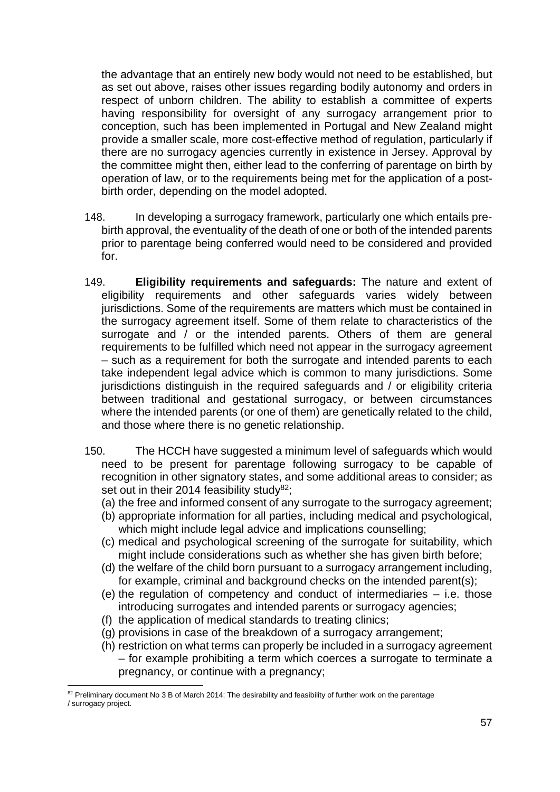the advantage that an entirely new body would not need to be established, but as set out above, raises other issues regarding bodily autonomy and orders in respect of unborn children. The ability to establish a committee of experts having responsibility for oversight of any surrogacy arrangement prior to conception, such has been implemented in Portugal and New Zealand might provide a smaller scale, more cost-effective method of regulation, particularly if there are no surrogacy agencies currently in existence in Jersey. Approval by the committee might then, either lead to the conferring of parentage on birth by operation of law, or to the requirements being met for the application of a postbirth order, depending on the model adopted.

- 148. In developing a surrogacy framework, particularly one which entails prebirth approval, the eventuality of the death of one or both of the intended parents prior to parentage being conferred would need to be considered and provided for.
- 149. **Eligibility requirements and safeguards:** The nature and extent of eligibility requirements and other safeguards varies widely between jurisdictions. Some of the requirements are matters which must be contained in the surrogacy agreement itself. Some of them relate to characteristics of the surrogate and / or the intended parents. Others of them are general requirements to be fulfilled which need not appear in the surrogacy agreement – such as a requirement for both the surrogate and intended parents to each take independent legal advice which is common to many jurisdictions. Some jurisdictions distinguish in the required safeguards and / or eligibility criteria between traditional and gestational surrogacy, or between circumstances where the intended parents (or one of them) are genetically related to the child, and those where there is no genetic relationship.
- 150. The HCCH have suggested a minimum level of safeguards which would need to be present for parentage following surrogacy to be capable of recognition in other signatory states, and some additional areas to consider; as set out in their 2014 feasibility study $82$ ;
	- (a) the free and informed consent of any surrogate to the surrogacy agreement;
	- (b) appropriate information for all parties, including medical and psychological, which might include legal advice and implications counselling;
	- (c) medical and psychological screening of the surrogate for suitability, which might include considerations such as whether she has given birth before;
	- (d) the welfare of the child born pursuant to a surrogacy arrangement including, for example, criminal and background checks on the intended parent(s);
	- (e) the regulation of competency and conduct of intermediaries i.e. those introducing surrogates and intended parents or surrogacy agencies;
	- (f) the application of medical standards to treating clinics;
	- (g) provisions in case of the breakdown of a surrogacy arrangement;
	- (h) restriction on what terms can properly be included in a surrogacy agreement – for example prohibiting a term which coerces a surrogate to terminate a pregnancy, or continue with a pregnancy;

<sup>82</sup> Preliminary document No 3 B of March 2014: The desirability and feasibility of further work on the parentage / surrogacy project.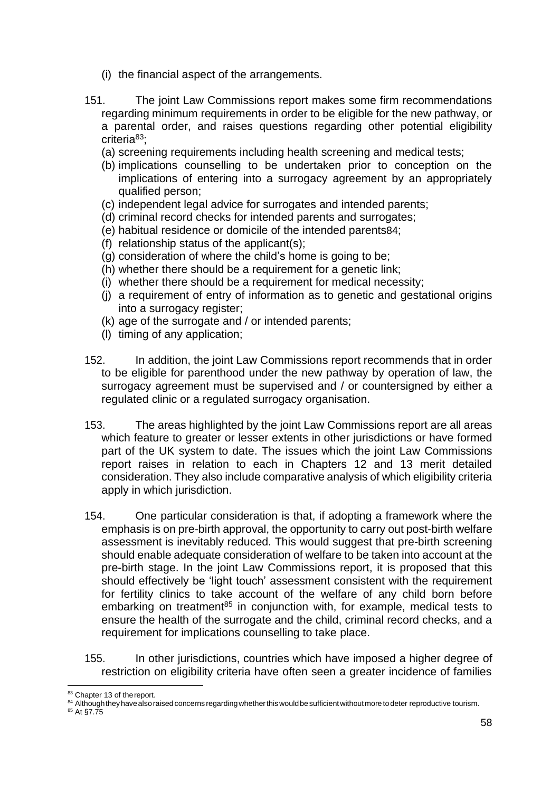- (i) the financial aspect of the arrangements.
- 151. The joint Law Commissions report makes some firm recommendations regarding minimum requirements in order to be eligible for the new pathway, or a parental order, and raises questions regarding other potential eligibility criteria<sup>83</sup>;
	- (a) screening requirements including health screening and medical tests;
	- (b) implications counselling to be undertaken prior to conception on the implications of entering into a surrogacy agreement by an appropriately qualified person;
	- (c) independent legal advice for surrogates and intended parents;
	- (d) criminal record checks for intended parents and surrogates;
	- (e) habitual residence or domicile of the intended parents84;
	- (f) relationship status of the applicant(s);
	- (g) consideration of where the child's home is going to be;
	- (h) whether there should be a requirement for a genetic link;
	- (i) whether there should be a requirement for medical necessity;
	- (j) a requirement of entry of information as to genetic and gestational origins into a surrogacy register;
	- (k) age of the surrogate and / or intended parents;
	- (l) timing of any application;
- 152. In addition, the joint Law Commissions report recommends that in order to be eligible for parenthood under the new pathway by operation of law, the surrogacy agreement must be supervised and / or countersigned by either a regulated clinic or a regulated surrogacy organisation.
- 153. The areas highlighted by the joint Law Commissions report are all areas which feature to greater or lesser extents in other jurisdictions or have formed part of the UK system to date. The issues which the joint Law Commissions report raises in relation to each in Chapters 12 and 13 merit detailed consideration. They also include comparative analysis of which eligibility criteria apply in which jurisdiction.
- 154. One particular consideration is that, if adopting a framework where the emphasis is on pre-birth approval, the opportunity to carry out post-birth welfare assessment is inevitably reduced. This would suggest that pre-birth screening should enable adequate consideration of welfare to be taken into account at the pre-birth stage. In the joint Law Commissions report, it is proposed that this should effectively be 'light touch' assessment consistent with the requirement for fertility clinics to take account of the welfare of any child born before embarking on treatment<sup>85</sup> in conjunction with, for example, medical tests to ensure the health of the surrogate and the child, criminal record checks, and a requirement for implications counselling to take place.
- 155. In other jurisdictions, countries which have imposed a higher degree of restriction on eligibility criteria have often seen a greater incidence of families

<sup>83</sup> Chapter 13 of the report.

<sup>84</sup> Although they have also raised concerns regarding whether this would be sufficient without more to deter reproductive tourism.

<sup>85</sup> At §7.75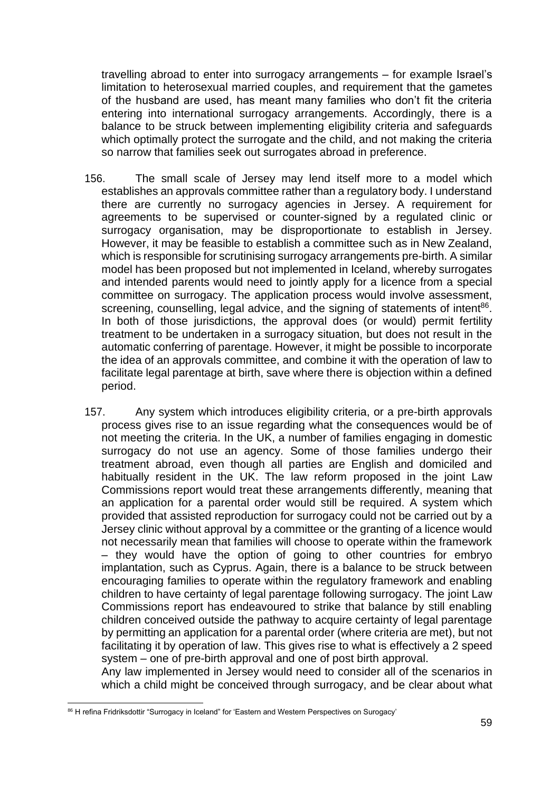travelling abroad to enter into surrogacy arrangements – for example Israel's limitation to heterosexual married couples, and requirement that the gametes of the husband are used, has meant many families who don't fit the criteria entering into international surrogacy arrangements. Accordingly, there is a balance to be struck between implementing eligibility criteria and safeguards which optimally protect the surrogate and the child, and not making the criteria so narrow that families seek out surrogates abroad in preference.

- 156. The small scale of Jersey may lend itself more to a model which establishes an approvals committee rather than a regulatory body. I understand there are currently no surrogacy agencies in Jersey. A requirement for agreements to be supervised or counter-signed by a regulated clinic or surrogacy organisation, may be disproportionate to establish in Jersey. However, it may be feasible to establish a committee such as in New Zealand, which is responsible for scrutinising surrogacy arrangements pre-birth. A similar model has been proposed but not implemented in Iceland, whereby surrogates and intended parents would need to jointly apply for a licence from a special committee on surrogacy. The application process would involve assessment, screening, counselling, legal advice, and the signing of statements of intent<sup>86</sup>. In both of those jurisdictions, the approval does (or would) permit fertility treatment to be undertaken in a surrogacy situation, but does not result in the automatic conferring of parentage. However, it might be possible to incorporate the idea of an approvals committee, and combine it with the operation of law to facilitate legal parentage at birth, save where there is objection within a defined period.
- 157. Any system which introduces eligibility criteria, or a pre-birth approvals process gives rise to an issue regarding what the consequences would be of not meeting the criteria. In the UK, a number of families engaging in domestic surrogacy do not use an agency. Some of those families undergo their treatment abroad, even though all parties are English and domiciled and habitually resident in the UK. The law reform proposed in the joint Law Commissions report would treat these arrangements differently, meaning that an application for a parental order would still be required. A system which provided that assisted reproduction for surrogacy could not be carried out by a Jersey clinic without approval by a committee or the granting of a licence would not necessarily mean that families will choose to operate within the framework – they would have the option of going to other countries for embryo implantation, such as Cyprus. Again, there is a balance to be struck between encouraging families to operate within the regulatory framework and enabling children to have certainty of legal parentage following surrogacy. The joint Law Commissions report has endeavoured to strike that balance by still enabling children conceived outside the pathway to acquire certainty of legal parentage by permitting an application for a parental order (where criteria are met), but not facilitating it by operation of law. This gives rise to what is effectively a 2 speed system – one of pre-birth approval and one of post birth approval.

Any law implemented in Jersey would need to consider all of the scenarios in which a child might be conceived through surrogacy, and be clear about what

<sup>86</sup> H refina Fridriksdottir "Surrogacy in Iceland" for 'Eastern and Western Perspectives on Surogacy'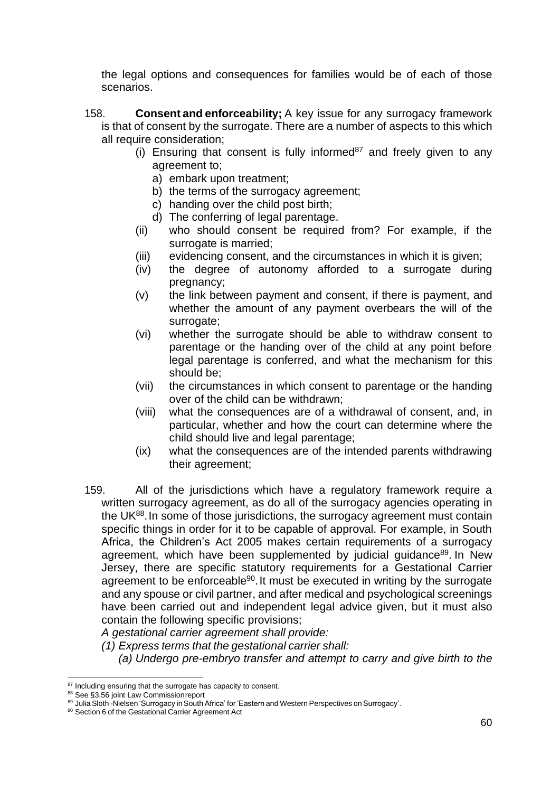the legal options and consequences for families would be of each of those scenarios.

- 158. **Consent and enforceability;** A key issue for any surrogacy framework is that of consent by the surrogate. There are a number of aspects to this which all require consideration;
	- (i) Ensuring that consent is fully informed $87$  and freely given to any agreement to;
		- a) embark upon treatment;
		- b) the terms of the surrogacy agreement;
		- c) handing over the child post birth;
		- d) The conferring of legal parentage.
	- (ii) who should consent be required from? For example, if the surrogate is married:
	- (iii) evidencing consent, and the circumstances in which it is given;
	- (iv) the degree of autonomy afforded to a surrogate during pregnancy;
	- (v) the link between payment and consent, if there is payment, and whether the amount of any payment overbears the will of the surrogate;
	- (vi) whether the surrogate should be able to withdraw consent to parentage or the handing over of the child at any point before legal parentage is conferred, and what the mechanism for this should be;
	- (vii) the circumstances in which consent to parentage or the handing over of the child can be withdrawn;
	- (viii) what the consequences are of a withdrawal of consent, and, in particular, whether and how the court can determine where the child should live and legal parentage;
	- (ix) what the consequences are of the intended parents withdrawing their agreement;
- 159. All of the jurisdictions which have a regulatory framework require a written surrogacy agreement, as do all of the surrogacy agencies operating in the UK<sup>88</sup>. In some of those jurisdictions, the surrogacy agreement must contain specific things in order for it to be capable of approval. For example, in South Africa, the Children's Act 2005 makes certain requirements of a surrogacy agreement, which have been supplemented by judicial guidance<sup>89</sup>. In New Jersey, there are specific statutory requirements for a Gestational Carrier agreement to be enforceable<sup>90</sup>. It must be executed in writing by the surrogate and any spouse or civil partner, and after medical and psychological screenings have been carried out and independent legal advice given, but it must also contain the following specific provisions;

*A gestational carrier agreement shall provide:*

- *(1) Express terms that the gestational carrier shall:*
	- *(a) Undergo pre-embryo transfer and attempt to carry and give birth to the*

<sup>&</sup>lt;sup>87</sup> Including ensuring that the surrogate has capacity to consent.

<sup>88</sup> See §3.56 joint Law Commission report

<sup>89</sup> Julia Sloth -Nielsen 'Surrogacy in South Africa' for 'Eastern and Western Perspectives on Surrogacy'.

<sup>90</sup> Section 6 of the Gestational Carrier Agreement Act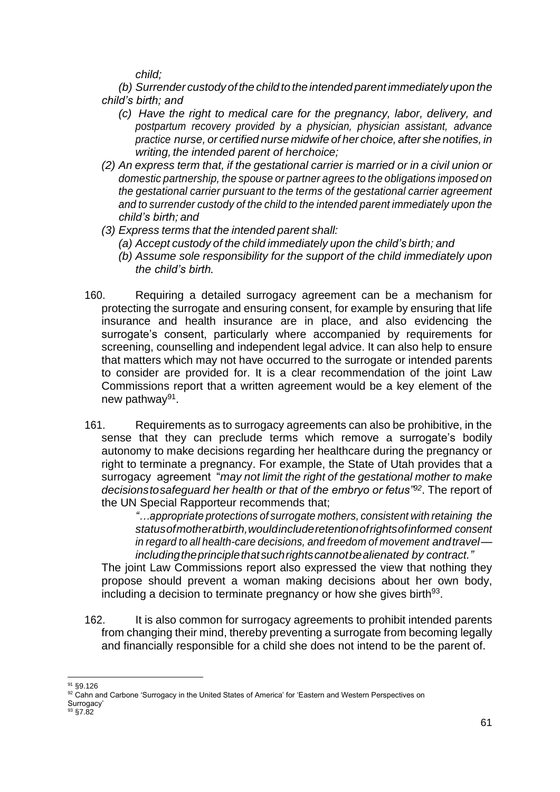*child;*

*(b) Surrender custody of the child to the intended parent immediatelyupon the child's birth; and*

- *(c) Have the right to medical care for the pregnancy, labor, delivery, and postpartum recovery provided by a physician, physician assistant, advance practice nurse, or certified nurse midwife of her choice, after she notifies, in writing, the intended parent of herchoice;*
- *(2) An express term that, if the gestational carrier is married or in a civil union or domestic partnership, the spouse or partner agrees to the obligations imposed on the gestational carrier pursuant to the terms of the gestational carrier agreement and to surrender custody of the child to the intended parent immediately upon the child's birth; and*
- *(3) Express terms that the intended parent shall:*
	- *(a) Accept custody of the child immediately upon the child's birth; and*
	- *(b) Assume sole responsibility for the support of the child immediately upon the child's birth.*
- 160. Requiring a detailed surrogacy agreement can be a mechanism for protecting the surrogate and ensuring consent, for example by ensuring that life insurance and health insurance are in place, and also evidencing the surrogate's consent, particularly where accompanied by requirements for screening, counselling and independent legal advice. It can also help to ensure that matters which may not have occurred to the surrogate or intended parents to consider are provided for. It is a clear recommendation of the joint Law Commissions report that a written agreement would be a key element of the new pathway<sup>91</sup>.
- 161. Requirements as to surrogacy agreements can also be prohibitive, in the sense that they can preclude terms which remove a surrogate's bodily autonomy to make decisions regarding her healthcare during the pregnancy or right to terminate a pregnancy. For example, the State of Utah provides that a surrogacy agreement "*may not limit the right of the gestational mother to make decisionstosafeguard her health or that of the embryo or fetus"<sup>92</sup>*. The report of the UN Special Rapporteur recommends that;

*"…appropriate protections of surrogate mothers, consistent with retaining the statusofmotheratbirth,wouldincluderetentionofrightsofinformed consent in regard to all health-care decisions, and freedom of movement andtravel includingtheprinciplethatsuchrightscannotbealienated by contract."*

The joint Law Commissions report also expressed the view that nothing they propose should prevent a woman making decisions about her own body, including a decision to terminate pregnancy or how she gives birth $93$ .

162. It is also common for surrogacy agreements to prohibit intended parents from changing their mind, thereby preventing a surrogate from becoming legally and financially responsible for a child she does not intend to be the parent of.

<sup>91</sup> §9.126

<sup>92</sup> Cahn and Carbone 'Surrogacy in the United States of America' for 'Eastern and Western Perspectives on Surrogacy'

<sup>&</sup>lt;sup>93</sup> §7.82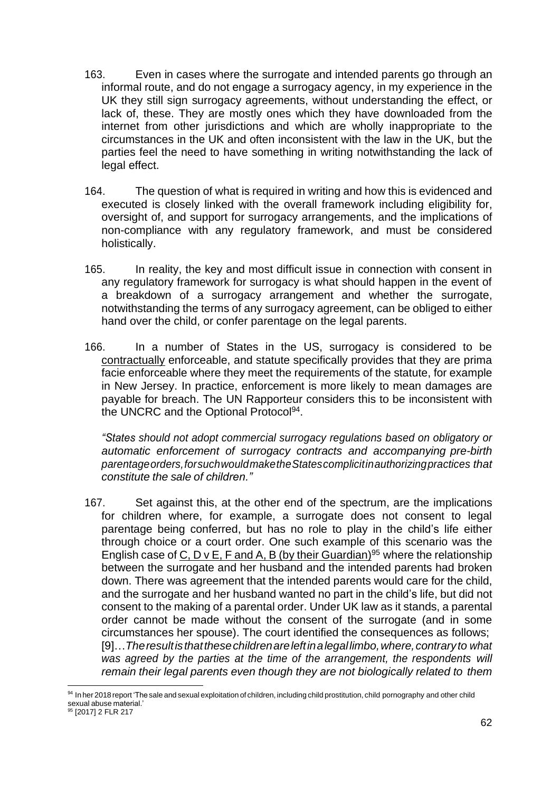- 163. Even in cases where the surrogate and intended parents go through an informal route, and do not engage a surrogacy agency, in my experience in the UK they still sign surrogacy agreements, without understanding the effect, or lack of, these. They are mostly ones which they have downloaded from the internet from other jurisdictions and which are wholly inappropriate to the circumstances in the UK and often inconsistent with the law in the UK, but the parties feel the need to have something in writing notwithstanding the lack of legal effect.
- 164. The question of what is required in writing and how this is evidenced and executed is closely linked with the overall framework including eligibility for, oversight of, and support for surrogacy arrangements, and the implications of non-compliance with any regulatory framework, and must be considered holistically.
- 165. In reality, the key and most difficult issue in connection with consent in any regulatory framework for surrogacy is what should happen in the event of a breakdown of a surrogacy arrangement and whether the surrogate, notwithstanding the terms of any surrogacy agreement, can be obliged to either hand over the child, or confer parentage on the legal parents.
- 166. In a number of States in the US, surrogacy is considered to be contractually enforceable, and statute specifically provides that they are prima facie enforceable where they meet the requirements of the statute, for example in New Jersey. In practice, enforcement is more likely to mean damages are payable for breach. The UN Rapporteur considers this to be inconsistent with the UNCRC and the Optional Protocol<sup>94</sup>.

*"States should not adopt commercial surrogacy regulations based on obligatory or automatic enforcement of surrogacy contracts and accompanying pre-birth parentageorders,forsuchwouldmaketheStatescomplicitinauthorizingpractices that constitute the sale of children."*

167. Set against this, at the other end of the spectrum, are the implications for children where, for example, a surrogate does not consent to legal parentage being conferred, but has no role to play in the child's life either through choice or a court order. One such example of this scenario was the English case of C, D v E, F and A, B (by their Guardian)<sup>95</sup> where the relationship between the surrogate and her husband and the intended parents had broken down. There was agreement that the intended parents would care for the child, and the surrogate and her husband wanted no part in the child's life, but did not consent to the making of a parental order. Under UK law as it stands, a parental order cannot be made without the consent of the surrogate (and in some circumstances her spouse). The court identified the consequences as follows; [9]…*Theresultisthatthesechildrenareleftinalegallimbo,where,contraryto what was agreed by the parties at the time of the arrangement, the respondents will remain their legal parents even though they are not biologically related to them*

<sup>94</sup> In her 2018 report 'The sale and sexual exploitation of children, including child prostitution, child pornography and other child sexual abuse material.'

<sup>&</sup>lt;sup>95</sup> [2017] 2 FLR 217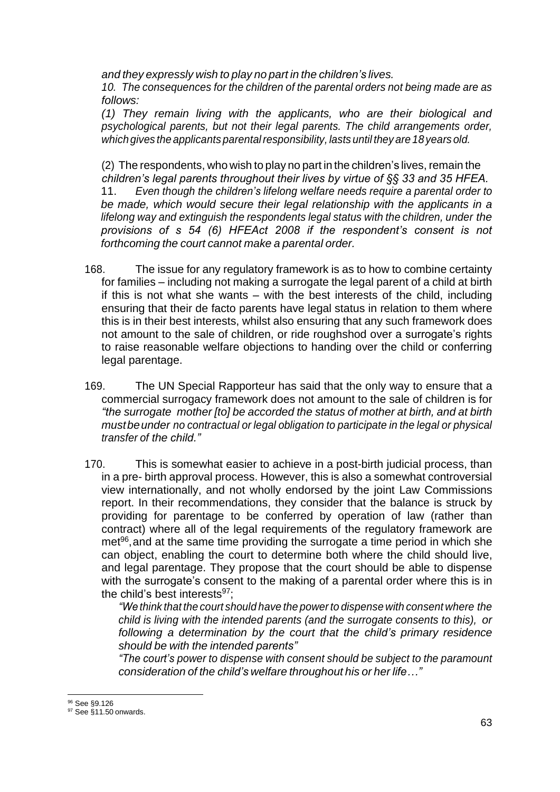*and they expressly wish to play no part in the children's lives.*

*10. The consequences for the children of the parental orders not being made are as follows:*

*(1) They remain living with the applicants, who are their biological and psychological parents, but not their legal parents. The child arrangements order, which gives the applicants parentalresponsibility, lasts until they are 18 years old.*

(2) The respondents, who wish to play no part in the children's lives, remain the *children's legal parents throughout their lives by virtue of §§ 33 and 35 HFEA.* 11. *Even though the children's lifelong welfare needs require a parental order to be made, which would secure their legal relationship with the applicants in a lifelong way and extinguish the respondents legal status with the children, under the provisions of s 54 (6) HFEAct 2008 if the respondent's consent is not forthcoming the court cannot make a parental order.*

- 168. The issue for any regulatory framework is as to how to combine certainty for families – including not making a surrogate the legal parent of a child at birth if this is not what she wants – with the best interests of the child, including ensuring that their de facto parents have legal status in relation to them where this is in their best interests, whilst also ensuring that any such framework does not amount to the sale of children, or ride roughshod over a surrogate's rights to raise reasonable welfare objections to handing over the child or conferring legal parentage.
- 169. The UN Special Rapporteur has said that the only way to ensure that a commercial surrogacy framework does not amount to the sale of children is for *"the surrogate mother [to] be accorded the status of mother at birth, and at birth mustbeunder no contractual or legal obligation to participate in the legal or physical transfer of the child."*
- 170. This is somewhat easier to achieve in a post-birth judicial process, than in a pre- birth approval process. However, this is also a somewhat controversial view internationally, and not wholly endorsed by the joint Law Commissions report. In their recommendations, they consider that the balance is struck by providing for parentage to be conferred by operation of law (rather than contract) where all of the legal requirements of the regulatory framework are met<sup>96</sup>, and at the same time providing the surrogate a time period in which she can object, enabling the court to determine both where the child should live, and legal parentage. They propose that the court should be able to dispense with the surrogate's consent to the making of a parental order where this is in the child's best interests $97$ :

*"We think that the court should have the powerto dispense with consent where the child is living with the intended parents (and the surrogate consents to this), or following a determination by the court that the child's primary residence should be with the intended parents"*

*"The court's power to dispense with consent should be subject to the paramount consideration of the child's welfare throughout his or her life…"*

<sup>96</sup> See §9.126

<sup>97</sup> See §11.50 onwards.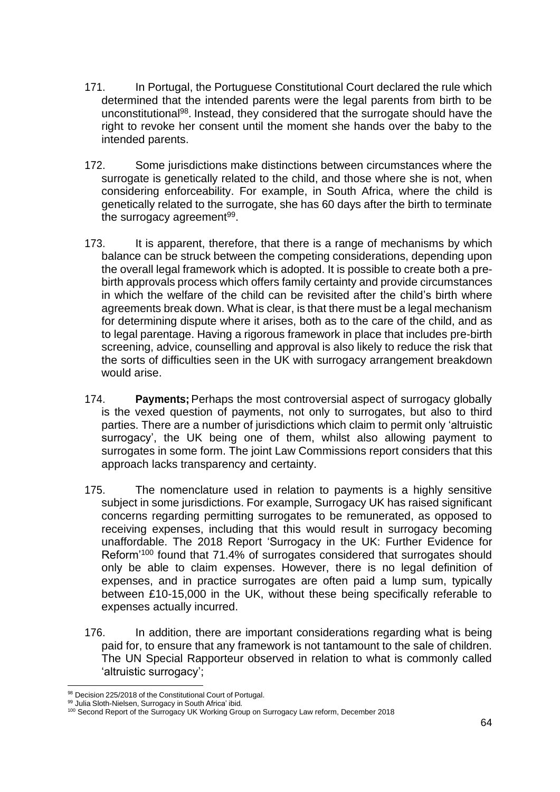- 171. In Portugal, the Portuguese Constitutional Court declared the rule which determined that the intended parents were the legal parents from birth to be unconstitutional<sup>98</sup>. Instead, they considered that the surrogate should have the right to revoke her consent until the moment she hands over the baby to the intended parents.
- 172. Some jurisdictions make distinctions between circumstances where the surrogate is genetically related to the child, and those where she is not, when considering enforceability. For example, in South Africa, where the child is genetically related to the surrogate, she has 60 days after the birth to terminate the surrogacy agreement<sup>99</sup>.
- 173. It is apparent, therefore, that there is a range of mechanisms by which balance can be struck between the competing considerations, depending upon the overall legal framework which is adopted. It is possible to create both a prebirth approvals process which offers family certainty and provide circumstances in which the welfare of the child can be revisited after the child's birth where agreements break down. What is clear, is that there must be a legal mechanism for determining dispute where it arises, both as to the care of the child, and as to legal parentage. Having a rigorous framework in place that includes pre-birth screening, advice, counselling and approval is also likely to reduce the risk that the sorts of difficulties seen in the UK with surrogacy arrangement breakdown would arise.
- 174. **Payments;** Perhaps the most controversial aspect of surrogacy globally is the vexed question of payments, not only to surrogates, but also to third parties. There are a number of jurisdictions which claim to permit only 'altruistic surrogacy', the UK being one of them, whilst also allowing payment to surrogates in some form. The joint Law Commissions report considers that this approach lacks transparency and certainty.
- 175. The nomenclature used in relation to payments is a highly sensitive subject in some jurisdictions. For example, Surrogacy UK has raised significant concerns regarding permitting surrogates to be remunerated, as opposed to receiving expenses, including that this would result in surrogacy becoming unaffordable. The 2018 Report 'Surrogacy in the UK: Further Evidence for Reform'<sup>100</sup> found that 71.4% of surrogates considered that surrogates should only be able to claim expenses. However, there is no legal definition of expenses, and in practice surrogates are often paid a lump sum, typically between £10-15,000 in the UK, without these being specifically referable to expenses actually incurred.
- 176. In addition, there are important considerations regarding what is being paid for, to ensure that any framework is not tantamount to the sale of children. The UN Special Rapporteur observed in relation to what is commonly called 'altruistic surrogacy';

<sup>98</sup> Decision 225/2018 of the Constitutional Court of Portugal.

<sup>99</sup> Julia Sloth-Nielsen, Surrogacy in South Africa' ibid.

<sup>100</sup> Second Report of the Surrogacy UK Working Group on Surrogacy Law reform, December 2018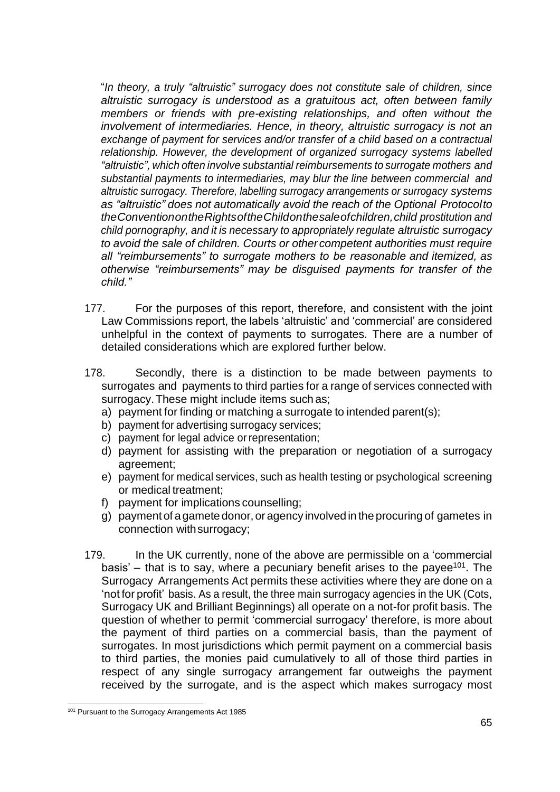"*In theory, a truly "altruistic" surrogacy does not constitute sale of children, since altruistic surrogacy is understood as a gratuitous act, often between family members or friends with pre-existing relationships, and often without the involvement of intermediaries. Hence, in theory, altruistic surrogacy is not an exchange of payment for services and/or transfer of a child based on a contractual relationship. However, the development of organized surrogacy systems labelled "altruistic", which often involve substantial reimbursements to surrogate mothers and substantial payments to intermediaries, may blur the line between commercial and altruistic surrogacy. Therefore, labelling surrogacy arrangements or surrogacy systems as "altruistic" does not automatically avoid the reach of the Optional Protocolto theConventionontheRightsoftheChildonthesaleofchildren,child prostitution and child pornography, and it is necessary to appropriately regulate altruistic surrogacy to avoid the sale of children. Courts or other competent authorities must require all "reimbursements" to surrogate mothers to be reasonable and itemized, as otherwise "reimbursements" may be disguised payments for transfer of the child."*

- 177. For the purposes of this report, therefore, and consistent with the joint Law Commissions report, the labels 'altruistic' and 'commercial' are considered unhelpful in the context of payments to surrogates. There are a number of detailed considerations which are explored further below.
- 178. Secondly, there is a distinction to be made between payments to surrogates and payments to third parties for a range of services connected with surrogacy.These might include items such as;
	- a) payment for finding or matching a surrogate to intended parent(s);
	- b) payment for advertising surrogacy services;
	- c) payment for legal advice orrepresentation;
	- d) payment for assisting with the preparation or negotiation of a surrogacy agreement;
	- e) payment for medical services, such as health testing or psychological screening or medical treatment;
	- f) payment for implications counselling;
	- g) payment of agamete donor, or agency involved in the procuring of gametes in connection withsurrogacy;
- 179. In the UK currently, none of the above are permissible on a 'commercial basis'  $-$  that is to say, where a pecuniary benefit arises to the payee<sup>101</sup>. The Surrogacy Arrangements Act permits these activities where they are done on a 'not for profit' basis. As a result, the three main surrogacy agencies in the UK (Cots, Surrogacy UK and Brilliant Beginnings) all operate on a not-for profit basis. The question of whether to permit 'commercial surrogacy' therefore, is more about the payment of third parties on a commercial basis, than the payment of surrogates. In most jurisdictions which permit payment on a commercial basis to third parties, the monies paid cumulatively to all of those third parties in respect of any single surrogacy arrangement far outweighs the payment received by the surrogate, and is the aspect which makes surrogacy most

<sup>&</sup>lt;sup>101</sup> Pursuant to the Surrogacy Arrangements Act 1985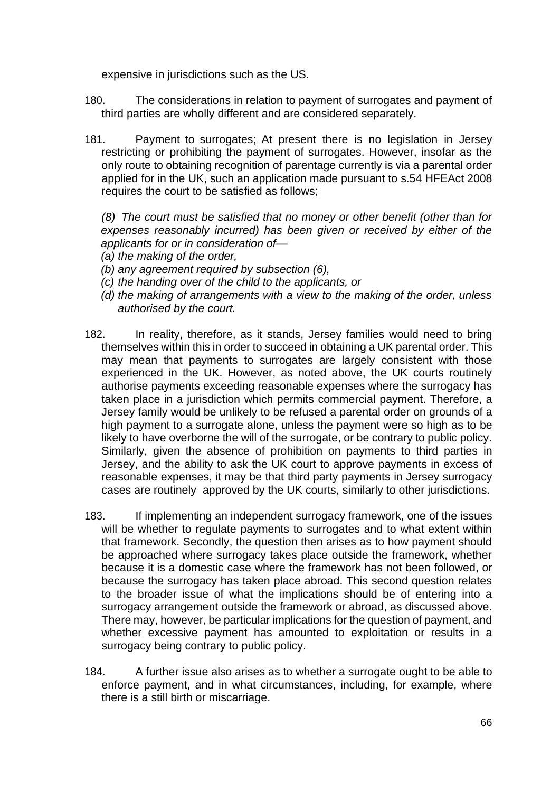expensive in jurisdictions such as the US.

- 180. The considerations in relation to payment of surrogates and payment of third parties are wholly different and are considered separately.
- 181. Payment to surrogates; At present there is no legislation in Jersey restricting or prohibiting the payment of surrogates. However, insofar as the only route to obtaining recognition of parentage currently is via a parental order applied for in the UK, such an application made pursuant to s.54 HFEAct 2008 requires the court to be satisfied as follows;

*(8) The court must be satisfied that no money or other benefit (other than for expenses reasonably incurred) has been given or received by either of the applicants for or in consideration of—*

- *(a) the making of the order,*
- *(b) any agreement required by subsection (6),*
- *(c) the handing over of the child to the applicants, or*
- *(d) the making of arrangements with a view to the making of the order, unless authorised by the court.*
- 182. In reality, therefore, as it stands, Jersey families would need to bring themselves within this in order to succeed in obtaining a UK parental order. This may mean that payments to surrogates are largely consistent with those experienced in the UK. However, as noted above, the UK courts routinely authorise payments exceeding reasonable expenses where the surrogacy has taken place in a jurisdiction which permits commercial payment. Therefore, a Jersey family would be unlikely to be refused a parental order on grounds of a high payment to a surrogate alone, unless the payment were so high as to be likely to have overborne the will of the surrogate, or be contrary to public policy. Similarly, given the absence of prohibition on payments to third parties in Jersey, and the ability to ask the UK court to approve payments in excess of reasonable expenses, it may be that third party payments in Jersey surrogacy cases are routinely approved by the UK courts, similarly to other jurisdictions.
- 183. If implementing an independent surrogacy framework, one of the issues will be whether to regulate payments to surrogates and to what extent within that framework. Secondly, the question then arises as to how payment should be approached where surrogacy takes place outside the framework, whether because it is a domestic case where the framework has not been followed, or because the surrogacy has taken place abroad. This second question relates to the broader issue of what the implications should be of entering into a surrogacy arrangement outside the framework or abroad, as discussed above. There may, however, be particular implications for the question of payment, and whether excessive payment has amounted to exploitation or results in a surrogacy being contrary to public policy.
- 184. A further issue also arises as to whether a surrogate ought to be able to enforce payment, and in what circumstances, including, for example, where there is a still birth or miscarriage.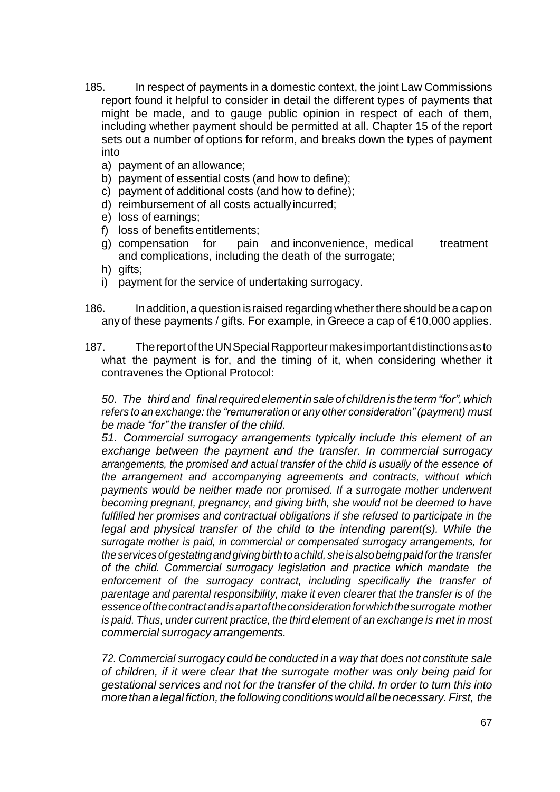- 185. In respect of payments in a domestic context, the joint Law Commissions report found it helpful to consider in detail the different types of payments that might be made, and to gauge public opinion in respect of each of them, including whether payment should be permitted at all. Chapter 15 of the report sets out a number of options for reform, and breaks down the types of payment into
	- a) payment of an allowance;
	- b) payment of essential costs (and how to define);
	- c) payment of additional costs (and how to define);
	- d) reimbursement of all costs actuallyincurred;
	- e) loss of earnings;
	- f) loss of benefits entitlements;
	- g) compensation for pain and inconvenience, medical treatment and complications, including the death of the surrogate;
	- h) gifts;
	- i) payment for the service of undertaking surrogacy.
- 186. In addition, a question is raised regarding whether there should be a cap on any of these payments / gifts. For example, in Greece a cap of €10,000 applies.
- 187. ThereportoftheUNSpecialRapporteurmakesimportantdistinctionsasto what the payment is for, and the timing of it, when considering whether it contravenes the Optional Protocol:

*50. The thirdand finalrequiredelementinsaleof childrenis theterm"for",which refers to an exchange: the "remuneration or any other consideration" (payment) must be made "for" the transfer of the child.*

*51. Commercial surrogacy arrangements typically include this element of an exchange between the payment and the transfer. In commercial surrogacy arrangements, the promised and actual transfer of the child is usually of the essence of the arrangement and accompanying agreements and contracts, without which payments would be neither made nor promised. If a surrogate mother underwent becoming pregnant, pregnancy, and giving birth, she would not be deemed to have fulfilled her promises and contractual obligations if she refused to participate in the legal and physical transfer of the child to the intending parent(s). While the surrogate mother is paid, in commercial or compensated surrogacy arrangements, for theservices ofgestatingandgivingbirthtoachild, sheisalsobeingpaidforthe transfer of the child. Commercial surrogacy legislation and practice which mandate the*  enforcement of the surrogacy contract, including specifically the transfer of *parentage and parental responsibility, make it even clearer that the transfer is of the essenceofthecontractandisapartoftheconsiderationforwhichthesurrogate mother is paid. Thus, under current practice, the third element of an exchange is met in most commercial surrogacy arrangements.*

*72. Commercial surrogacy could be conducted in a way that does not constitute sale of children, if it were clear that the surrogate mother was only being paid for gestational services and not for the transfer of the child. In order to turn this into more thanalegal fiction, thefollowingconditionswouldallbenecessary.First, the*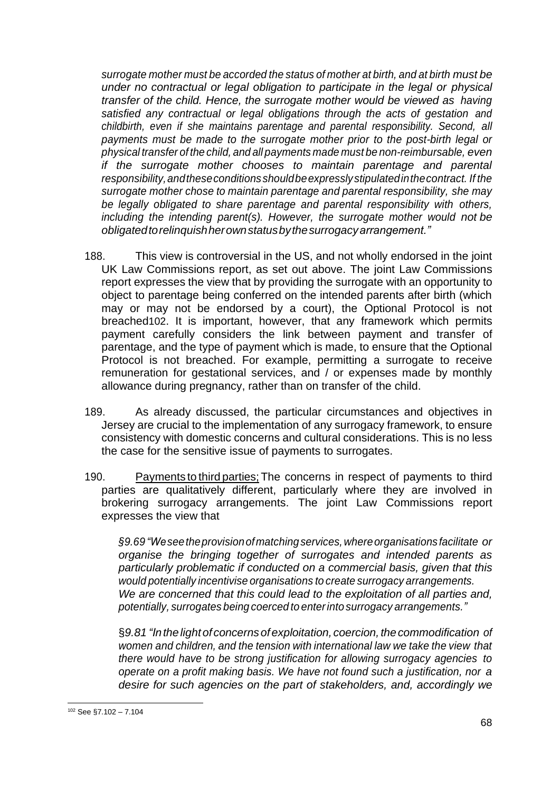*surrogate mother must be accorded the status of mother at birth, and at birth must be under no contractual or legal obligation to participate in the legal or physical transfer of the child. Hence, the surrogate mother would be viewed as having satisfied any contractual or legal obligations through the acts of gestation and childbirth, even if she maintains parentage and parental responsibility. Second, all payments must be made to the surrogate mother prior to the post-birth legal or physical transfer of the child, and all payments made must be non-reimbursable, even if the surrogate mother chooses to maintain parentage and parental responsibility,andtheseconditionsshouldbeexpresslystipulatedinthecontract. If the surrogate mother chose to maintain parentage and parental responsibility, she may be legally obligated to share parentage and parental responsibility with others, including the intending parent(s). However, the surrogate mother would not be obligatedtorelinquishherownstatusbythesurrogacyarrangement."*

- 188. This view is controversial in the US, and not wholly endorsed in the joint UK Law Commissions report, as set out above. The joint Law Commissions report expresses the view that by providing the surrogate with an opportunity to object to parentage being conferred on the intended parents after birth (which may or may not be endorsed by a court), the Optional Protocol is not breached102. It is important, however, that any framework which permits payment carefully considers the link between payment and transfer of parentage, and the type of payment which is made, to ensure that the Optional Protocol is not breached. For example, permitting a surrogate to receive remuneration for gestational services, and / or expenses made by monthly allowance during pregnancy, rather than on transfer of the child.
- 189. As already discussed, the particular circumstances and objectives in Jersey are crucial to the implementation of any surrogacy framework, to ensure consistency with domestic concerns and cultural considerations. This is no less the case for the sensitive issue of payments to surrogates.
- 190. Payments to third parties; The concerns in respect of payments to third parties are qualitatively different, particularly where they are involved in brokering surrogacy arrangements. The joint Law Commissions report expresses the view that

*§9.69"Weseetheprovisionofmatchingservices,whereorganisations facilitate or organise the bringing together of surrogates and intended parents as particularly problematic if conducted on a commercial basis, given that this would potentially incentivise organisations to create surrogacy arrangements. We are concerned that this could lead to the exploitation of all parties and, potentially, surrogates being coerced to enterinto surrogacy arrangements."*

§*9.81 "In thelightof concernsofexploitation, coercion,thecommodification of women and children, and the tension with international law we take the view that there would have to be strong justification for allowing surrogacy agencies to operate on a profit making basis. We have not found such a justification, nor a desire for such agencies on the part of stakeholders, and, accordingly we* 

<sup>102</sup> See §7.102 – 7.104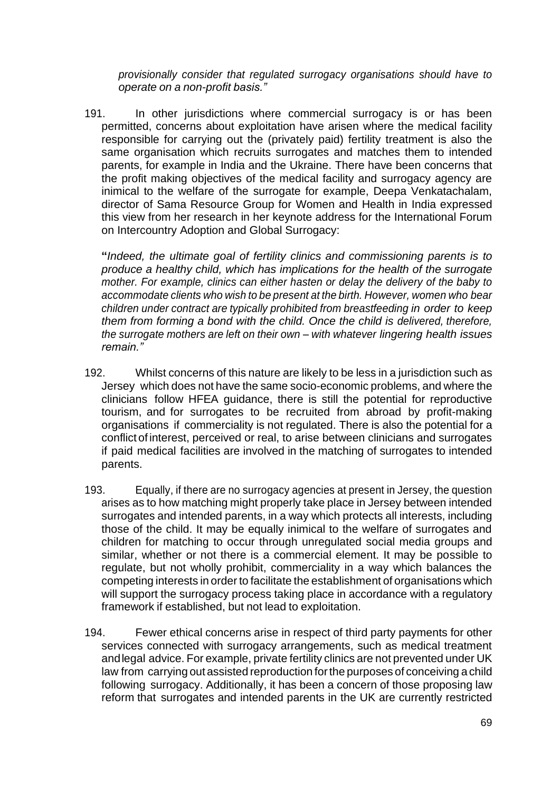*provisionally consider that regulated surrogacy organisations should have to operate on a non-profit basis."*

191. In other jurisdictions where commercial surrogacy is or has been permitted, concerns about exploitation have arisen where the medical facility responsible for carrying out the (privately paid) fertility treatment is also the same organisation which recruits surrogates and matches them to intended parents, for example in India and the Ukraine. There have been concerns that the profit making objectives of the medical facility and surrogacy agency are inimical to the welfare of the surrogate for example, Deepa Venkatachalam, director of Sama Resource Group for Women and Health in India expressed this view from her research in her keynote address for the International Forum on Intercountry Adoption and Global Surrogacy:

**"***Indeed, the ultimate goal of fertility clinics and commissioning parents is to produce a healthy child, which has implications for the health of the surrogate mother. For example, clinics can either hasten or delay the delivery of the baby to accommodate clients who wish to be present at the birth. However, women who bear children under contract are typically prohibited from breastfeeding in order to keep them from forming a bond with the child. Once the child is delivered, therefore, the surrogate mothers are left on their own – with whatever lingering health issues remain."*

- 192. Whilst concerns of this nature are likely to be less in a jurisdiction such as Jersey which does not have the same socio-economic problems, and where the clinicians follow HFEA guidance, there is still the potential for reproductive tourism, and for surrogates to be recruited from abroad by profit-making organisations if commerciality is not regulated. There is also the potential for a conflict of interest, perceived or real, to arise between clinicians and surrogates if paid medical facilities are involved in the matching of surrogates to intended parents.
- 193. Equally, if there are no surrogacy agencies at present in Jersey, the question arises as to how matching might properly take place in Jersey between intended surrogates and intended parents, in a way which protects all interests, including those of the child. It may be equally inimical to the welfare of surrogates and children for matching to occur through unregulated social media groups and similar, whether or not there is a commercial element. It may be possible to regulate, but not wholly prohibit, commerciality in a way which balances the competing interests in order to facilitate the establishment of organisations which will support the surrogacy process taking place in accordance with a regulatory framework if established, but not lead to exploitation.
- 194. Fewer ethical concerns arise in respect of third party payments for other services connected with surrogacy arrangements, such as medical treatment andlegal advice. For example, private fertility clinics are not prevented under UK law from carrying out assisted reproduction forthe purposes of conceiving a child following surrogacy. Additionally, it has been a concern of those proposing law reform that surrogates and intended parents in the UK are currently restricted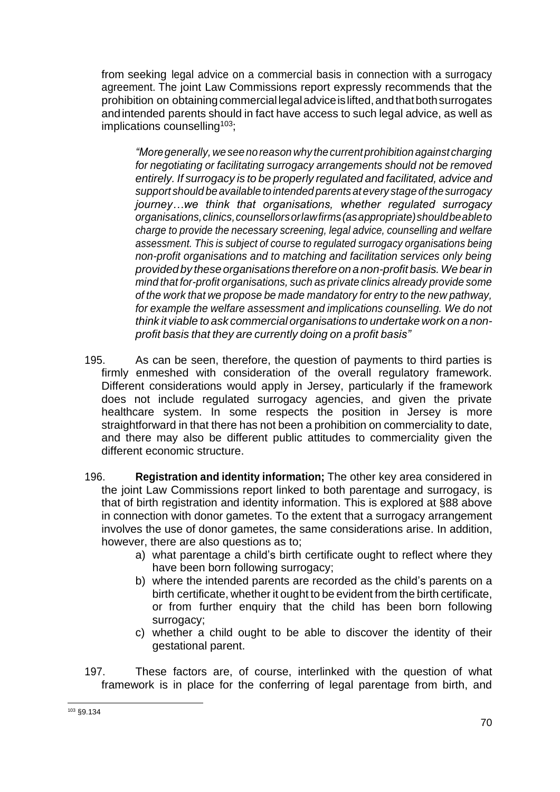from seeking legal advice on a commercial basis in connection with a surrogacy agreement. The joint Law Commissions report expressly recommends that the prohibition on obtainingcommercial legaladviceislifted,andthatbothsurrogates andintended parents should in fact have access to such legal advice, as well as implications counselling<sup>103</sup>;

*"Moregenerally, weseenoreason why thecurrentprohibition against charging for negotiating or facilitating surrogacy arrangements should not be removed entirely. If surrogacy is to be properly regulated and facilitated, advice and support should be available to intended parents at every stage of the surrogacy journey…we think that organisations, whether regulated surrogacy organisations,clinics,counsellorsorlawfirms(asappropriate)shouldbeableto charge to provide the necessary screening, legal advice, counselling and welfare assessment. This is subject of course to regulated surrogacy organisations being non-profit organisations and to matching and facilitation services only being provided by theseorganisations therefore on anon-profit basis.Webearin mind that for-profit organisations, such as private clinics already provide some of the work that we propose be made mandatory for entry to the new pathway, for example the welfare assessment and implications counselling. We do not think it viable to ask commercial organisations to undertake work on a nonprofit basis that they are currently doing on a profit basis"*

- 195. As can be seen, therefore, the question of payments to third parties is firmly enmeshed with consideration of the overall regulatory framework. Different considerations would apply in Jersey, particularly if the framework does not include regulated surrogacy agencies, and given the private healthcare system. In some respects the position in Jersey is more straightforward in that there has not been a prohibition on commerciality to date, and there may also be different public attitudes to commerciality given the different economic structure.
- 196. **Registration and identity information;** The other key area considered in the joint Law Commissions report linked to both parentage and surrogacy, is that of birth registration and identity information. This is explored at §88 above in connection with donor gametes. To the extent that a surrogacy arrangement involves the use of donor gametes, the same considerations arise. In addition, however, there are also questions as to;
	- a) what parentage a child's birth certificate ought to reflect where they have been born following surrogacy;
	- b) where the intended parents are recorded as the child's parents on a birth certificate, whether it ought to be evident from the birth certificate, or from further enquiry that the child has been born following surrogacy:
	- c) whether a child ought to be able to discover the identity of their gestational parent.
- 197. These factors are, of course, interlinked with the question of what framework is in place for the conferring of legal parentage from birth, and

<sup>103</sup> §9.134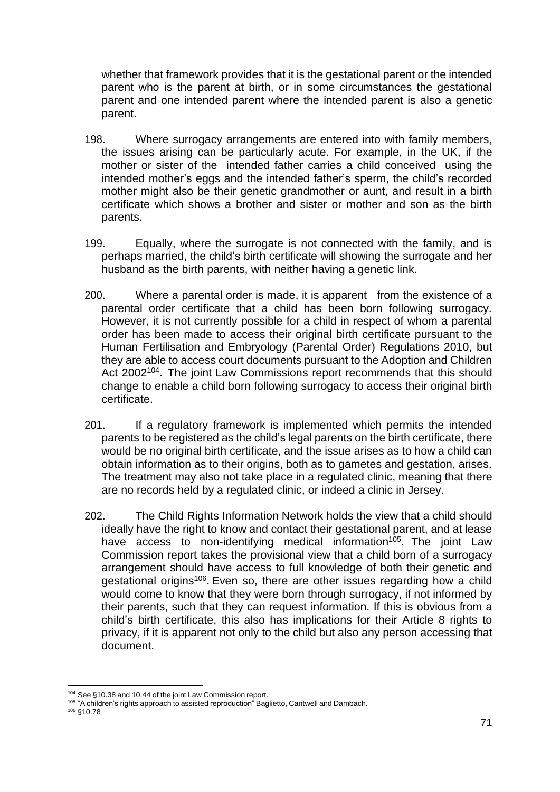whether that framework provides that it is the gestational parent or the intended parent who is the parent at birth, or in some circumstances the gestational parent and one intended parent where the intended parent is also a genetic parent.

- 198. Where surrogacy arrangements are entered into with family members, the issues arising can be particularly acute. For example, in the UK, if the mother or sister of the intended father carries a child conceived using the intended mother's eggs and the intended father's sperm, the child's recorded mother might also be their genetic grandmother or aunt, and result in a birth certificate which shows a brother and sister or mother and son as the birth parents.
- 199. Equally, where the surrogate is not connected with the family, and is perhaps married, the child's birth certificate will showing the surrogate and her husband as the birth parents, with neither having a genetic link.
- 200. Where a parental order is made, it is apparent from the existence of a parental order certificate that a child has been born following surrogacy. However, it is not currently possible for a child in respect of whom a parental order has been made to access their original birth certificate pursuant to the Human Fertilisation and Embryology (Parental Order) Regulations 2010, but they are able to access court documents pursuant to the Adoption and Children Act 2002<sup>104</sup>. The joint Law Commissions report recommends that this should change to enable a child born following surrogacy to access their original birth certificate.
- 201. If a regulatory framework is implemented which permits the intended parents to be registered as the child's legal parents on the birth certificate, there would be no original birth certificate, and the issue arises as to how a child can obtain information as to their origins, both as to gametes and gestation, arises. The treatment may also not take place in a regulated clinic, meaning that there are no records held by a regulated clinic, or indeed a clinic in Jersey.
- 202. The Child Rights Information Network holds the view that a child should ideally have the right to know and contact their gestational parent, and at lease have access to non-identifying medical information<sup>105</sup>. The joint Law Commission report takes the provisional view that a child born of a surrogacy arrangement should have access to full knowledge of both their genetic and gestational origins<sup>106</sup>. Even so, there are other issues regarding how a child would come to know that they were born through surrogacy, if not informed by their parents, such that they can request information. If this is obvious from a child's birth certificate, this also has implications for their Article 8 rights to privacy, if it is apparent not only to the child but also any person accessing that document.

<sup>104</sup> See §10.38 and 10.44 of the joint Law Commission report.

<sup>&</sup>lt;sup>105</sup> "A children's rights approach to assisted reproduction" Baglietto, Cantwell and Dambach.

<sup>106</sup> §10.78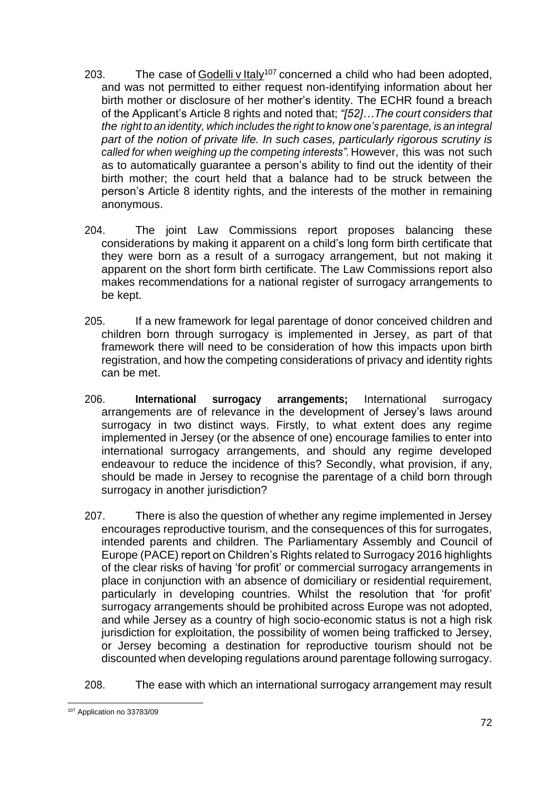- 203. The case of  $\frac{1}{2}$  Codelli v Italy<sup>107</sup> concerned a child who had been adopted, and was not permitted to either request non-identifying information about her birth mother or disclosure of her mother's identity. The ECHR found a breach of the Applicant's Article 8 rights and noted that; *"[52]…The court considers that the right to an identity, which includes the right to know one's parentage, is an integral part of the notion of private life. In such cases, particularly rigorous scrutiny is called for when weighing up the competing interests".*However, this was not such as to automatically guarantee a person's ability to find out the identity of their birth mother; the court held that a balance had to be struck between the person's Article 8 identity rights, and the interests of the mother in remaining anonymous.
- 204. The joint Law Commissions report proposes balancing these considerations by making it apparent on a child's long form birth certificate that they were born as a result of a surrogacy arrangement, but not making it apparent on the short form birth certificate. The Law Commissions report also makes recommendations for a national register of surrogacy arrangements to be kept.
- 205. If a new framework for legal parentage of donor conceived children and children born through surrogacy is implemented in Jersey, as part of that framework there will need to be consideration of how this impacts upon birth registration, and how the competing considerations of privacy and identity rights can be met.
- 206. **International surrogacy arrangements;** International surrogacy arrangements are of relevance in the development of Jersey's laws around surrogacy in two distinct ways. Firstly, to what extent does any regime implemented in Jersey (or the absence of one) encourage families to enter into international surrogacy arrangements, and should any regime developed endeavour to reduce the incidence of this? Secondly, what provision, if any, should be made in Jersey to recognise the parentage of a child born through surrogacy in another jurisdiction?
- 207. There is also the question of whether any regime implemented in Jersey encourages reproductive tourism, and the consequences of this for surrogates, intended parents and children. The Parliamentary Assembly and Council of Europe (PACE) report on Children's Rights related to Surrogacy 2016 highlights of the clear risks of having 'for profit' or commercial surrogacy arrangements in place in conjunction with an absence of domiciliary or residential requirement, particularly in developing countries. Whilst the resolution that 'for profit' surrogacy arrangements should be prohibited across Europe was not adopted, and while Jersey as a country of high socio-economic status is not a high risk jurisdiction for exploitation, the possibility of women being trafficked to Jersey, or Jersey becoming a destination for reproductive tourism should not be discounted when developing regulations around parentage following surrogacy.
- 208. The ease with which an international surrogacy arrangement may result

<sup>107</sup> Application no 33783/09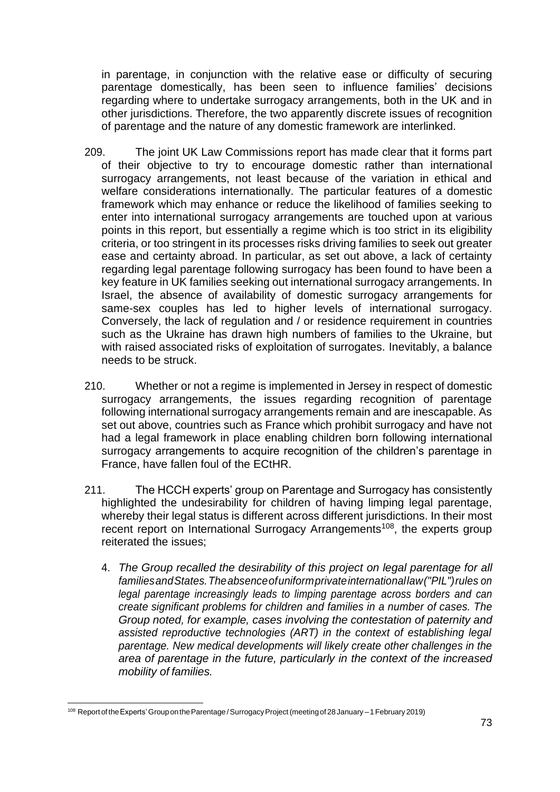in parentage, in conjunction with the relative ease or difficulty of securing parentage domestically, has been seen to influence families' decisions regarding where to undertake surrogacy arrangements, both in the UK and in other jurisdictions. Therefore, the two apparently discrete issues of recognition of parentage and the nature of any domestic framework are interlinked.

- 209. The joint UK Law Commissions report has made clear that it forms part of their objective to try to encourage domestic rather than international surrogacy arrangements, not least because of the variation in ethical and welfare considerations internationally. The particular features of a domestic framework which may enhance or reduce the likelihood of families seeking to enter into international surrogacy arrangements are touched upon at various points in this report, but essentially a regime which is too strict in its eligibility criteria, or too stringent in its processes risks driving families to seek out greater ease and certainty abroad. In particular, as set out above, a lack of certainty regarding legal parentage following surrogacy has been found to have been a key feature in UK families seeking out international surrogacy arrangements. In Israel, the absence of availability of domestic surrogacy arrangements for same-sex couples has led to higher levels of international surrogacy. Conversely, the lack of regulation and / or residence requirement in countries such as the Ukraine has drawn high numbers of families to the Ukraine, but with raised associated risks of exploitation of surrogates. Inevitably, a balance needs to be struck.
- 210. Whether or not a regime is implemented in Jersey in respect of domestic surrogacy arrangements, the issues regarding recognition of parentage following international surrogacy arrangements remain and are inescapable. As set out above, countries such as France which prohibit surrogacy and have not had a legal framework in place enabling children born following international surrogacy arrangements to acquire recognition of the children's parentage in France, have fallen foul of the ECtHR.
- 211. The HCCH experts' group on Parentage and Surrogacy has consistently highlighted the undesirability for children of having limping legal parentage, whereby their legal status is different across different jurisdictions. In their most recent report on International Surrogacy Arrangements<sup>108</sup>, the experts group reiterated the issues;
	- 4. *The Group recalled the desirability of this project on legal parentage for all familiesandStates.Theabsenceofuniformprivateinternationallaw("PIL")rules on legal parentage increasingly leads to limping parentage across borders and can create significant problems for children and families in a number of cases. The Group noted, for example, cases involving the contestation of paternity and assisted reproductive technologies (ART) in the context of establishing legal parentage. New medical developments will likely create other challenges in the area of parentage in the future, particularly in the context of the increased mobility of families.*

<sup>108</sup> Report of the Experts' Group on the Parentage / Surrogacy Project (meeting of 28 January – 1 February 2019)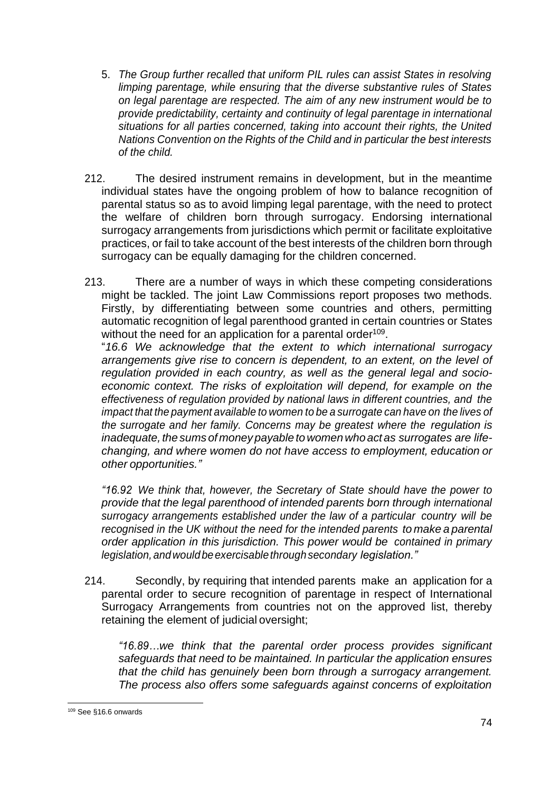- 5. *The Group further recalled that uniform PIL rules can assist States in resolving limping parentage, while ensuring that the diverse substantive rules of States on legal parentage are respected. The aim of any new instrument would be to provide predictability, certainty and continuity of legal parentage in international situations for all parties concerned, taking into account their rights, the United Nations Convention on the Rights of the Child and in particular the best interests of the child.*
- 212. The desired instrument remains in development, but in the meantime individual states have the ongoing problem of how to balance recognition of parental status so as to avoid limping legal parentage, with the need to protect the welfare of children born through surrogacy. Endorsing international surrogacy arrangements from jurisdictions which permit or facilitate exploitative practices, or fail to take account of the best interests of the children born through surrogacy can be equally damaging for the children concerned.
- 213. There are a number of ways in which these competing considerations might be tackled. The joint Law Commissions report proposes two methods. Firstly, by differentiating between some countries and others, permitting automatic recognition of legal parenthood granted in certain countries or States without the need for an application for a parental order<sup>109</sup>.

"*16.6 We acknowledge that the extent to which international surrogacy arrangements give rise to concern is dependent, to an extent, on the level of regulation provided in each country, as well as the general legal and socioeconomic context. The risks of exploitation will depend, for example on the effectiveness of regulation provided by national laws in different countries, and the impact that the payment available to women to be a surrogate can have on the lives of the surrogate and her family. Concerns may be greatest where the regulation is inadequate, the sums of money payable towomen whoact as surrogates are lifechanging, and where women do not have access to employment, education or other opportunities."*

*"16.92 We think that, however, the Secretary of State should have the power to provide that the legal parenthood of intended parents born through international surrogacy arrangements established under the law of a particular country will be recognised in the UK without the need for the intended parents to make a parental order application in this jurisdiction. This power would be contained in primary legislation,andwouldbeexercisablethroughsecondary legislation."*

214. Secondly, by requiring that intended parents make an application for a parental order to secure recognition of parentage in respect of International Surrogacy Arrangements from countries not on the approved list, thereby retaining the element of judicial oversight;

*"16.89…we think that the parental order process provides significant safeguards that need to be maintained. In particular the application ensures that the child has genuinely been born through a surrogacy arrangement. The process also offers some safeguards against concerns of exploitation* 

<sup>109</sup> See §16.6 onwards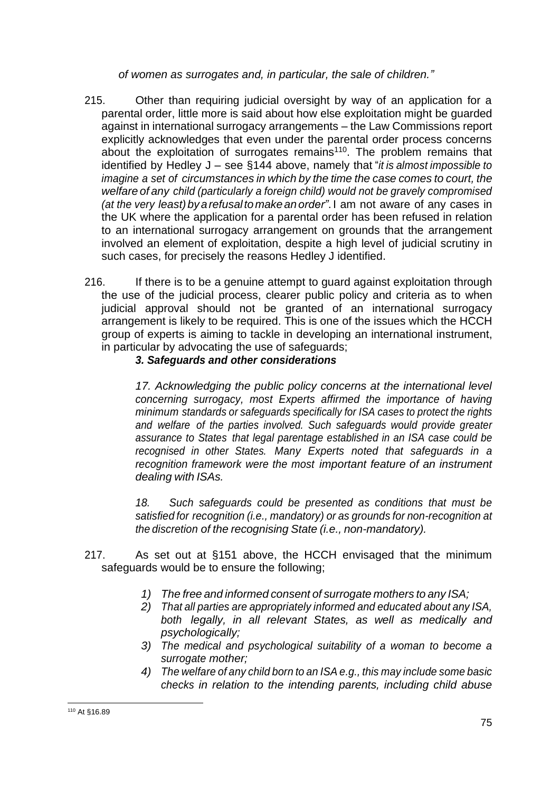*of women as surrogates and, in particular, the sale of children."*

- 215. Other than requiring judicial oversight by way of an application for a parental order, little more is said about how else exploitation might be guarded against in international surrogacy arrangements – the Law Commissions report explicitly acknowledges that even under the parental order process concerns about the exploitation of surrogates remains<sup>110</sup>. The problem remains that identified by Hedley J – see §144 above, namely that "*it is almost impossible to imagine a set of circumstances in which by the time the case comes to court, the welfare of any child (particularly a foreign child) would not be gravely compromised (at the very least)byarefusaltomakeanorder"*. I am not aware of any cases in the UK where the application for a parental order has been refused in relation to an international surrogacy arrangement on grounds that the arrangement involved an element of exploitation, despite a high level of judicial scrutiny in such cases, for precisely the reasons Hedley J identified.
- 216. If there is to be a genuine attempt to guard against exploitation through the use of the judicial process, clearer public policy and criteria as to when judicial approval should not be granted of an international surrogacy arrangement is likely to be required. This is one of the issues which the HCCH group of experts is aiming to tackle in developing an international instrument, in particular by advocating the use of safeguards;

# *3. Safeguards and other considerations*

*17. Acknowledging the public policy concerns at the international level concerning surrogacy, most Experts affirmed the importance of having minimum standards or safeguards specifically for ISA cases to protect the rights and welfare of the parties involved. Such safeguards would provide greater assurance to States that legal parentage established in an ISA case could be recognised in other States. Many Experts noted that safeguards in a recognition framework were the most important feature of an instrument dealing with ISAs.*

*18. Such safeguards could be presented as conditions that must be satisfied for recognition (i.e., mandatory) or as grounds for non-recognition at the discretion of the recognising State (i.e., non-mandatory).*

- 217. As set out at §151 above, the HCCH envisaged that the minimum safeguards would be to ensure the following;
	- *1) The free and informed consent of surrogate mothers to any ISA;*
	- *2) That all parties are appropriately informed and educated about any ISA, both legally, in all relevant States, as well as medically and psychologically;*
	- *3) The medical and psychological suitability of a woman to become a surrogate mother;*
	- *4) The welfare of any child born to an ISA e.g., this may include some basic checks in relation to the intending parents, including child abuse*

<sup>110</sup> At §16.89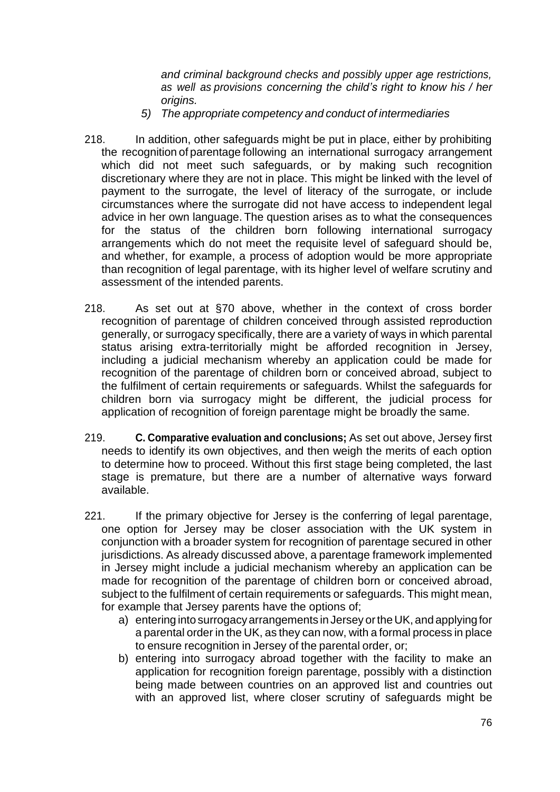*and criminal background checks and possibly upper age restrictions, as well as provisions concerning the child's right to know his / her origins.*

- *5) The appropriate competency and conduct of intermediaries*
- 218. In addition, other safeguards might be put in place, either by prohibiting the recognition of parentage following an international surrogacy arrangement which did not meet such safeguards, or by making such recognition discretionary where they are not in place. This might be linked with the level of payment to the surrogate, the level of literacy of the surrogate, or include circumstances where the surrogate did not have access to independent legal advice in her own language. The question arises as to what the consequences for the status of the children born following international surrogacy arrangements which do not meet the requisite level of safeguard should be, and whether, for example, a process of adoption would be more appropriate than recognition of legal parentage, with its higher level of welfare scrutiny and assessment of the intended parents.
- 218. As set out at §70 above, whether in the context of cross border recognition of parentage of children conceived through assisted reproduction generally, or surrogacy specifically, there are a variety of ways in which parental status arising extra-territorially might be afforded recognition in Jersey, including a judicial mechanism whereby an application could be made for recognition of the parentage of children born or conceived abroad, subject to the fulfilment of certain requirements or safeguards. Whilst the safeguards for children born via surrogacy might be different, the judicial process for application of recognition of foreign parentage might be broadly the same.
- 219. **C. Comparative evaluation and conclusions;** As set out above, Jersey first needs to identify its own objectives, and then weigh the merits of each option to determine how to proceed. Without this first stage being completed, the last stage is premature, but there are a number of alternative ways forward available.
- 221. If the primary objective for Jersey is the conferring of legal parentage, one option for Jersey may be closer association with the UK system in conjunction with a broader system for recognition of parentage secured in other jurisdictions. As already discussed above, a parentage framework implemented in Jersey might include a judicial mechanism whereby an application can be made for recognition of the parentage of children born or conceived abroad, subject to the fulfilment of certain requirements or safeguards. This might mean, for example that Jersey parents have the options of;
	- a) entering into surrogacyarrangements in Jersey orthe UK, and applyingfor a parental order in the UK, as they can now, with a formal process in place to ensure recognition in Jersey of the parental order, or;
	- b) entering into surrogacy abroad together with the facility to make an application for recognition foreign parentage, possibly with a distinction being made between countries on an approved list and countries out with an approved list, where closer scrutiny of safeguards might be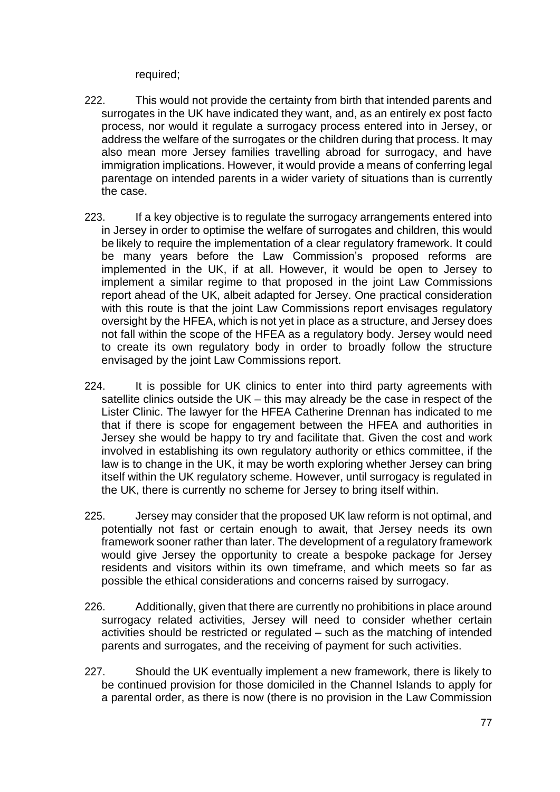required;

- 222. This would not provide the certainty from birth that intended parents and surrogates in the UK have indicated they want, and, as an entirely ex post facto process, nor would it regulate a surrogacy process entered into in Jersey, or address the welfare of the surrogates or the children during that process. It may also mean more Jersey families travelling abroad for surrogacy, and have immigration implications. However, it would provide a means of conferring legal parentage on intended parents in a wider variety of situations than is currently the case.
- 223. If a key objective is to regulate the surrogacy arrangements entered into in Jersey in order to optimise the welfare of surrogates and children, this would be likely to require the implementation of a clear regulatory framework. It could be many years before the Law Commission's proposed reforms are implemented in the UK, if at all. However, it would be open to Jersey to implement a similar regime to that proposed in the joint Law Commissions report ahead of the UK, albeit adapted for Jersey. One practical consideration with this route is that the joint Law Commissions report envisages regulatory oversight by the HFEA, which is not yet in place as a structure, and Jersey does not fall within the scope of the HFEA as a regulatory body. Jersey would need to create its own regulatory body in order to broadly follow the structure envisaged by the joint Law Commissions report.
- 224. It is possible for UK clinics to enter into third party agreements with satellite clinics outside the UK – this may already be the case in respect of the Lister Clinic. The lawyer for the HFEA Catherine Drennan has indicated to me that if there is scope for engagement between the HFEA and authorities in Jersey she would be happy to try and facilitate that. Given the cost and work involved in establishing its own regulatory authority or ethics committee, if the law is to change in the UK, it may be worth exploring whether Jersey can bring itself within the UK regulatory scheme. However, until surrogacy is regulated in the UK, there is currently no scheme for Jersey to bring itself within.
- 225. Jersey may consider that the proposed UK law reform is not optimal, and potentially not fast or certain enough to await, that Jersey needs its own framework sooner rather than later. The development of a regulatory framework would give Jersey the opportunity to create a bespoke package for Jersey residents and visitors within its own timeframe, and which meets so far as possible the ethical considerations and concerns raised by surrogacy.
- 226. Additionally, given that there are currently no prohibitions in place around surrogacy related activities, Jersey will need to consider whether certain activities should be restricted or regulated – such as the matching of intended parents and surrogates, and the receiving of payment for such activities.
- 227. Should the UK eventually implement a new framework, there is likely to be continued provision for those domiciled in the Channel Islands to apply for a parental order, as there is now (there is no provision in the Law Commission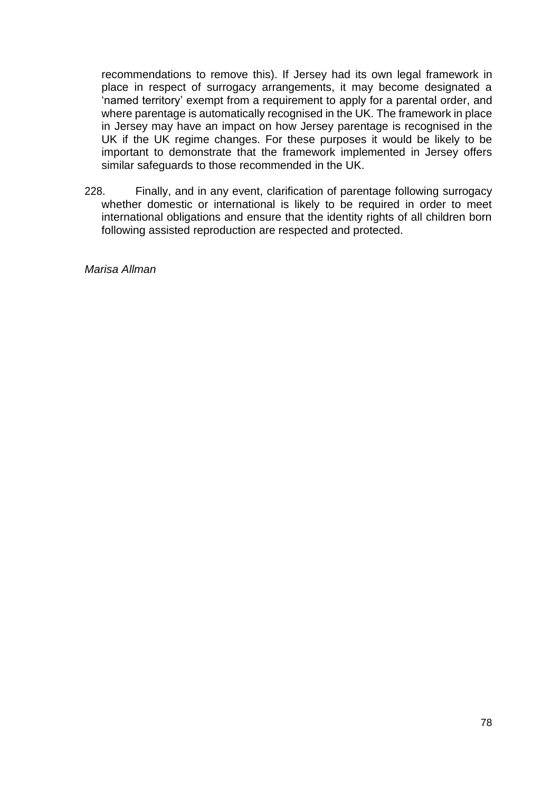recommendations to remove this). If Jersey had its own legal framework in place in respect of surrogacy arrangements, it may become designated a 'named territory' exempt from a requirement to apply for a parental order, and where parentage is automatically recognised in the UK. The framework in place in Jersey may have an impact on how Jersey parentage is recognised in the UK if the UK regime changes. For these purposes it would be likely to be important to demonstrate that the framework implemented in Jersey offers similar safeguards to those recommended in the UK.

228. Finally, and in any event, clarification of parentage following surrogacy whether domestic or international is likely to be required in order to meet international obligations and ensure that the identity rights of all children born following assisted reproduction are respected and protected.

*Marisa Allman*